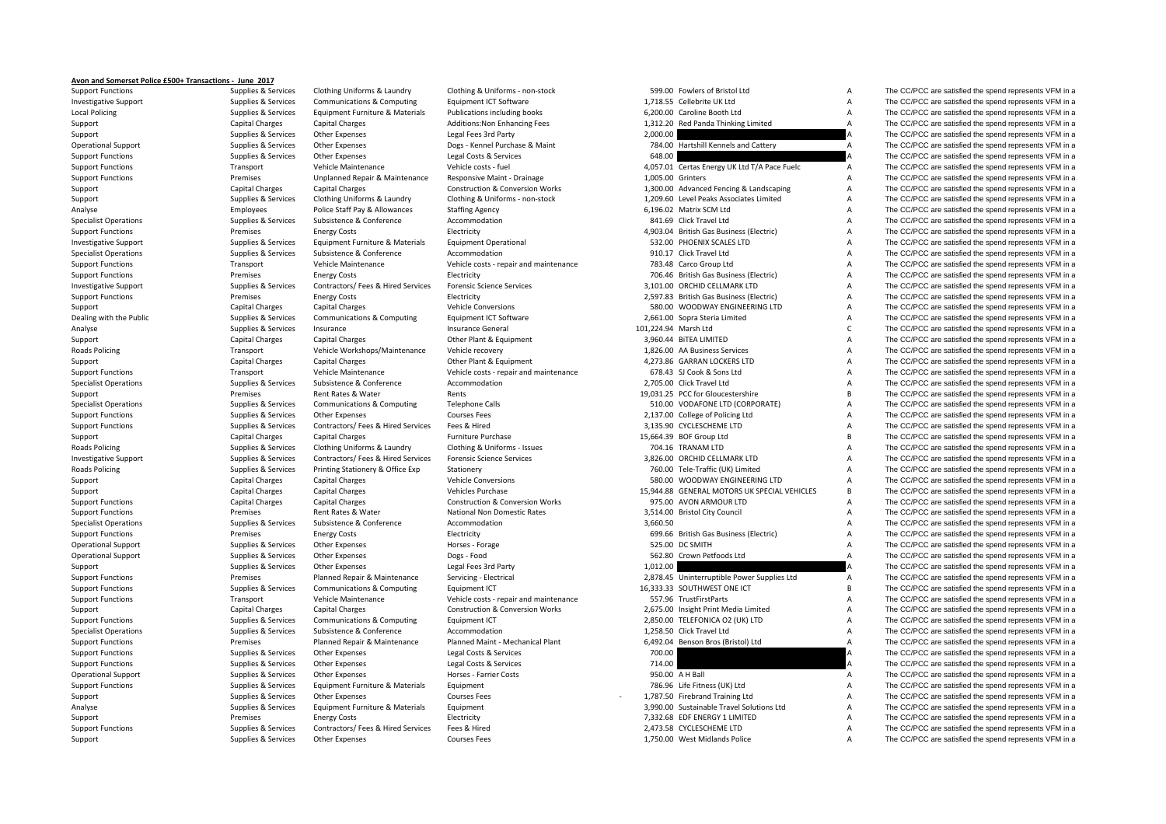## **Avon and Somerset Police £500+ Transactions ‐ June 2017**

Local Policing **Roads Policing Roads Policing Roads Policing** 

Support Functions Supplies Supplies & Services Clothing Uniforms & Laundry Clothing & Uniforms - non-stock 599.00 Fowlers of Bristol Ltd A The CC/PCC are satisfied the spend represents VFM in a support of the Supplies & Se

Investigative Support Supplies & Services Communications & Computing Equipment ICT Software 1,718.55 Cellebrite UK Ltd A The CC/PCC are satisfied the spend represents VFM in a Policing Supplies & Services Equipment Furniture & Materials Publications including books 6,200.00 Caroline Booth Ltd A The CC/PCC are satisfied the spend represents VFM in a Support Capital Charges Capital Charges Additions:Non Enhancing Fees 1,312.20 Red Panda Thinking Limited A The CC/PCC are satisfied the spend represents VFM in a Support Supplies & Services Other Expenses Legal Fees 3rd Party 2,000.00 2,000.00 A The CC/PCC are satisfied the spend represents VFM in a Operational Support Supplies Supplies & Services Other Expenses Dogs - Kennel Purchase & Maint 784.00 Hartshill Kennels and Cattery A The CC/PCC are satisfied the spend represents VFM in a Supplies & Services Other Expense Support Functions Supplies A Services Other Expenses Legal Costs & Services 648.00 A The CC/PCC are satisfied the spend represents VFM in a Support Functions Transport Vehicle Maintenance Vehicle costs ‐ fuel 4,057.01 Certas Energy UK Ltd T/A Pace Fuelc A The CC/PCC are satisfied the spend represents VFM in a Support Functions Premises Premises Unplanned Repair & Maintenance Responsive Maint - Drainage 1,005.00 Grinters A The CC/PCC are satisfied the spend represents VFM in a Support Capital Charges Capital Charges Capital Charges Construction & Conversion Works 1,300.00 Advanced Fencing & Landscaping A The CC/PCC are satisfied the spend represents VFM in a Support Supplies Services Clothing Uniforms & Laundry Clothing & Uniforms - non-stock 1,209.60 Level Peaks Associates Limited A The CC/PCC are satisfied the spend represents VFM in a The CC/PCC are satisfied the spend repr Analyse Employees Police Staff Pay & Allowances Staffing Agency 6,196.02 Matrix SCM Ltd A The CC/PCC are satisfied the spend represents VFM in a Specialist Operations Supplies & Services Subsistence & Conference Accommodation Accommodation 841.69 Click Travel Ltd A The CC/PCC are satisfied the spend represents VFM in a Support Functions The CC/PCC are satisfied the spend represents VFM in a premises Energy Costs Electricity Electricity Electricity 4,903.04 British Gas Business (Electric) A The CC/PCC are satisfied the spend represents VF Investigative Support Support Support Support Support Support Equipment Furniture & Materials Foundment Operational 532.00 PHOENIX SCALES LTD A The CC/PCC are satisfied the spend represents VFM in a Specialist Operations Supplies & Services Subsistence & Conference Accommodation Accommodation 910.17 Click Travel Ltd A The CC/PCC are satisfied the spend represents VFM in a Support Functions Transport Vehicle Maintenance Vehicle costs - repair and maintenance 783.48 Carco Group Ltd A The CC/PCC are satisfied the spend represents VFM in a Support Functions The CC/PCC are satisfied the spend represents VFM in a premises Energy Costs Energy Costs Electricity Electricity 706.46 British Gas Business (Electric) A The CC/PCC are satisfied the spend represents VFM Investigative Support Supplies & Services Contractors/ Fees & Hired Services Forensic Science Services 3,101.00 ORCHID CELLMARK LTD A The CC/PCC are satisfied the spend represents VFM in a Support Functions **Electricity** Energy Costs Electricity Electricity 2,597.83 British Gas Business (Electric) A The CC/PCC are satisfied the spend represents VFM in a Support Capital Charges Capital Charges Capital Charges Vehicle Conversions Vehicle Conversions 580.00 WOODWAY ENGINEERING LTD A The CC/PCC are satisfied the spend represents VFM in a Dealing with the Public Supplies A Supplies & Services Communications & Computing Equipment ICT Software 2,661.00 Sopra Steria Limited A The CC/PCC are satisfied the spend represents VFM in a Analyse Supplies & Services Insurance Supplies Insurance Ceneral Insurance General 101.224.94 Marsh Ltd C The CC/PCC are satisfied the spend represents VFM in a Support Capital Charges Capital Charges Capital Charges Other Plant & Equipment 3,960.44 BiTEA LIMITED A The CC/PCC are satisfied the spend represents VFM in a Policing Transport Vehicle Workshops/Maintenance Vehicle recovery 1,826.00 AA Business Services A The CC/PCC are satisfied the spend represents VFM in a Support Capital Charges Capital Charges Capital Charges Other Plant & Equipment 4,273.86 GARRAN LOCKERS LTD A The CC/PCC are satisfied the spend represents VFM in a<br>Support Functions Support Transport Vehicle Maintenance V Support Functions Transport Vehicle Maintenance Vehicle costs - repair and maintenance 678.43 SL Cook & Sons Ltd A The CC/PCC are satisfied the spend represents VFM in a Specialist Operations Supplies & Services Subsistence & Conference Accommodation 2,705.00 Click Travel Ltd A The CC/PCC are satisfied the spend represents VFM in a Support Premises Rent Rates & Water Rents Rents Rents Rents 19,031.25 PCC for Gloucestershire B The CC/PCC are satisfied the spend represents VFM in a Specialist Operations Supplies & Services Communications & Computing Telephone Calls 510.00 VODAFONE LTD (CORPORATE) A The CC/PCC are satisfied the spend represents VFM in a Support Functions Supplies A Services Other Expenses Courses Fees Courses Fees 2,137.00 College of Policing Ltd A The CC/PCC are satisfied the spend represents VFM in a Support Functions Supplies & Services Contractors/ Fees & Hired Services Fees & Hired Services Fees & Hired Services Fees & Hired Services Fees & Hired 3,135.90 CYCLESCHEME LTD A The CC/PCC are satisfied the spend represen Support Capital Charges Capital Charges Furniture Purchase Furniture Purchase 15,664.39 BOF Group Ltd B The CC/PCC are satisfied the spend represents VFM in a Poplics Services Clothing Uniforms & Laundry Clothing & Uniforms ‐ Issues 704.16 TRANAM LTD A The CC/PCC are satisfied the spend represents VFM in a Investigative Support Support Support Support Supported Supported Support Support Support Support Support Support Support Support Support Support Support Support Support Support Support Support Support Support Support Supp Supplies & Services Printing Stationery & Office Exp Stationery Stationery 760.00 Tele-Traffic (UK) Limited A The CC/PCC are satisfied the spend represents VFM in a Support Capital Charges Capital Charges Capital Charges Vehicle Conversions Vehicle Conversions 580.00 WOODWAY ENGINEERING LTD A The CC/PCC are satisfied the spend represents VFM in a Support Capital Charges Capital Charges Capital Charges Vehicles Purchase Vehicles Purchase 15,944.88 GENERAL MOTORS UK SPECIAL VEHICLES B The CC/PCC are satisfied the spend represents VFM in a support Functions Capital Ch Support Functions Capital Charges Capital Charges Capital Charges Construction & Conversion Works 975.00 AVON ARMOUR LTD A The CC/PCC are satisfied the spend represents VFM in a Support Functions **Premises** Premises Rent Rates & Water National Non Domestic Rates 3,514.00 Bristol City Council A The CC/PCC are satisfied the spend represents VFM in a Specialist Operations Supplies & Services Subsistence & Conference Accommodation 3,660.50 A The CC/PCC are satisfied the spend represents VFM in a Support Functions **Examples Energy Costs** Energy Costs Electricity Electricity **699.66** British Gas Business (Electricity A The CC/PCC are satisfied the spend represents VFM in a Operational Support Support Support Support Support Support Support Support Support Support Support Support Support Support Support Support Support Support Support Support Support Support Support Support Support Support Su Operational Support Support Support Support Support Support Support Support Other Expenses Dogs - Food Dogs - Food 562.80 Crown Petfoods Ltd A The CC/PCC are satisfied the spend represents VFM in a Support Supplies Supplies & Services Other Expenses Legal Fees 3rd Party and the Support of the Support of the CC/PCC are satisfied the spend represents VFM in a Support of the CC/PCC are satisfied the spend represents VFM Support Functions Premises Planned Repair & Maintenance Servicing - Electrical 2,878.45 Uninterruptible Power Supplies Ltd A The CC/PCC are satisfied the spend represents VFM in a Support Functions Supplies & Services Communications & Computing Equipment ICT 16,333.33 SOUTHWEST ONE ICT B The CC/PCC are satisfied the spend represents VFM in a Support Functions Transport Vehicle Maintenance Vehicle costs ‐ repair and maintenance 557.96 TrustFirstParts A The CC/PCC are satisfied the spend represents VFM in a Support Capital Charges Capital Charges Capital Charges Construction & Conversion Works 2,675.00 Insight Print Media Limited A The CC/PCC are satisfied the spend represents VFM in a Support Functions Supplies & Services Communications & Computing Equipment ICT 2,850.00 TELEFONICA O2 (UK) LTD A The CC/PCC are satisfied the spend represents VFM in a Specialist Operations Supplies & Services Subsistence & Conference Accommodation Accommodation 1,258.50 Click Travel Ltd A The CC/PCC are satisfied the spend represents VFM in a Support Functions Premises Planned Repair & Maintenance Planned Maint - Mechanical Plant 6,492.04 Benson Bros (Bristol) Ltd A The CC/PCC are satisfied the spend represents VFM in a Support Functions Supplies A Services Other Expenses Legal Costs & Services 200.00 A The CC/PCC are satisfied the spend represents VFM in a Support Functions Supplies A Services Other Expenses Legal Costs & Services 214.00 A The CC/PCC are satisfied the spend represents VFM in a Operational Support Supplies & Services Other Expenses Horses - Farrier Costs 950.00 A H Ball A The CC/PCC are satisfied the spend represents VFM in a Support Functions Supplies & Services Equipment Furniture & Materials Equipment Functions Equipment Purniture & Materials Equipment Purniture 3. Naterials A The CC/PCC are satisfied the spend represents VFM in a Support Supplies & Services Other Expenses Courses Fees Courses Fees Courses Fees 1,787.50 Firebrand Training Ltd A The CC/PCC are satisfied the spend represents VFM in a Support of the Support of the Support of the Suppor Analyse Supplies & Services Equipment Furniture & Materials Equipment 3,990.00 Sustainable Travel Solutions Ltd A The CC/PCC are satisfied the spend represents VFM in a Support Premises Energy Costs Electricity Electricity 7,332.68 EDF ENERGY 1 LIMITED A The CC/PCC are satisfied the spend represents VFM in a Support Functions Supplies & Services Contractors/ Fees & Hired Services Fees & Hired 2,473.58 CYCLESCHEME LTD A The CC/PCC are satisfied the spend represents VFM in a Support Supplies & Services Other Expenses Courses Fees Courses Fees 1,750.00 West Midlands Police A The CC/PCC are satisfied the spend represents VFM in a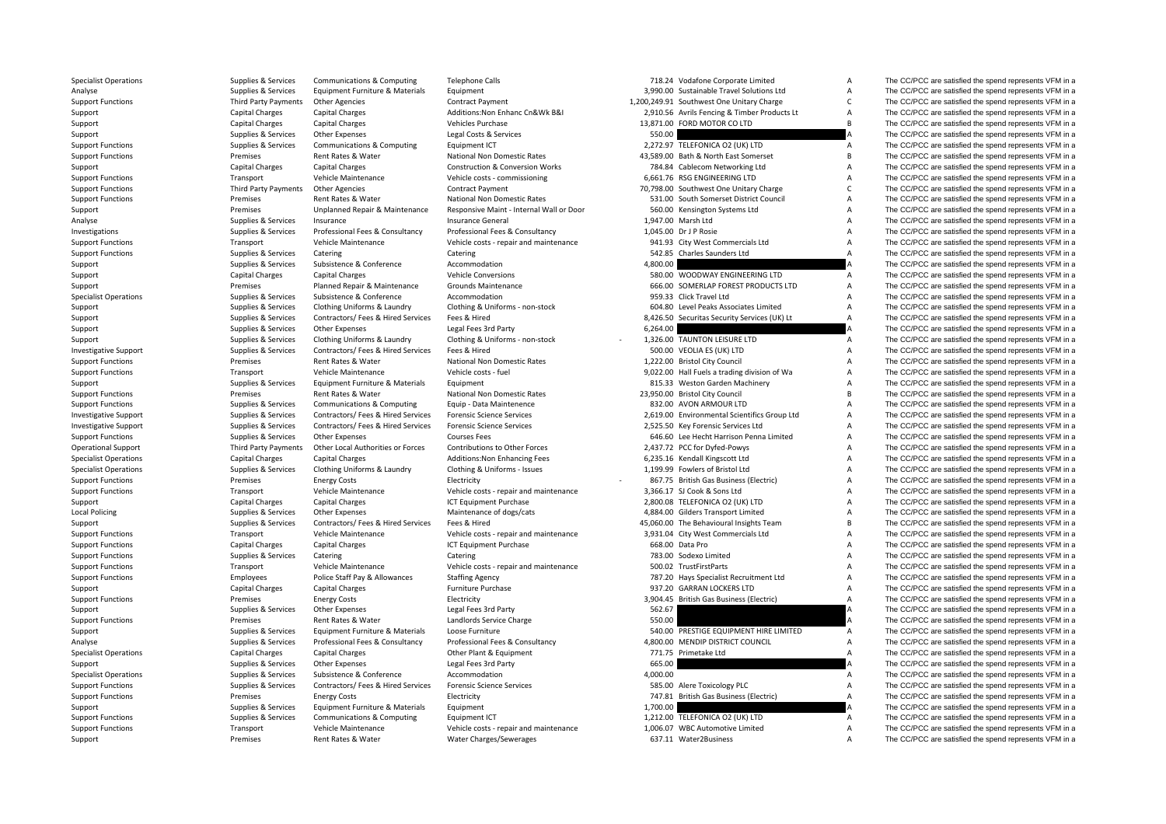| <b>Specialist Operations</b>            | Supplies & Services    | Communications & Computing         | <b>Telephone Calls</b>                     |          | 718.24 Vodafone Corporate Limited            | А              | The CC/PCC are satisfied the spend represents VFM in a |
|-----------------------------------------|------------------------|------------------------------------|--------------------------------------------|----------|----------------------------------------------|----------------|--------------------------------------------------------|
| Analyse                                 | Supplies & Services    | Equipment Furniture & Materials    | Equipment                                  |          | 3,990.00 Sustainable Travel Solutions Ltd    | А              | The CC/PCC are satisfied the spend represents VFM in a |
| <b>Support Functions</b>                | Third Party Payments   | <b>Other Agencies</b>              | <b>Contract Payment</b>                    |          | 1,200,249.91 Southwest One Unitary Charge    | $\mathsf{C}$   | The CC/PCC are satisfied the spend represents VFM in a |
| Support                                 | <b>Capital Charges</b> | <b>Capital Charges</b>             | Additions: Non Enhanc Cn&Wk B&I            |          | 2,910.56 Avrils Fencing & Timber Products Lt | Α              | The CC/PCC are satisfied the spend represents VFM in a |
| Support                                 | <b>Capital Charges</b> | <b>Capital Charges</b>             | <b>Vehicles Purchase</b>                   |          | 13,871.00 FORD MOTOR CO LTD                  | B.             | The CC/PCC are satisfied the spend represents VFM in a |
| Support                                 | Supplies & Services    | <b>Other Expenses</b>              | Legal Costs & Services                     | 550.00   |                                              |                | The CC/PCC are satisfied the spend represents VFM in a |
| <b>Support Functions</b>                | Supplies & Services    | Communications & Computing         | Equipment ICT                              |          | 2,272.97 TELEFONICA O2 (UK) LTD              | A              | The CC/PCC are satisfied the spend represents VFM in a |
| <b>Support Functions</b>                | Premises               | Rent Rates & Water                 | National Non Domestic Rates                |          | 43,589.00 Bath & North East Somerset         | B.             | The CC/PCC are satisfied the spend represents VFM in a |
| Support                                 | <b>Capital Charges</b> | <b>Capital Charges</b>             | <b>Construction &amp; Conversion Works</b> |          | 784.84 Cablecom Networking Ltd               | А              | The CC/PCC are satisfied the spend represents VFM in a |
| <b>Support Functions</b>                | Transport              | Vehicle Maintenance                | Vehicle costs - commissioning              |          | 6,661.76 RSG ENGINEERING LTD                 | A              | The CC/PCC are satisfied the spend represents VFM in a |
| <b>Support Functions</b>                | Third Party Payments   | <b>Other Agencies</b>              | <b>Contract Payment</b>                    |          | 70,798.00 Southwest One Unitary Charge       | $\mathsf{C}$   | The CC/PCC are satisfied the spend represents VFM in a |
| <b>Support Functions</b>                | Premises               | Rent Rates & Water                 | National Non Domestic Rates                |          | 531.00 South Somerset District Council       | Α              | The CC/PCC are satisfied the spend represents VFM in a |
| Support                                 | Premises               | Unplanned Repair & Maintenance     | Responsive Maint - Internal Wall or Door   |          | 560.00 Kensington Systems Ltd                | A              | The CC/PCC are satisfied the spend represents VFM in a |
| Analyse                                 | Supplies & Services    | Insurance                          | Insurance General                          |          | 1,947.00 Marsh Ltd                           | A              | The CC/PCC are satisfied the spend represents VFM in a |
| Investigations                          | Supplies & Services    | Professional Fees & Consultancy    | Professional Fees & Consultancy            |          | 1,045.00 Dr J P Rosie                        | A              | The CC/PCC are satisfied the spend represents VFM in a |
| <b>Support Functions</b>                | Transport              | Vehicle Maintenance                | Vehicle costs - repair and maintenance     |          | 941.93 City West Commercials Ltd             | A              | The CC/PCC are satisfied the spend represents VFM in a |
| <b>Support Functions</b>                | Supplies & Services    | Catering                           | Catering                                   |          | 542.85 Charles Saunders Ltd                  | A              | The CC/PCC are satisfied the spend represents VFM in a |
| Support                                 | Supplies & Services    | Subsistence & Conference           | Accommodation                              | 4,800.00 |                                              |                | The CC/PCC are satisfied the spend represents VFM in a |
|                                         | <b>Capital Charges</b> | <b>Capital Charges</b>             | <b>Vehicle Conversions</b>                 |          | 580.00 WOODWAY ENGINEERING LTD               | A              | The CC/PCC are satisfied the spend represents VFM in a |
| Support                                 | Premises               | Planned Repair & Maintenance       | Grounds Maintenance                        |          | 666.00 SOMERLAP FOREST PRODUCTS LTD          | Α              | The CC/PCC are satisfied the spend represents VFM in a |
| Support<br><b>Specialist Operations</b> | Supplies & Services    | Subsistence & Conference           | Accommodation                              |          | 959.33 Click Travel Ltd                      | Α              | The CC/PCC are satisfied the spend represents VFM in a |
|                                         | Supplies & Services    | Clothing Uniforms & Laundry        |                                            |          |                                              | А              | The CC/PCC are satisfied the spend represents VFM in a |
| Support                                 |                        |                                    | Clothing & Uniforms - non-stock            |          | 604.80 Level Peaks Associates Limited        | A              |                                                        |
| Support                                 | Supplies & Services    | Contractors/ Fees & Hired Services | Fees & Hired                               |          | 8,426.50 Securitas Security Services (UK) Lt |                | The CC/PCC are satisfied the spend represents VFM in a |
| Support                                 | Supplies & Services    | Other Expenses                     | Legal Fees 3rd Party                       | 6,264.00 |                                              |                | The CC/PCC are satisfied the spend represents VFM in a |
| Support                                 | Supplies & Services    | Clothing Uniforms & Laundry        | Clothing & Uniforms - non-stock            |          | 1,326.00 TAUNTON LEISURE LTD                 | Α              | The CC/PCC are satisfied the spend represents VFM in a |
| <b>Investigative Support</b>            | Supplies & Services    | Contractors/ Fees & Hired Services | Fees & Hired                               |          | 500.00 VEOLIA ES (UK) LTD                    | A              | The CC/PCC are satisfied the spend represents VFM in a |
| <b>Support Functions</b>                | Premises               | Rent Rates & Water                 | National Non Domestic Rates                |          | 1,222.00 Bristol City Council                | A              | The CC/PCC are satisfied the spend represents VFM in a |
| <b>Support Functions</b>                | Transport              | Vehicle Maintenance                | Vehicle costs - fuel                       |          | 9,022.00 Hall Fuels a trading division of Wa | А              | The CC/PCC are satisfied the spend represents VFM in a |
| Support                                 | Supplies & Services    | Equipment Furniture & Materials    | Equipment                                  |          | 815.33 Weston Garden Machinery               | A              | The CC/PCC are satisfied the spend represents VFM in a |
| <b>Support Functions</b>                | Premises               | Rent Rates & Water                 | National Non Domestic Rates                |          | 23,950.00 Bristol City Council               | B              | The CC/PCC are satisfied the spend represents VFM in a |
| <b>Support Functions</b>                | Supplies & Services    | Communications & Computing         | Equip - Data Maintenence                   |          | 832.00 AVON ARMOUR LTD                       | Α              | The CC/PCC are satisfied the spend represents VFM in a |
| <b>Investigative Support</b>            | Supplies & Services    | Contractors/ Fees & Hired Services | <b>Forensic Science Services</b>           |          | 2,619.00 Environmental Scientifics Group Ltd | A              | The CC/PCC are satisfied the spend represents VFM in a |
| <b>Investigative Support</b>            | Supplies & Services    | Contractors/ Fees & Hired Services | <b>Forensic Science Services</b>           |          | 2,525.50 Key Forensic Services Ltd           | Α              | The CC/PCC are satisfied the spend represents VFM in a |
| <b>Support Functions</b>                | Supplies & Services    | Other Expenses                     | <b>Courses Fees</b>                        |          | 646.60 Lee Hecht Harrison Penna Limited      | A              | The CC/PCC are satisfied the spend represents VFM in a |
| <b>Operational Support</b>              | Third Party Payments   | Other Local Authorities or Forces  | Contributions to Other Forces              |          | 2,437.72 PCC for Dyfed-Powys                 | A              | The CC/PCC are satisfied the spend represents VFM in a |
| <b>Specialist Operations</b>            | Capital Charges        | Capital Charges                    | Additions: Non Enhancing Fees              |          | 6,235.16 Kendall Kingscott Ltd               | A              | The CC/PCC are satisfied the spend represents VFM in a |
| <b>Specialist Operations</b>            | Supplies & Services    | Clothing Uniforms & Laundry        | Clothing & Uniforms - Issues               |          | 1,199.99 Fowlers of Bristol Ltd              | A              | The CC/PCC are satisfied the spend represents VFM in a |
| <b>Support Functions</b>                | Premises               | <b>Energy Costs</b>                | Electricity                                |          | 867.75 British Gas Business (Electric)       | A              | The CC/PCC are satisfied the spend represents VFM in a |
| <b>Support Functions</b>                | Transport              | Vehicle Maintenance                | Vehicle costs - repair and maintenance     |          | 3,366.17 SJ Cook & Sons Ltd                  | A              | The CC/PCC are satisfied the spend represents VFM in a |
| Support                                 | <b>Capital Charges</b> | <b>Capital Charges</b>             | ICT Equipment Purchase                     |          | 2,800.08 TELEFONICA O2 (UK) LTD              | A              | The CC/PCC are satisfied the spend represents VFM in a |
| Local Policing                          | Supplies & Services    | Other Expenses                     | Maintenance of dogs/cats                   |          | 4,884.00 Gilders Transport Limited           | A              | The CC/PCC are satisfied the spend represents VFM in a |
| Support                                 | Supplies & Services    | Contractors/ Fees & Hired Services | Fees & Hired                               |          | 45,060.00 The Behavioural Insights Team      | В              | The CC/PCC are satisfied the spend represents VFM in a |
| <b>Support Functions</b>                | Transport              | Vehicle Maintenance                | Vehicle costs - repair and maintenance     |          | 3,931.04 City West Commercials Ltd           | A              | The CC/PCC are satisfied the spend represents VFM in a |
| <b>Support Functions</b>                | <b>Capital Charges</b> | <b>Capital Charges</b>             | ICT Equipment Purchase                     |          | 668.00 Data Pro                              | A              | The CC/PCC are satisfied the spend represents VFM in a |
| <b>Support Functions</b>                | Supplies & Services    | Catering                           | Catering                                   |          | 783.00 Sodexo Limited                        | A              | The CC/PCC are satisfied the spend represents VFM in a |
| <b>Support Functions</b>                | Transport              | Vehicle Maintenance                | Vehicle costs - repair and maintenance     |          | 500.02 TrustFirstParts                       | А              | The CC/PCC are satisfied the spend represents VFM in a |
| <b>Support Functions</b>                | Employees              | Police Staff Pay & Allowances      | <b>Staffing Agency</b>                     |          | 787.20 Hays Specialist Recruitment Ltd       | A              | The CC/PCC are satisfied the spend represents VFM in a |
| Support                                 | Capital Charges        | <b>Capital Charges</b>             | Furniture Purchase                         |          | 937.20 GARRAN LOCKERS LTD                    | A              | The CC/PCC are satisfied the spend represents VFM in a |
| <b>Support Functions</b>                | Premises               | <b>Energy Costs</b>                | Electricity                                |          | 3,904.45 British Gas Business (Electric)     | A              | The CC/PCC are satisfied the spend represents VFM in a |
| Support                                 | Supplies & Services    | Other Expenses                     | Legal Fees 3rd Party                       | 562.67   |                                              |                | The CC/PCC are satisfied the spend represents VFM in a |
|                                         | Premises               | Rent Rates & Water                 | Landlords Service Charge                   | 550.00   |                                              |                | The CC/PCC are satisfied the spend represents VFM in a |
| <b>Support Functions</b><br>Support     | Supplies & Services    | Equipment Furniture & Materials    | Loose Furniture                            |          | 540.00 PRESTIGE EQUIPMENT HIRE LIMITED       | A              | The CC/PCC are satisfied the spend represents VFM in a |
| Analyse                                 | Supplies & Services    | Professional Fees & Consultancy    | Professional Fees & Consultancy            |          | 4,800.00 MENDIP DISTRICT COUNCIL             | $\overline{A}$ | The CC/PCC are satisfied the spend represents VFM in a |
|                                         |                        |                                    |                                            |          |                                              | A              |                                                        |
| <b>Specialist Operations</b>            | <b>Capital Charges</b> | Capital Charges                    | Other Plant & Equipment                    |          | 771.75 Primetake Ltd                         |                | The CC/PCC are satisfied the spend represents VFM in a |
| Support                                 | Supplies & Services    | Other Expenses                     | Legal Fees 3rd Party                       | 665.00   |                                              |                | The CC/PCC are satisfied the spend represents VFM in a |
| <b>Specialist Operations</b>            | Supplies & Services    | Subsistence & Conference           | Accommodation                              | 4,000.00 |                                              | A              | The CC/PCC are satisfied the spend represents VFM in a |
| <b>Support Functions</b>                | Supplies & Services    | Contractors/ Fees & Hired Services | <b>Forensic Science Services</b>           |          | 585.00 Alere Toxicology PLC                  | А              | The CC/PCC are satisfied the spend represents VFM in a |
| <b>Support Functions</b>                | Premises               | <b>Energy Costs</b>                | Electricity                                |          | 747.81 British Gas Business (Electric)       | A              | The CC/PCC are satisfied the spend represents VFM in a |
| Support                                 | Supplies & Services    | Equipment Furniture & Materials    | Equipment                                  | 1,700.00 |                                              |                | The CC/PCC are satisfied the spend represents VFM in a |
| <b>Support Functions</b>                | Supplies & Services    | Communications & Computing         | Equipment ICT                              |          | 1,212.00 TELEFONICA O2 (UK) LTD              | Α              | The CC/PCC are satisfied the spend represents VFM in a |
| <b>Support Functions</b>                | Transport              | Vehicle Maintenance                | Vehicle costs - repair and maintenance     |          | 1,006.07 WBC Automotive Limited              | A              | The CC/PCC are satisfied the spend represents VFM in a |
| Sunnort                                 | Premises               | Rent Rates & Water                 | Water Charges/Sewerages                    |          | 637.11 Water2Business                        |                | The CC/PCC are satisfied the spend represents VEM in a |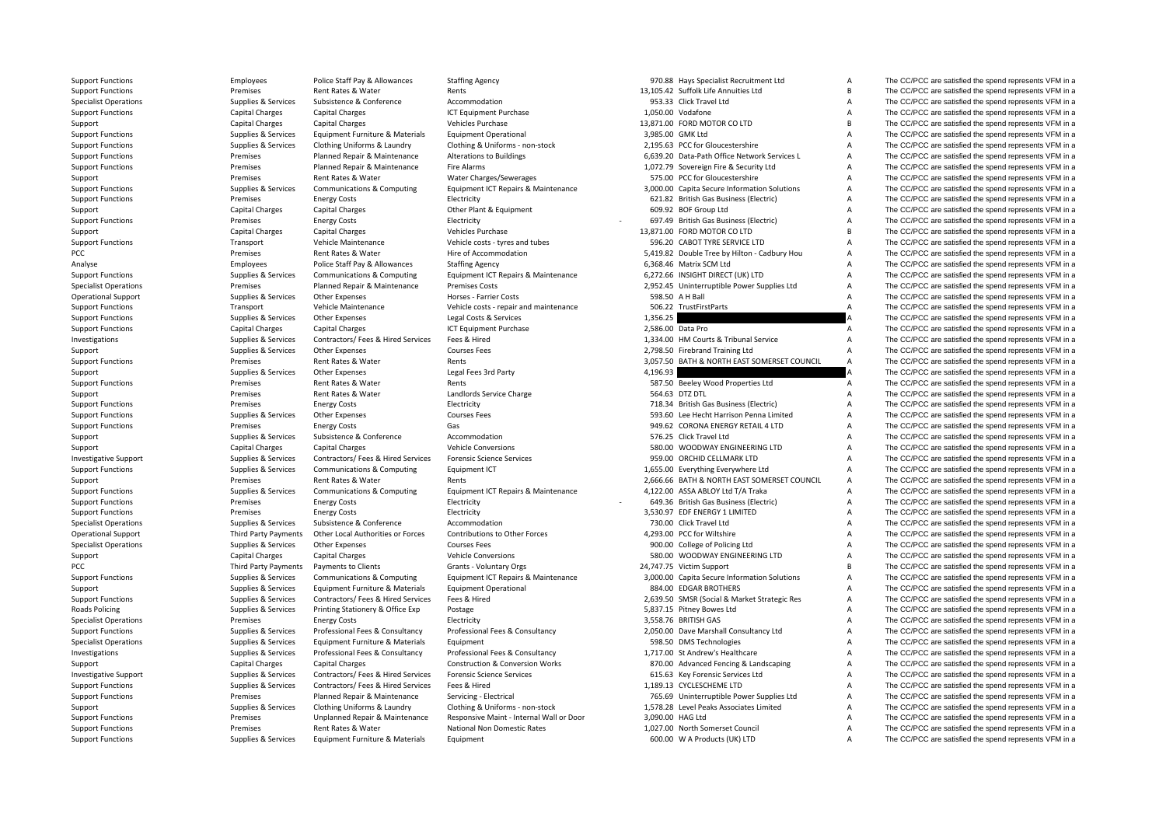PCC Premises PCC Third Party Payments **Roads Policing** 

Support Functions Employees Police Staff Pay & Allowances Staffing Agency 970.88 Hays Specialist Recruitment Ltd A The CC/PCC are satisfied the spend represents VFM in a Rates &

Support Functions Transitions Premises Rent Rates & Water Rents Rents Rents Rents Rent Rates Rent Rates & Water Rents Rents Rents Rents Rents Rents Rents Rent Rents Rent Rents Rent Rents Rent Rents Rent Rents Rent Rent Ren Supplies Services Subsistence & Conference Accommodation 953.33 Click Travel Ltd A The CC/PCC are satisfied the spend represents VFM in a Support Functions Capital Charges Capital Charges Capital Charges ICT Equipment Purchase 1,050.00 Vodafone A The CC/PCC are satisfied the spend represents VFM in a Support Capital Charges Capital Charges Capital Charges Vehicles Purchase Vehicles Purchase 13,871.00 FORD MOTOR CO LTD B The CC/PCC are satisfied the spend represents VFM in a Support Functions Supplies Services Equipment Furniture & Materials Foundment Operational 3,985.00 GMK Ltd A The CC/PCC are satisfied the spend represents VFM in a Support Functions Supplies & Services Clothing Uniforms & Laundry Clothing & Uniforms - non-stock 2,195.63 PCC for Gloucestershire A The CC/PCC are satisfied the spend represents VFM in a Support Functions Support Functions Premises Planned Repair & Maintenance Alterations to Buildings 6,639.20 Data-Path Office Network Services L A The CC/PCC are satisfied the spend represents VFM in a Support Functions Pre Support Functions Premises Planned Repair & Maintenance Fire Alarms 1,072.79 Sovereign Fire & Security Ltd A The CC/PCC are satisfied the spend represents VFM in a Support Premises Rent Rates & Water Water Charges/Sewerages 575.00 PCC for Gloucestershire A The CC/PCC are satisfied the spend represents VFM in a Support Functions Supplies & Services Communications & Computing Equipment ICT Repairs & Maintenance 3,000.00 Capita Secure Information Solutions A The CC/PCC are satisfied the spend represents VFM in a Support Functions Support Functions Premises Energy Costs Electricity Electricity Electricity and the Development<br>Support A The CC/PCC are satisfied the spend represents VFM in a Capital Charges Capital Charges Capital Cha Support Capital Charges Capital Charges Capital Charges Other Plant & Foulpment 609.92 BOF Group Ltd A The CC/PCC are satisfied the spend represents VFM in a Support Functions **Electricity** Energy Costs Electricity Electricity **Functions** Electricity **Functions** A The CC/PCC are satisfied the spend represents VFM in a Support Capital Charges Capital Charges Capital Charges Vehicles Purchase Vehicles Purchase 13,871.00 FORD MOTOR CO LTD B The CC/PCC are satisfied the spend represents VFM in a Support Functions Transport Vehicle Maintenance Vehicle costs ‐ tyres and tubes 596.20 CABOT TYRE SERVICE LTD A The CC/PCC are satisfied the spend represents VFM in a Hire of Accommodation https://water.org/induction 5,419.82 Double Tree by Hilton - Cadbury Hou A The CC/PCC are satisfied the spend represents VFM in a Analyse Employees Police Staff Pay & Allowances Staffing Agency 6,368.46 Matrix SCM Ltd A The CC/PCC are satisfied the spend represents VFM in a Support Functions Supplies & Services Communications & Computing Equipment ICT Repairs & Maintenance 6,272.66 INSIGHT DIRECT (UK) LTD A The CC/PCC are satisfied the spend represents VFM in a Specialist Operations Premises Premises Planned Repair & Maintenance Premises Costs 2,952.45 Uninterruptible Power Supplies Ltd A The CC/PCC are satisfied the spend represents VFM in a Operational Support Supplies & Services Other Expenses Horses - Farrier Costs 598.50 A H Ball A The CC/PCC are satisfied the spend represents VFM in a Support Functions Transport Vehicle Maintenance Vehicle costs ‐ repair and maintenance 506.22 TrustFirstParts A The CC/PCC are satisfied the spend represents VFM in a Support Functions Supplies & Services Other Expenses Legal Costs & Services Legal Costs & Services 1,356.25 A The CC/PCC are satisfied the spend represents VFM in a Support Functions Capital Charges Capital Charges Capital Charges ICT Equipment Purchase 2,586.00 Data Pro A The CC/PCC are satisfied the spend represents VFM in a University of the CO/PCC are satisfied the spend represent Investigations Supplies & Services Contractors/ Fees & Hired Services Fees & Hired 1,334.00 HM Courts & Tribunal Service A The CC/PCC are satisfied the spend represents VFM in a Support Support Support Support Support Support Support Support Courses Fees 2,798.50 Firebrand Training Ltd A The CC/PCC are satisfied the spend represents VFM in a Support Functions **Support Functions** Premises Rent Rates & Water Rents Rents Rents and Support Rent Rates & Water Rent Rates & Water Rents Rent Rents and Rents and America and America are satisfied the spend represents VF Support Support Support Support Support Support Support Support Support Support Support Support Support Support Support Support Support Support Support Support Support Support Support Support Support Support Support Suppor Support Functions **Examples ART Rent Rates & Water** Rents Rents Rents **Rents Article CO/PCC are satisfied the spend represents VFM in a** Support Premises Rent Rates & Water Landlords Service Charge 564.63 DTZ DTL A The CC/PCC are satisfied the spend represents VFM in a Support Functions **Electricity** Energy Costs Electricity Electricity **A** The CC/PCC are satisfied the spend represents VFM in a Support Functions Supplies Supplies & Services Other Expenses Courses Fees Support Courses Fees Supplies and the Courses Fees Supplies A The CC/PCC are satisfied the spend represents VFM in a Support Functions **Energy Costs** Energy Costs Gas Gas Bases Content Content Content Content Content Content Content Content Content Content of the CC/PCC are satisfied the spend represents VFM in a Support Support Support Support Supporter Supporter Accommodation Accommodation ST6.25 Click Travel Ltd A The CC/PCC are satisfied the spend represents VFM in a Support Capital Charges Capital Charges Capital Charges Vehicle Conversions Vehicle Conversions 580.00 WOODWAY ENGINEERING LTD A The CC/PCC are satisfied the spend represents VFM in a Investigative Support Support Support Support Supported Supported Services Contractors/ Fees & Hired Services Forensic Science Services Protes Services Protes and Supported Services on the Support of the Support of the Sup Support Functions Supplies & Services Communications & Computing Equipment ICT 1,655.00 Everything Everywhere Ltd A The CC/PCC are satisfied the spend represents VFM in a Support Premises Rent Rates & Water Rents Rents Rents Rents 2,666.66 BATH & NORTH EAST SOMERSET COUNCIL A The CC/PCC are satisfied the spend represents VFM in a Support Functions Supplies & Services Communications & Computing Equipment ICT Repairs & Maintenance 4,122.00 ASSA ABLOY Ltd T/A Traka A The CC/PCC are satisfied the spend represents VFM in a Support Functions energy Costs Energy Costs Electricity Electricity **Functions** and the Support Functions and the CC/PCC are satisfied the spend represents VFM in a Support Functions **Energy Costs** Energy Costs Electricity Electricity 3,530.97 EDF ENERGY 1 LIMITED A The CC/PCC are satisfied the spend represents VFM in a Specialist Operations Supplies & Services Subsistence & Conference Accommodation Accommodation 730.00 Click Travel Ltd A The CC/PCC are satisfied the spend represents VFM in a Operational Support Third Party Payments Other Local Authorities or Forces Contributions to Other Forces 4,293.00 PCC for Wiltshire A The CC/PCC are satisfied the spend represents VFM in a Specialist Operations Supplies & Services Other Expenses Courses Fees Courses Fees 900.00 College of Policing Ltd A The CC/PCC are satisfied the spend represents VFM in a Support Capital Charges Capital Charges Capital Charges Vehicle Conversions Vehicle Conversions 580.00 WOODWAY ENGINEERING LTD A The CC/PCC are satisfied the spend represents VFM in a Payments to Clients Grants - Voluntary Orgs 24,747.75 Victim Support B The CC/PCC are satisfied the spend represents VFM in a Support Functions Supplies Supplies & Services Communications & Computing Equipment ICT Repairs & Maintenance 3,000.00 Capita Secure Information Solutions A The CC/PCC are satisfied the spend represents VFM in a Support Supplies & Services Equipment Furniture & Materials Equipment Operational 884.00 EDGAR BROTHERS A The CC/PCC are satisfied the spend represents VFM in a Support Functions Supplies & Services Contractors/ Fees & Hired Services Fees & Hired 2003 Fees & Hired 2003 Fees & Hired 2003 Fees & Hired 2003 Fees & Hired 2003 Fees & Hired 2003 Fees & Hired 2003 Fees & Hired 2003 Fees Supplies & Services Printing Stationery & Office Exp Postage States and A Supplies Supplies Supplies A The CC/PCC are satisfied the spend represents VFM in a Specialist Operations **Energy Costs** Energy Costs Electricity Electricity 3,558.76 BRITISH GAS A The CC/PCC are satisfied the spend represents VFM in a Support Functions Supplies & Services Professional Fees & Consultancy Professional Fees & Consultancy Consultancy 2,050.00 Dave Marshall Consultancy Ltd A The CC/PCC are satisfied the spend represents VFM in a Specialist Operations Supplies & Services Equipment Furniture & Materials Equipment 598.50 DMS Technologies A The CC/PCC are satisfied the spend represents VFM in a Investigations Supplies & Services Professional Fees & Consultancy Professional Fees & Consultancy Professional Fees & Consultancy 1,717.00 St Andrew's Healthcare A The CC/PCC are satisfied the spend represents VFM in a Support Capital Charges Capital Charges Capital Charges Construction & Conversion Works 870.00 Advanced Fencing & Landscaping A The CC/PCC are satisfied the spend represents VFM in a Investigative Support Supplies Supplies & Services Contractors/ Fees & Hired Services Forensic Science Services Contractors/ Fees & Hired Services Forensic Science Services 615.63 Key Forensic Services Ltd A The CC/PCC are Support Functions Supplies & Services Contractors/ Fees & Hired Services Fees & Hired 1,189.13 CYCLESCHEME LTD A The CC/PCC are satisfied the spend represents VFM in a Support Functions Public Premises Planned Repair & Maintenance Servicing - Electrical 765.69 Uninterruptible Power Supplies Ltd A The CC/PCC are satisfied the spend represents VFM in a Support Functions Support Public Supp Support Supplies & Services Clothing Uniforms & Laundry Clothing & Uniforms - non‐stock 1,578.28 Level Peaks Associates Limited A The CC/PCC are satisfied the spend represents VFM in a Support Functions Premises Premises Unplanned Repair & Maintenance Responsive Maint ‐ Internal Wall or Door 3,090.00 HAG Ltd A The CC/PCC are satisfied the spend represents VFM in a Support Functions Premises Rent Rates & Water National Non Domestic Rates 1,027.00 North Somerset Council A The CC/PCC are satisfied the spend represents VFM in a Support Functions Supplies & Services Equipment Furniture & Materials Equipment Curries Equipment Curries A The CC/PCC are satisfied the spend represents VFM in a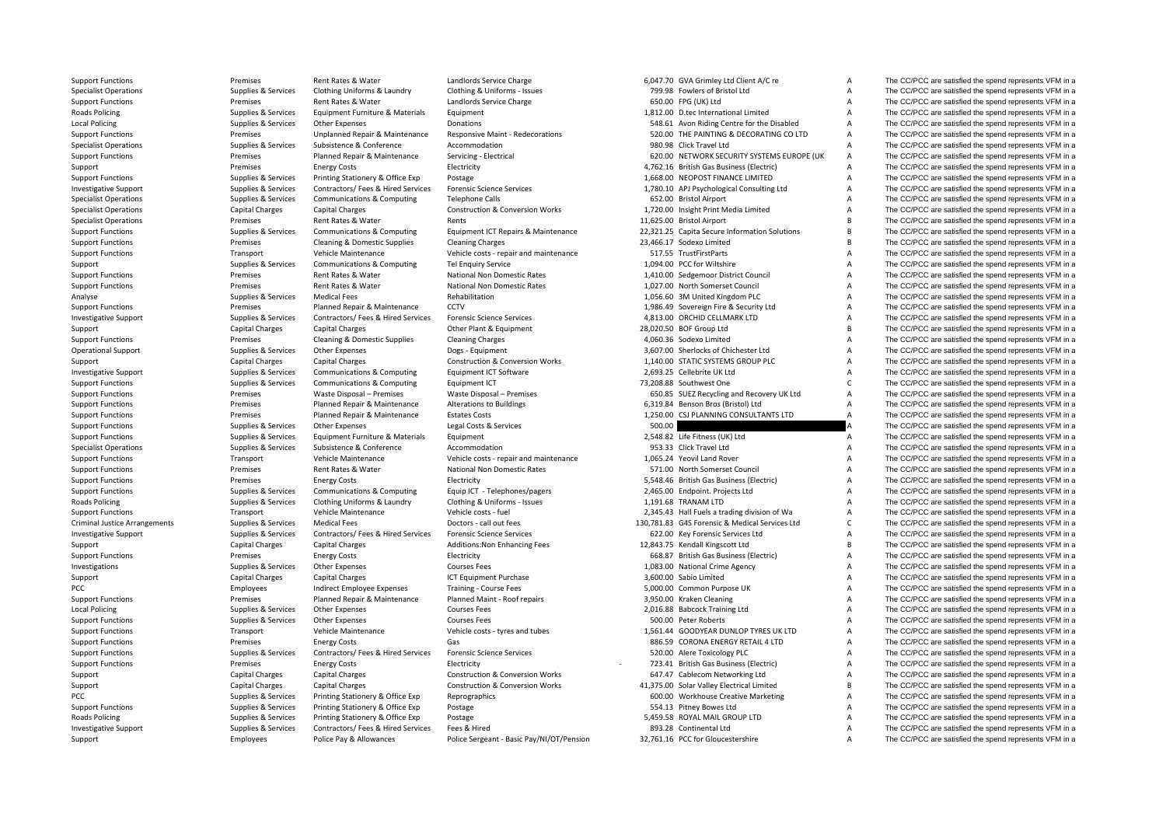**Roads Policing Local Policing Roads Policing** Criminal Justice**Local Policing Roads Policing** 

Support Functions **Premises** Rent Rates & Water Landlords Service Charge 6,047.70 GVA Grimley Ltd Client A/C re A The CC/PCC are satisfied the spend represents VFM in a

Specialist Operations Supplies Services Clothing Uniforms & Laundry Clothing & Uniforms - Issues 799.98 Fowlers of Bristol Ltd A The CC/PCC are satisfied the spend represents VFM in a Supplies & Services Rent Rates & Water Support Functions **Examples** Rent Rates Rent Rates & Water Landlords Service Charge 650.00 FPG (UK) Ltd A The CC/PCC are satisfied the spend represents VFM in a Policing Supplies & Services Equipment Furniture & Materials Equipment 1,812.00 D.tec International Limited A The CC/PCC are satisfied the spend represents VFM in a Policing Supplies & Services Other Expenses Donations 548.61 Avon Riding Centre for the Disabled A The CC/PCC are satisfied the spend represents VFM in a Support Functions Premises Premises Unplanned Repair & Maintenance Responsive Maint - Redecorations 520.00 THE PAINTING & DECORATING CO LTD A The CC/PCC are satisfied the spend represents VFM in a Specialist Operations Supplies & Services Subsistence & Conference Accommodation Accommodation 980.98 Click Travel Ltd A The CC/PCC are satisfied the spend represents VFM in a Support Functions Premises Premises Planned Repair & Maintenance Servicing - Electrical 620.00 NETWORK SECURITY SYSTEMS EUROPE (UK A The CC/PCC are satisfied the spend represents VFM in a Support Premises Energy Costs Electricity Electricity A,762.16 British Gas Business (Electric) A The CC/PCC are satisfied the spend represents VFM in a Support Functions Supplies Supplies & Services Printing Stationery & Office Exp Postage Printing Stationery & Office Exp Postage 1,68.00 NEOPOST FINANCE LIMITED A The CC/PCC are satisfied the spend represents VFM in a law Investigative Support Support Supplies & Services Contractors/ Fees & Hired Services Forensic Science Services 1,780.10 APJ Psychological Consulting Ltd A The CC/PCC are satisfied the spend represents VFM in a Specialist Operations Supplies Services Communications & Computing Telephone Calls 652.00 Bristol Airport Computing A The CC/PCC are satisfied the spend represents VFM in a Specialist Operations of Computing Construction & Specialist Operations Capital Charges Capital Charges Construction & Conversion Works 1,720.00 Insight Print Media Limited A The CC/PCC are satisfied the spend represents VFM in a Specialist Operations **Specialist Operations** Premises Rent Rent Rents Rents Rents Rents Rent Rents 11,625.00 Bristol Airport B The CC/PCC are satisfied the spend represents VFM in a Support Functions Supplies Services Communications & Computing Faultoment ICT Repairs & Maintenance 22,321.25 Capita Secure Information Solutions B The CC/PCC are satisfied the spend represents VFM in a Support Functions **Premises** Cleaning & Domestic Supplies Cleaning Charges 23,466.17 Sodexo Limited B The CC/PCC are satisfied the spend represents VFM in a Support Functions Transport Vehicle Maintenance Vehicle costs ‐ repair and maintenance 517.55 TrustFirstParts A The CC/PCC are satisfied the spend represents VFM in a Support Supplies & Services Communications & Computing Tel Enquiry Service 1,094.00 PCC for Wiltshire A The CC/PCC are satisfied the spend represents VFM in a Support Functions Premises Rent Rates & Water National Non Domestic Rates 1,410.00 Sedgemoor District Council A The CC/PCC are satisfied the spend represents VFM in a Support Functions Premises Rent Rates & Water National Non Domestic Rates 1,027.00 North Somerset Council A The CC/PCC are satisfied the spend represents VFM in a Analyse Supplies & Services Medical Fees Rehabilitation Rehabilitation 1,056.60 3M United Kingdom PLC A The CC/PCC are satisfied the spend represents VFM in a Support Functions **Premises** Planned Repair & Maintenance CCTV **CCTV** 1,986.49 Sovereign Fire & Security Ltd A The CC/PCC are satisfied the spend represents VFM in a Investigative Support Support Supplies & Services Contractors/ Fees & Hired Services Forensic Science Services 4,813.00 ORCHID CELLMARK LTD A The CC/PCC are satisfied the spend represents VFM in a Support Capital Charges Capital Charges Capital Charges Other Plant & Equipment 28,020.50 BOF Group Ltd B The CC/PCC are satisfied the spend represents VFM in a Support Functions **Premises** Cleaning & Domestic Supplies Cleaning Charges A Cleaning Charges 4,060.36 Sodexo Limited A The CC/PCC are satisfied the spend represents VFM in a Operational Support Supplies & Services Other Expenses Dogs - Equipment Dogs - Equipment 3,607.00 Sherlocks of Chichester Ltd A The CC/PCC are satisfied the spend represents VFM in a Support Capital Charges Capital Charges Capital Charges Construction & Conversion Works 1,140.00 STATIC SYSTEMS GROUP PLC A The CC/PCC are satisfied the spend represents VFM in a support of the spend represents VFM in a su Investigative Support Support Support Support Support Support Support Support Support Support Support Support Support Support Support Support Support Support Support Support Support Support Support Support Support Support Support Functions Supplies & Services Communications & Computing Equipment ICT 73,208.88 Southwest One C The CC/PCC are satisfied the spend represents VFM in a Support Functions **Premises** Waste Disposal – Premises Waste Disposal – Premises Waste Disposal – Premises Waste Disposal – Premises and Fecovery UK Ltd A The CC/PCC are satisfied the spend represents VFM in a Support Functions Premises Planned Repair & Maintenance Alterations to Buildings 6,319.84 Benson Bros (Bristol) Ltd A The CC/PCC are satisfied the spend represents VFM in a Support Functions Premises Planned Repair & Maintenance Estates Costs 1,250.00 CSJ PLANNING CONSULTANTS LTD A The CC/PCC are satisfied the spend represents VFM in a Support Functions Supplies A Services Other Expenses Legal Costs & Services Support Support Functions A The CC/PCC are satisfied the spend represents VFM in a Support Functions Supplies & Services Equipment Furniture & Materials Equipment 2,548.82 Life Fitness (UK) Ltd A The CC/PCC are satisfied the spend represents VFM in a Specialist Operations Supplies & Services Subsistence & Conference Accommodation Accommodation 953.33 Click Travel Ltd A The CC/PCC are satisfied the spend represents VFM in a Support Functions Transport Vehicle Maintenance Vehicle costs ‐ repair and maintenance 1,065.24 Yeovil Land Rover A The CC/PCC are satisfied the spend represents VFM in a Support Functions Premises Rent Rates & Water National Non Domestic Rates 571.00 North Somerset Council A The CC/PCC are satisfied the spend represents VFM in a Support Functions Support Energy Costs Energy Costs Electricity Electricity S,548.46 British Gas Business (Electric) A The CC/PCC are satisfied the spend represents VFM in a Support Functions Supplies & Services Communications & Computing Equip ICT - Telephones/pagers 2,465.00 Endpoint. Projects Ltd A The CC/PCC are satisfied the spend represents VFM in a Policing Supplies & Services Clothing Uniforms & Laundry Clothing & Uniforms ‐ Issues 1,191.68 TRANAM LTD A The CC/PCC are satisfied the spend represents VFM in a Support Functions Transport Vehicle Maintenance Vehicle costs ‐ fuel 2,345.43 Hall Fuels a trading division of Wa A The CC/PCC are satisfied the spend represents VFM in a Arrangements Supplies & Services Medical Fees Doctors ‐ call out fees 130,781.83 G4S Forensic & Medical Services Ltd C The CC/PCC are satisfied the spend represents VFM in a Investigative Support Support Supplies & Services Contractors/ Fees & Hired Services Forensic Science Services 622.00 Key Forensic Services Ltd A The CC/PCC are satisfied the spend represents VFM in a Support Capital Charges Capital Charges Additions:Non Enhancing Fees 12,843.75 Kendall Kingscott Ltd B The CC/PCC are satisfied the spend represents VFM in a Support Functions **Examples** Premises Functions Energy Costs Electricity Electricity **Examples Energy Costs** Electricity **Examples** Electricity **668.87 British Gas Business (Electricity** A The CC/PCC are satisfied the spen Investigations Supplies & Services Other Expenses Courses Fees Courses Fees 1,083.00 National Crime Agency A The CC/PCC are satisfied the spend represents VFM in a Support Capital Charges Capital Charges Capital Charges ICT Equipment Purchase 3,600.00 Sabio Limited A The CC/PCC are satisfied the spend represents VFM in a PCC Employees Indirect Employee Expenses Training - Course Fees 5,000.00 Common Purpose UK A The CC/PCC are satisfied the spend represents VFM in a Support Functions **Premises** Planned Repair & Maintenance Planned Maint - Roof repairs 3,950.00 Kraken Cleaning A The CC/PCC are satisfied the spend represents VFM in a Policing Supplies & Services Other Expenses Courses Fees 2,016.88 Babcock Training Ltd A The CC/PCC are satisfied the spend represents VFM in a Support Functions Supplies Supplies & Services Other Expenses Courses Fees Courses Fees Support Support Functions A The CC/PCC are satisfied the spend represents VFM in a Support Functions Transport Vehicle Maintenance Veh Support Functions Transport Vehicle Maintenance Vehicle costs - tyres and tubes 1,561.44 GOODYEAR DUNLOP TYRES UK LTD A The CC/PCC are satisfied the spend represents VFM in a Support Functions **Energy Costs** Energy Costs Gas Gas Based Content Content Content Content Content Content Content Content Content of the CC/PCC are satisfied the spend represents VFM in a Support Functions Supplies & Services Contractors/ Fees & Hired Services Forensic Science Services 520.00 Alere Toxicology PLC A The CC/PCC are satisfied the spend represents VFM in a Support Functions energy Costs Energy Costs Electricity Electricity **Functions** Premises Energy Costs Electricity Electricity **Functions** and the Spend represents VFM in a Support Capital Charges Capital Charges Capital Charges Construction & Conversion Works 647.47 Cablecom Networking Ltd A The CC/PCC are satisfied the spend represents VFM in a Support Capital Charges Capital Charges Capital Charges Construction & Conversion Works 41,375.00 Solar Valley Electrical Limited B The CC/PCC are satisfied the spend represents VFM in a PCC PEC Supplies A Supplies A Services Printing Stationery & Office Exp Reprographics 600.00 Workhouse Creative Marketing A The CC/PCC are satisfied the spend represents VFM in a Supplies & Services Printing Stationery & O Support Functions Support Functions Support Functions of the Support Functions Support Functions Support Functions of the CC/PCC are satisfied the spend represents VFM in a Support of the Support of the Support of the Supp Supplies & Services Printing Stationery & Office Exp Postage 5,459.58 ROYAL MAIL GROUP LTD A The CC/PCC are satisfied the spend represents VFM in a Investigative Support Support Support Support Support Support Support Support Support Support Support Support Support Support Support Support Support Support Support Support Support Support Support Support Support Support Support Employees Police Pay & Allowances Police Sergeant - Basic Pay/NI/OT/Pension 32.761.16 PCC for Gloucestershire A The CC/PCC are satisfied the spend represents VFM in a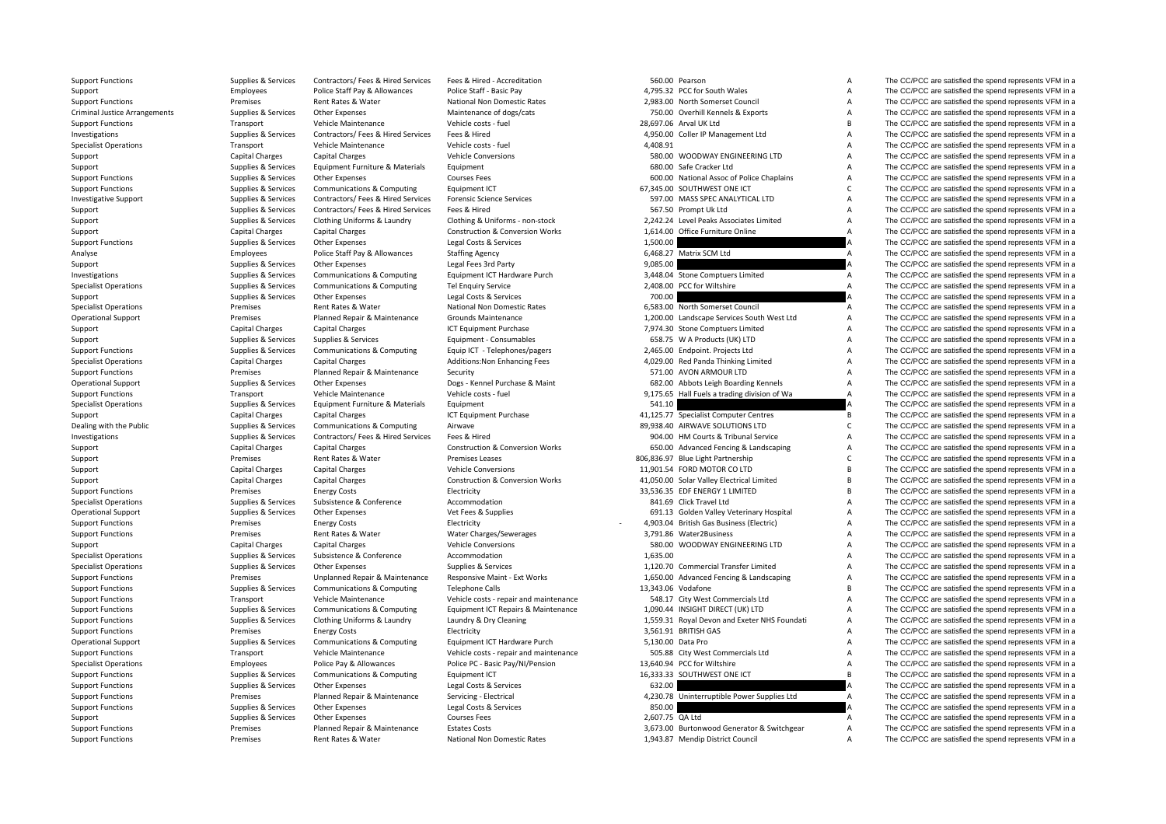Criminal Justice

Support Functions Supplies Supplies & Services Contractors/ Fees & Hired Services Fees & Hired - Accreditation S60.00 Pearson A The CC/PCC are satisfied the spend represents VFM in a

Support Support Employees Police Staff Pay & Allowances Police Staff - Basic Pay Police Staff - Basic Pay and A<br>Support Functions A The CC/PCC are satisfied the spend represents VFM in a The Scape of the spend represents V Support Functions Premises Rent Rates & Water National Non Domestic Rates 2,983.00 North Somerset Council A The CC/PCC are satisfied the spend represents VFM in a Arrangements Supplies & Services Other Expenses Maintenance of dogs/cats 750.00 Overhill Kennels & Exports A The CC/PCC are satisfied the spend represents VFM in a Support Functions Transport Vehicle Maintenance Vehicle costs - fuel 28,697.06 Arval UK Ltd B The CC/PCC are satisfied the spend represents VFM in a Investigations Supplies A Services Contractors/ Fees & Hired Services Fees & Hired 4,950.00 Coller IP Management Ltd A The CC/PCC are satisfied the spend represents VFM in a Specialist Operations Transport Vehicle Maintenance Vehicle costs ‐ fuel 4,408.91 A The CC/PCC are satisfied the spend represents VFM in a Support Capital Charges Capital Charges Capital Charges Vehicle Conversions Vehicle Conversions 580.00 WOODWAY ENGINEERING LTD A The CC/PCC are satisfied the spend represents VFM in a Support Supplies & Services Equipment Furniture & Materials Equipment Caracker Ltd 680.00 Safe Cracker Ltd A The CC/PCC are satisfied the spend represents VFM in a Support Functions Supplies Supplies & Services Other Expenses Courses Fees Courses Fees 600.00 National Assoc of Police Chaplains A The CC/PCC are satisfied the spend represents VFM in a Supplies & Services Communications Support Functions Supplies & Services Communications & Computing Equipment ICT 67,345.00 SOUTHWEST ONE ICT C The CC/PCC are satisfied the spend represents VFM in a Investigative Support Supplies A Services Contractors/ Fees & Hired Services Forensic Science Services Forensic Science Services 597.00 MASS SPEC ANALYTICAL LTD A The CC/PCC are satisfied the spend represents VFM in a supp Support Support Support Support Support Support Support Support Support Support Support Support Support Support Support Support Support Support Support Support Support Support Support Support Support Support Support Suppor Support Supplies & Services Clothing Uniforms & Laundry Clothing & Uniforms - non‐stock 2,242.24 Level Peaks Associates Limited A The CC/PCC are satisfied the spend represents VFM in a Support Capital Charges Capital Charges Capital Charges Construction & Conversion Works 1,614.00 Office Furniture Online A The CC/PCC are satisfied the spend represents VFM in a Support Functions Supplies Services Other Expenses Legal Costs & Services 1,500.00 A The CC/PCC are satisfied the spend represents VFM in a Analyse Employees Police Staff Pay & Allowances Staffing Agency 6,468.27 Matrix SCM Ltd A The CC/PCC are satisfied the spend represents VFM in a Support Supplies & Services Other Expenses Legal Fees 3rd Party 9,085.00 9,085.00 A The CC/PCC are satisfied the spend represents VFM in a Investigations Supplies & Services Communications & Computing Equipment ICT Hardware Purch 3,448.04 Stone Computers Limited A The CC/PCC are satisfied the spend represents VFM in a Supplies Supplies & Services Communications & Computing Tel Enquiry Service 2,408.00 PCC for Wiltshire A The CC/PCC are satisfied the spend represents VFM in a Support Supplies & Services Other Expenses Legal Costs & Services 700.00 700.00 A The CC/PCC are satisfied the spend represents VFM in a Specialist Operations **Premises** Rent Rates & Water National Non Domestic Rates 6,583.00 North Somerset Council A The CC/PCC are satisfied the spend represents VFM in a Operational Support **Premises** Planned Repair & Maintenance Grounds Maintenance 1,200.00 Landscape Services South West Ltd A The CC/PCC are satisfied the spend represents VFM in a Support Capital Charges Capital Charges Capital Charges ICT Equipment Purchase 7,974.30 Stone Comptuers Limited A The CC/PCC are satisfied the spend represents VFM in a Support Supplies Supplies & Services Supplies & Services Equipment - Consumables Consumables 658.75 W A Products (UK) LTD A The CC/PCC are satisfied the spend represents VFM in a Support Functions & Support Support Functio Support Functions Supplies & Services Communications & Computing Equip ICT - Telephones/pagers 2,465.00 Endpoint. Projects Ltd A The CC/PCC are satisfied the spend represents VFM in a Specialist Operations Specialist Operations Capital Charges Capital Charges Additions:Non Enhancing Fees 4,029.00 Red Panda Thinking Limited A The CC/PCC are satisfied the spend represents VFM in a Specialist Operations: A Support Functions **Premises** Planned Repair & Maintenance Security **1996** Security 571.00 AVON ARMOUR LTD A The CC/PCC are satisfied the spend represents VFM in a Operational Support Supplies & Services Other Expenses Dogs - Kennel Purchase & Maint 682.00 Abbots Leigh Boarding Kennels A The CC/PCC are satisfied the spend represents VFM in a Support Functions Transport Vehicle Maintenance Vehicle costs ‐ fuel 9,175.65 Hall Fuels a trading division of Wa A The CC/PCC are satisfied the spend represents VFM in a Specialist Operations Supplies & Services Equipment Furniture & Materials Equipment Furniture 3 Materials Supplies A The CC/PCC are satisfied the spend represents VFM in a Support Capital Charges Capital Charges Capital Charges ICT Equipment Purchase 41,125.77 Specialist Computer Centres B The CC/PCC are satisfied the spend represents VFM in a Dealing with the Public Supplies Airwave Supplies & Services Communications & Computing Airwave and Airwave 89,938.40 AIRWAVE SOLUTIONS LTD C The CC/PCC are satisfied the spend represents VFM in a Investigations Supplies & Services Contractors/ Fees & Hired Services Fees & Hired Service Press and Service Bundle 904.00 HM Courts & Tribunal Service A The CC/PCC are satisfied the spend represents VFM in a Support Capital Charges Capital Charges Capital Charges Construction & Conversion Works 650.00 Advanced Fencing & Landscaping A The CC/PCC are satisfied the spend represents VFM in a Support Premises Rent Rates & Water Premises Leases Rent Rates are a set as a set and the CC/PCC are satisfied the spend represents VFM in a Support Capital Charges Capital Charges Capital Charges Vehicle Conversions Vehicle Conversions 11,901.54 FORD MOTOR CO LTD B The CC/PCC are satisfied the spend represents VFM in a Support Capital Charges Capital Charges Capital Charges Construction & Conversion Works 41,050.00 Solar Valley Electrical Limited B The CC/PCC are satisfied the spend represents VFM in a Support Functions **Electricity** Energy Costs Energy Costs Electricity Electricity 33,536.35 EDF ENERGY 1 LIMITED B The CC/PCC are satisfied the spend represents VFM in a Specialist Operations Supplies & Services Subsistence & Conference Accommodation Accommodation 841.69 Click Travel Ltd A The CC/PCC are satisfied the spend represents VFM in a Operational Support Supplies & Services Other Expenses Vet Fees & Supplies Vet Fees & Supplies 691.13 Golden Valley Veterinary Hospital A The CC/PCC are satisfied the spend represents VFM in a Support Functions **Energy Costs** Energy Costs Electricity Electricity **A Support Functions** A The CC/PCC are satisfied the spend represents VFM in a Support Functions Premises Rent Rates & Water Water Charges/Sewerages 3,791.86 Water2Business A The CC/PCC are satisfied the spend represents VFM in a Support Capital Charges Capital Charges Vehicle Conversions Vehicle Conversions 580.00 WOODWAY ENGINEERING LTD A The CC/PCC are satisfied the spend represents VFM in a Specialist Operations Subsistence Subsistence  $S$  Conference Accommodation Accommodation 1,635.00 A The CC/PCC are satisfied the spend represents VFM in a Specialist Operations Supplies & Services Other Expenses Supplies & Services Supplies & Services 1,120.70 Commercial Transfer Limited A The CC/PCC are satisfied the spend represents VFM in a Support Functions Premises Premises Unplanned Repair & Maintenance Responsive Maint - Ext Works 1,650.00 Advanced Fencing & Landscaping A The CC/PCC are satisfied the spend represents VFM in a Support Functions Supplies & Services Communications & Computing Telephone Calls 13,343.06 Vodafone 15,343.06 Vodafone B The CC/PCC are satisfied the spend represents VFM in a Support Functions Transport Vehicle Maintenance Vehicle costs ‐ repair and maintenance 548.17 City West Commercials Ltd A The CC/PCC are satisfied the spend represents VFM in a Support Functions Supplies Services Communications & Computing Faultoment ICT Repairs & Maintenance 1,090.44 INSIGHT DIRECT (UK) LTD A The CC/PCC are satisfied the spend represents VFM in a Support Functions Supplies & Services Clothing Uniforms & Laundry Laundry & Dry Cleaning 1,559.31 Royal Devon and Exeter NHS Foundati A The CC/PCC are satisfied the spend represents VFM in a Support Functions **Energy Costs** Energy Costs Electricity Electricity 3,561.91 BRITISH GAS A The CC/PCC are satisfied the spend represents VFM in a Operational Support Supplies & Services Communications & Computing Equipment ICT Hardware Purch 5,130.00 Data Pro A The CC/PCC are satisfied the spend represents VFM in a Support Functions Transport Vehicle Maintenance Vehicle costs ‐ repair and maintenance 505.88 City West Commercials Ltd A The CC/PCC are satisfied the spend represents VFM in a Specialist Operations Employees Police Pay & Allowances Police PC - Basic Pay/NI/Pension 13,640.94 PCC for Wiltshire A The CC/PCC are satisfied the spend represents VFM in a Support Functions Supplies & Services Communications & Computing Equipment ICT 16,333.33 SOUTHWEST ONE ICT B The CC/PCC are satisfied the spend represents VFM in a Support Functions Supplies A Services Other Expenses Legal Costs & Services 632.00 A The CC/PCC are satisfied the spend represents VFM in a Support Functions Public Premises Planned Repair & Maintenance Servicing - Electrical 4,230.78 Uninterruptible Power Supplies Ltd A The CC/PCC are satisfied the spend represents VFM in a Supplies & Services Legal Costs & S Support Functions Supplies Support Support Support Support Services Control Costs & Services A Services 850.00 A The CC/PCC are satisfied the spend represents VFM in a Support Supplies & Services Other Expenses 2,600 Courses Fees 2,607.75 QA Ltd A The CC/PCC are satisfied the spend represents VFM in a Support Functions Premises Planned Repair & Maintenance Estates Costs 3,673.00 Burtonwood Generator & Switchgear A The CC/PCC are satisfied the spend represents VFM in a Support Functions Premises Rent Rates & Water National Non Domestic Rates 1,943.87 Mendip District Council A The CC/PCC are satisfied the spend represents VFM in a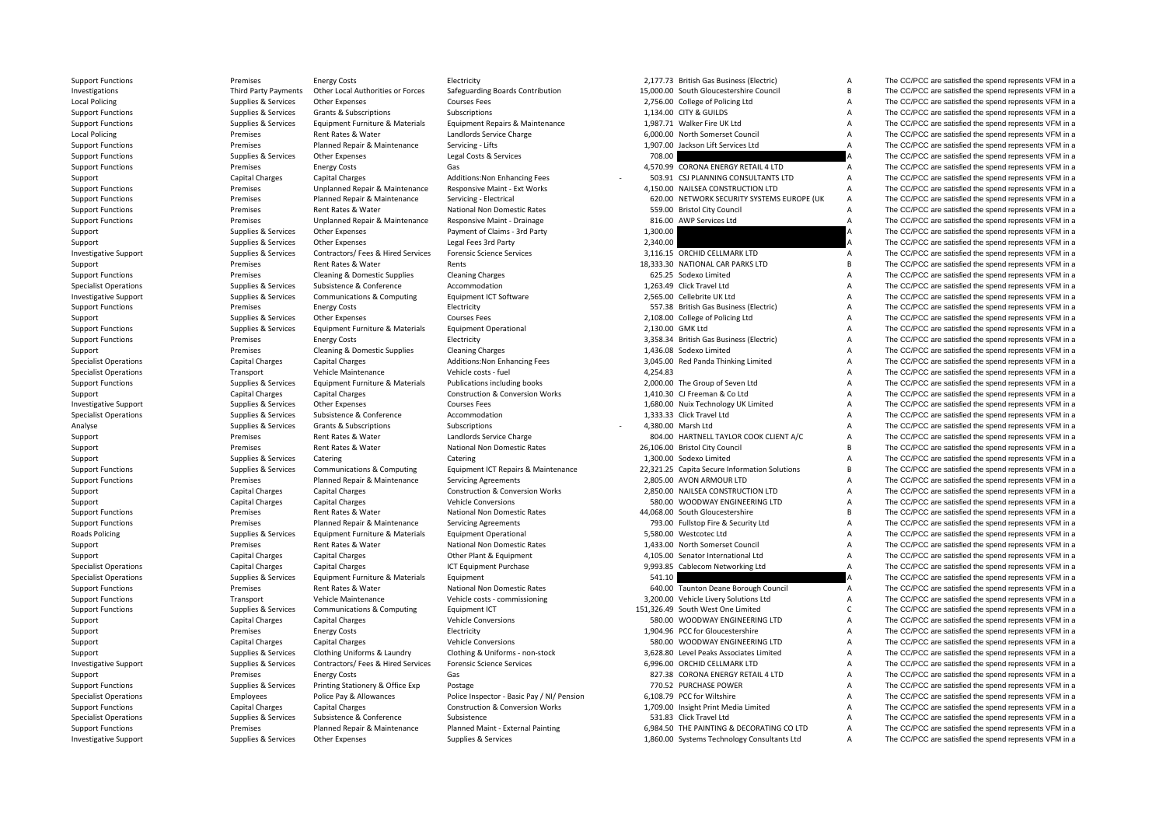Local Policing Local Policing **Roads Policing** 

Support Functions Premises Energy Costs Electricity 2,177.73 British Gas Business (Electric) A The CC/PCC are satisfied the spend represents VFM in a

Investigations Third Party Payments Other Local Authorities or Forces Safeguarding Boards Contribution 15,000.00 South Gloucestershire Council B The CC/PCC are satisfied the spend represents VFM in a Policing Supplies & Services Other Expenses Courses Fees 2,756.00 College of Policing Ltd A The CC/PCC are satisfied the spend represents VFM in a Support Functions Support Support Support Subscriptions Subscriptions Subscriptions Subscriptions Subscriptions Subscriptions and the Support of the CC/PCC are satisfied the spend represents VFM in a Support Functions Supplies & Services Equipment Furniture & Materials Equipment Repairs & Maintenance 1,987.71 Walker Fire UK Ltd A The CC/PCC are satisfied the spend represents VFM in a Premises Rent Rates & Water Landlords Service Charge 6,000,00 North Somerset Council A The CC/PCC are satisfied the spend represents VFM in a Support Functions Premises Planned Repair & Maintenance Servicing - Lifts 1,907.00 Jackson Lift Services Ltd A The CC/PCC are satisfied the spend represents VFM in a Support Functions Supplies A Services Other Expenses Legal Costs & Services 2016 2017 2018.00 A The CC/PCC are satisfied the spend represents VFM in a Support Functions energy Costs Energy Costs Gas Gas Gas And the CORONA ENERGY RETAIL 4 LTD A The CC/PCC are satisfied the spend represents VFM in a Support Capital Charges Capital Charges Additions:Non Enhancing Fees - 503.91 CSJ PLANNING CONSULTANTS LTD A The CC/PCC are satisfied the spend represents VFM in a Support Functions Premises Premises Unplanned Repair & Maintenance Responsive Maint - Ext Works 4,150.00 NAILSEA CONSTRUCTION LTD A The CC/PCC are satisfied the spend represents VFM in a Support Functions Premises Planned Repair & Maintenance Servicing - Electrical 620.00 NETWORK SECURITY SYSTEMS EUROPE (UK A The CC/PCC are satisfied the spend represents VFM in a Support Functions Premises Rent Rates & Water National Non Domestic Rates 559.00 Bristol City Council A The CC/PCC are satisfied the spend represents VFM in a Support Functions **Premises** Premises Unplanned Repair & Maintenance Responsive Maint - Drainage 816.00 AWP Services Ltd A The CC/PCC are satisfied the spend represents VFM in a Support Support Support Services Other Expenses Payment of Claims - 3rd Party 1,300.00 A The CC/PCC are satisfied the spend represents VFM in a Support Supplies & Services Other Expenses Legal Fees 3rd Party 2,340,00 2,340,00 A The CC/PCC are satisfied the spend represents VFM in a Investigative Support Supplies & Services Contractors/ Fees & Hired Services Forensic Science Services 3,116.15 ORCHID CELLMARK LTD A The CC/PCC are satisfied the spend represents VFM in a Support Premises Rent Rates & Water Rents 18,333.30 NATIONAL CAR PARKS LTD B The CC/PCC are satisfied the spend represents VFM in a Support Functions **Premises** Cleaning & Domestic Supplies Cleaning Charges **Cleaning Charges** Cleaning Charges **Cleaning Charges** Cleaning Charges **625.25** Sodexo Limited A The CC/PCC are satisfied the spend represents VFM Specialist Operations Supplies & Services Subsistence & Conference Accommodation Accommodation 1,263.49 Click Travel Ltd A The CC/PCC are satisfied the spend represents VFM in a Investigative Support Support Supplies & Services Communications & Computing Equipment ICT Software 2,565.00 Cellebrite UK Ltd A The CC/PCC are satisfied the spend represents VFM in a Support Functions **Electricity** Energy Costs Electricity Electricity **Electricity** 557.38 British Gas Business (Electric) A The CC/PCC are satisfied the spend represents VFM in a Support Supplies & Services Other Expenses Courses Fees Courses Fees 2,108.00 College of Policing Ltd A The CC/PCC are satisfied the spend represents VFM in a Support Functions Supplies & Services Equipment Furniture & Materials Equipment Operational 2,130.00 GMK Ltd A The CC/PCC are satisfied the spend represents VFM in a Support Functions **Electricity** Energy Costs Electricity Electricity 3,358.34 British Gas Business (Electric) A The CC/PCC are satisfied the spend represents VFM in a Support Premises Cleaning & Domestic Supplies Cleaning Charges Cleaning Charges 1,436.08 Sodexo Limited A The CC/PCC are satisfied the spend represents VFM in a Specialist Operations Specialist Capital Charges Capital Charges Capital Charges Additions:Non Enhancing Fees 3,045.00 Red Panda Thinking Limited A The CC/PCC are satisfied the spend represents VFM in a Specialist Operatio Specialist Operations Transport Vehicle Maintenance Vehicle costs ‐ fuel 4,254.83 A The CC/PCC are satisfied the spend represents VFM in a Support Functions Supplies & Services Equipment Furniture & Materials Publications including books 2,000.00 The Group of Seven Ltd A The CC/PCC are satisfied the spend represents VFM in a Support Capital Charges Capital Charges Capital Charges Construction & Conversion Works 1,410.30 CJ Freeman & Co Ltd A The CC/PCC are satisfied the spend represents VFM in a Investigative Support Support Supplies & Services Other Expenses Courses Fees Courses Fees 1,680.00 Nuix Technology UK Limited A The CC/PCC are satisfied the spend represents VFM in a Specialist Operations Supplies & Services Subsistence & Conference Accommodation Accommodation 1,333.33 Click Travel Ltd A The CC/PCC are satisfied the spend represents VFM in a Analyse Supplies & Services Grants & Subscriptions Subscriptions Subscriptions Subscriptions A A The CC/PCC are satisfied the spend represents VFM in a Support Premises Rent Rates & Water Landlords Service Charge 804.00 HARTNELL TAYLOR COOK CLIENT A/C A The CC/PCC are satisfied the spend represents VFM in a Support Premises Rent Rates & Water National Non Domestic Rates 26,106.00 Bristol City Council B The CC/PCC are satisfied the spend represents VFM in a Support Supplies & Services Catering Catering Catering Catering Catering Catering Catering 1,300.00 Sodexo Limited A The CC/PCC are satisfied the spend represents VFM in a Support Functions Supplies & Services Communications & Computing Equipment ICT Repairs & Maintenance 22,321.25 Capita Secure Information Solutions B The CC/PCC are satisfied the spend represents VFM in a Support Functions **Premises** Planned Repair & Maintenance Servicing Agreements 2,805.00 AVON ARMOUR LTD A The CC/PCC are satisfied the spend represents VFM in a Support Capital Charges Capital Charges Capital Charges Construction & Conversion Works 2,850.00 NAILSEA CONSTRUCTION LTD A The CC/PCC are satisfied the spend represents VFM in a Support Capital Charges Capital Charges Capital Charges Vehicle Conversions Vehicle Conversions 580.00 WOODWAY ENGINEERING LTD A The CC/PCC are satisfied the spend represents VFM in a Support Functions **Premises** Premises Rent Rates & Water National Non Domestic Rates 44,068.00 South Gloucestershire B The CC/PCC are satisfied the spend represents VFM in a Support Functions **Premises** Planned Repair & Maintenance Servicing Agreements 793.00 Fullstop Fire & Security Ltd A The CC/PCC are satisfied the spend represents VFM in a Policing Supplies & Services Equipment Furniture & Materials Equipment Operational 5,580.00 Westcotec Ltd A The CC/PCC are satisfied the spend represents VFM in a Support Premises Rent Rates & Water National Non Domestic Rates 1,433.00 North Somerset Council A The CC/PCC are satisfied the spend represents VFM in a Support Capital Charges Capital Charges Capital Charges Other Plant & Foulpment 4,105.00 Senator International Ltd A The CC/PCC are satisfied the spend represents VFM in a Specialist Operations Specialist Operations Capital Charges Capital Charges Capital Charges Capital Charges ICT Equipment Purchase 9,993.85 Cablecom Networking Ltd A The CC/PCC are satisfied the spend represents VFM in a S Specialist Operations Supplies & Services Equipment Furniture & Materials Equipment Furniture 3 and Services Supplies & Services Equipment Furniture & Materials Founded and Services Supplies & Services Equipment Furniture Support Functions **Premises** Rent Rates & Water National Non Domestic Rates 640.00 Taunton Deane Borough Council A The CC/PCC are satisfied the spend represents VFM in a Support Functions Transport Vehicle Maintenance Vehicle costs ‐ commissioning 3,200.00 Vehicle Livery Solutions Ltd A The CC/PCC are satisfied the spend represents VFM in a Support Functions Supplies & Services Communications & Computing Faultoment ICT 151,326.49 South West One Limited C The CC/PCC are satisfied the spend represents VFM in a Support Capital Charges Capital Charges Capital Charges Vehicle Conversions Vehicle Conversions 580.00 WOODWAY ENGINEERING LTD A The CC/PCC are satisfied the spend represents VFM in a Support **Exercise Energy Costs** Energy Costs Electricity Electricity **Electricity** 1,904.96 PCC for Gloucestershire A The CC/PCC are satisfied the spend represents VFM in a Support Capital Charges Capital Charges Capital Charges Vehicle Conversions Vehicle Conversions 580.00 WOODWAY ENGINEERING LTD A The CC/PCC are satisfied the spend represents VFM in a Support Supplies & Services Clothing Uniforms & Laundry Clothing & Uniforms - non‐stock 3,628.80 Level Peaks Associates Limited A The CC/PCC are satisfied the spend represents VFM in a Investigative Support Supplies & Services Contractors/ Fees & Hired Services Forensic Science Services 6,996.00 ORCHID CELLMARK LTD A The CC/PCC are satisfied the spend represents VFM in a Support Premises Energy Costs Gas Gas Gas Base and Coronal ENERGY RETAIL 4 LTD A The CC/PCC are satisfied the spend represents VFM in a Support Functions Supplies & Services Printing Stationery & Office Exp Postage Printing Stationery & Office Exp Postage 770.52 PURCHASE POWER A The CC/PCC are satisfied the spend represents VFM in a Specialist Operations Specialist Operations Specialist Operations Employees Police Pay & Allowances Police Inspector - Basic Pay / NI/ Pension 6,108.79 PCC for Wiltshire A The CC/PCC are satisfied the spend represents VFM Support Functions Capital Charges Capital Charges Construction & Conversion Works 1,709.00 Insight Print Media Limited A The CC/PCC are satisfied the spend represents VFM in a Specialist Operations Supplies & Services Subsistence Subsistence Subsistence Subsistence Subsistence Subsistence Subsistence Subsistence Subsistence Subsistence Subsistence Subsistence Subsistence Subsistence Subsistence Support Functions Premises Planned Repair & Maintenance Planned Maint - External Painting 6,984.50 THE PAINTING & DECORATING CO LTD A The CC/PCC are satisfied the spend represents VFM in a Investigative Support Support Support Support Support Support Support Support Support Support Support Support Support Support Support Support Support Support Support Support Support Support Support Support Support Support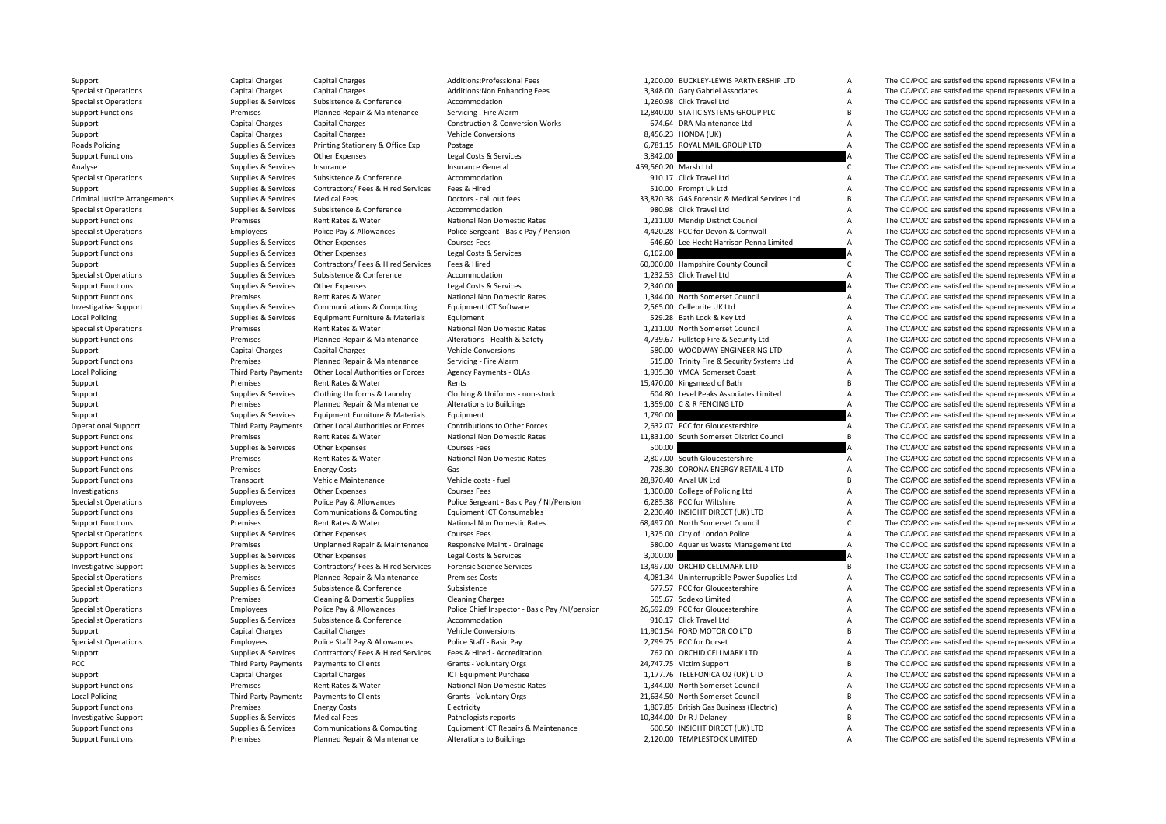| Support                                       | Capital Charges             | Capital Charges                                             | Additions:Professional Fees                                     | 1,200.00 BUCKLEY-LEWIS PARTNERSHIP LTD                        | A              | The CC/PCC are satisfied the spend represents VFM in a                                                           |
|-----------------------------------------------|-----------------------------|-------------------------------------------------------------|-----------------------------------------------------------------|---------------------------------------------------------------|----------------|------------------------------------------------------------------------------------------------------------------|
| <b>Specialist Operations</b>                  | Capital Charges             | <b>Capital Charges</b>                                      | Additions: Non Enhancing Fees                                   | 3,348.00 Gary Gabriel Associates                              | A              | The CC/PCC are satisfied the spend represents VFM in a                                                           |
| <b>Specialist Operations</b>                  | Supplies & Services         | Subsistence & Conference                                    | Accommodation                                                   | 1,260.98 Click Travel Ltd                                     | $\overline{A}$ | The CC/PCC are satisfied the spend represents VFM in a                                                           |
| <b>Support Functions</b>                      | Premises                    | Planned Repair & Maintenance                                | Servicing - Fire Alarm                                          | 12,840.00 STATIC SYSTEMS GROUP PLC                            | B              | The CC/PCC are satisfied the spend represents VFM in a                                                           |
| Support                                       | Capital Charges             | <b>Capital Charges</b>                                      | <b>Construction &amp; Conversion Works</b>                      | 674.64 DRA Maintenance Ltd                                    | A              | The CC/PCC are satisfied the spend represents VFM in a                                                           |
| Support                                       | Capital Charges             | <b>Capital Charges</b>                                      | Vehicle Conversions                                             | 8,456.23 HONDA (UK)                                           | $\overline{A}$ | The CC/PCC are satisfied the spend represents VFM in a                                                           |
| Roads Policing                                | Supplies & Services         | Printing Stationery & Office Exp                            | Postage                                                         | 6,781.15 ROYAL MAIL GROUP LTD                                 | $\overline{A}$ | The CC/PCC are satisfied the spend represents VFM in a                                                           |
| <b>Support Functions</b>                      | Supplies & Services         | Other Expenses                                              | Legal Costs & Services                                          | 3,842.00                                                      |                | The CC/PCC are satisfied the spend represents VFM in a                                                           |
| Analyse                                       | Supplies & Services         | Insurance                                                   | <b>Insurance General</b>                                        | 459,560.20 Marsh Ltd                                          | C.             | The CC/PCC are satisfied the spend represents VFM in a                                                           |
| <b>Specialist Operations</b>                  | Supplies & Services         | Subsistence & Conference                                    | Accommodation                                                   | 910.17 Click Travel Ltd                                       | A              | The CC/PCC are satisfied the spend represents VFM in a                                                           |
| Support                                       | Supplies & Services         | Contractors/ Fees & Hired Services                          | Fees & Hired                                                    | 510.00 Prompt Uk Ltd                                          | A              | The CC/PCC are satisfied the spend represents VFM in a                                                           |
| <b>Criminal Justice Arrangements</b>          | Supplies & Services         | <b>Medical Fees</b>                                         | Doctors - call out fees                                         | 33,870.38 G4S Forensic & Medical Services Ltd                 | $\overline{B}$ | The CC/PCC are satisfied the spend represents VFM in a                                                           |
| <b>Specialist Operations</b>                  | Supplies & Services         | Subsistence & Conference                                    | Accommodation                                                   | 980.98 Click Travel Ltd                                       | $\overline{A}$ | The CC/PCC are satisfied the spend represents VFM in a                                                           |
|                                               | Premises                    | Rent Rates & Water                                          |                                                                 |                                                               | A              | The CC/PCC are satisfied the spend represents VFM in a                                                           |
| <b>Support Functions</b>                      |                             |                                                             | National Non Domestic Rates                                     | 1,211.00 Mendip District Council                              | $\overline{A}$ |                                                                                                                  |
| <b>Specialist Operations</b>                  | Employees                   | Police Pay & Allowances                                     | Police Sergeant - Basic Pay / Pension                           | 4,420.28 PCC for Devon & Cornwall                             |                | The CC/PCC are satisfied the spend represents VFM in a                                                           |
| <b>Support Functions</b>                      | Supplies & Services         | Other Expenses                                              | <b>Courses Fees</b>                                             | 646.60 Lee Hecht Harrison Penna Limited                       | $\overline{A}$ | The CC/PCC are satisfied the spend represents VFM in a                                                           |
| <b>Support Functions</b>                      | Supplies & Services         | Other Expenses                                              | Legal Costs & Services                                          | 6,102.00                                                      |                | The CC/PCC are satisfied the spend represents VFM in a                                                           |
| Support                                       | Supplies & Services         | Contractors/ Fees & Hired Services                          | Fees & Hired                                                    | 60,000.00 Hampshire County Council                            | $\mathsf{C}$   | The CC/PCC are satisfied the spend represents VFM in a                                                           |
| <b>Specialist Operations</b>                  | Supplies & Services         | Subsistence & Conference                                    | Accommodation                                                   | 1,232.53 Click Travel Ltd                                     | $\overline{A}$ | The CC/PCC are satisfied the spend represents VFM in a                                                           |
| <b>Support Functions</b>                      | Supplies & Services         | Other Expenses                                              | Legal Costs & Services                                          | 2,340.00                                                      |                | The CC/PCC are satisfied the spend represents VFM in a                                                           |
| <b>Support Functions</b>                      | Premises                    | Rent Rates & Water                                          | National Non Domestic Rates                                     | 1,344.00 North Somerset Council                               | A              | The CC/PCC are satisfied the spend represents VFM in a                                                           |
| <b>Investigative Support</b>                  | Supplies & Services         | Communications & Computing                                  | Equipment ICT Software                                          | 2,565.00 Cellebrite UK Ltd                                    | A              | The CC/PCC are satisfied the spend represents VFM in a                                                           |
| Local Policing                                | Supplies & Services         | Equipment Furniture & Materials                             | Equipment                                                       | 529.28 Bath Lock & Key Ltd                                    | A              | The CC/PCC are satisfied the spend represents VFM in a                                                           |
| <b>Specialist Operations</b>                  | Premises                    | Rent Rates & Water                                          | National Non Domestic Rates                                     | 1,211.00 North Somerset Council                               | A              | The CC/PCC are satisfied the spend represents VFM in a                                                           |
| <b>Support Functions</b>                      | Premises                    | Planned Repair & Maintenance                                | Alterations - Health & Safety                                   | 4,739.67 Fullstop Fire & Security Ltd                         | A              | The CC/PCC are satisfied the spend represents VFM in a                                                           |
| Support                                       | <b>Capital Charges</b>      | <b>Capital Charges</b>                                      | Vehicle Conversions                                             | 580.00 WOODWAY ENGINEERING LTD                                | А              | The CC/PCC are satisfied the spend represents VFM in a                                                           |
| <b>Support Functions</b>                      | Premises                    | Planned Repair & Maintenance                                | Servicing - Fire Alarm                                          | 515.00 Trinity Fire & Security Systems Ltd                    | A              | The CC/PCC are satisfied the spend represents VFM in a                                                           |
| <b>Local Policing</b>                         | <b>Third Party Payments</b> | Other Local Authorities or Forces                           | <b>Agency Payments - OLAs</b>                                   | 1,935.30 YMCA Somerset Coast                                  | A              | The CC/PCC are satisfied the spend represents VFM in a                                                           |
| Support                                       | Premises                    | Rent Rates & Water                                          | Rents                                                           | 15,470.00 Kingsmead of Bath                                   | <b>B</b>       | The CC/PCC are satisfied the spend represents VFM in a                                                           |
| Support                                       | Supplies & Services         | Clothing Uniforms & Laundry                                 | Clothing & Uniforms - non-stock                                 | 604.80 Level Peaks Associates Limited                         | A              | The CC/PCC are satisfied the spend represents VFM in a                                                           |
| Support                                       | Premises                    | Planned Repair & Maintenance                                | <b>Alterations to Buildings</b>                                 | 1,359.00 C & R FENCING LTD                                    | $\overline{A}$ | The CC/PCC are satisfied the spend represents VFM in a                                                           |
| Support                                       | Supplies & Services         | Equipment Furniture & Materials                             | Equipment                                                       | 1,790.00                                                      |                | The CC/PCC are satisfied the spend represents VFM in a                                                           |
| <b>Operational Support</b>                    | <b>Third Party Payments</b> | Other Local Authorities or Forces                           | Contributions to Other Forces                                   | 2,632.07 PCC for Gloucestershire                              | $\overline{A}$ | The CC/PCC are satisfied the spend represents VFM in a                                                           |
| <b>Support Functions</b>                      | Premises                    | Rent Rates & Water                                          | National Non Domestic Rates                                     | 11,831.00 South Somerset District Council                     | $\overline{B}$ | The CC/PCC are satisfied the spend represents VFM in a                                                           |
| <b>Support Functions</b>                      | Supplies & Services         | Other Expenses                                              | <b>Courses Fees</b>                                             | 500.00                                                        |                | The CC/PCC are satisfied the spend represents VFM in a                                                           |
| <b>Support Functions</b>                      | Premises                    | Rent Rates & Water                                          | National Non Domestic Rates                                     | 2,807.00 South Gloucestershire                                | A              | The CC/PCC are satisfied the spend represents VFM in a                                                           |
| <b>Support Functions</b>                      | Premises                    | <b>Energy Costs</b>                                         | Gas                                                             | 728.30 CORONA ENERGY RETAIL 4 LTD                             | A              | The CC/PCC are satisfied the spend represents VFM in a                                                           |
| <b>Support Functions</b>                      | Transport                   | Vehicle Maintenance                                         | Vehicle costs - fuel                                            | 28,870.40 Arval UK Ltd                                        | B              | The CC/PCC are satisfied the spend represents VFM in a                                                           |
|                                               |                             |                                                             | <b>Courses Fees</b>                                             |                                                               | A              |                                                                                                                  |
| Investigations                                | Supplies & Services         | Other Expenses                                              |                                                                 | 1,300.00 College of Policing Ltd                              | A              | The CC/PCC are satisfied the spend represents VFM in a                                                           |
| <b>Specialist Operations</b>                  | Employees                   | Police Pay & Allowances                                     | Police Sergeant - Basic Pay / NI/Pension                        | 6,285.38 PCC for Wiltshire                                    |                | The CC/PCC are satisfied the spend represents VFM in a                                                           |
| <b>Support Functions</b>                      | Supplies & Services         | Communications & Computing                                  | <b>Equipment ICT Consumables</b>                                | 2.230.40 INSIGHT DIRECT (UK) LTD                              | A              | The CC/PCC are satisfied the spend represents VFM in a                                                           |
| <b>Support Functions</b>                      | Premises                    | Rent Rates & Water                                          | National Non Domestic Rates                                     | 68,497.00 North Somerset Council                              | $\mathsf{C}$   | The CC/PCC are satisfied the spend represents VFM in a                                                           |
| <b>Specialist Operations</b>                  | Supplies & Services         | Other Expenses                                              | <b>Courses Fees</b>                                             | 1,375.00 City of London Police                                | $\overline{A}$ | The CC/PCC are satisfied the spend represents VFM in a                                                           |
| <b>Support Functions</b>                      | Premises                    | Unplanned Repair & Maintenance                              | Responsive Maint - Drainage                                     | 580.00 Aquarius Waste Management Ltd                          | $\overline{A}$ | The CC/PCC are satisfied the spend represents VFM in a                                                           |
| <b>Support Functions</b>                      | Supplies & Services         | Other Expenses                                              | Legal Costs & Services                                          | 3,000.00                                                      |                | The CC/PCC are satisfied the spend represents VFM in a                                                           |
| Investigative Support                         | Supplies & Services         | Contractors/ Fees & Hired Services                          | <b>Forensic Science Services</b>                                | 13,497.00 ORCHID CELLMARK LTD                                 | B              | The CC/PCC are satisfied the spend represents VFM in a                                                           |
| <b>Specialist Operations</b>                  | Premises                    | Planned Repair & Maintenance                                | <b>Premises Costs</b>                                           | 4,081.34 Uninterruptible Power Supplies Ltd                   | $\overline{A}$ | The CC/PCC are satisfied the spend represents VFM in a                                                           |
| <b>Specialist Operations</b>                  | Supplies & Services         | Subsistence & Conference                                    | Subsistence                                                     | 677.57 PCC for Gloucestershire                                | A              | The CC/PCC are satisfied the spend represents VFM in a                                                           |
| Support                                       | Premises                    | Cleaning & Domestic Supplies                                | <b>Cleaning Charges</b>                                         | 505.67 Sodexo Limited                                         | $\overline{A}$ | The CC/PCC are satisfied the spend represents VFM in a                                                           |
| <b>Specialist Operations</b>                  | Employees                   | Police Pay & Allowances                                     | Police Chief Inspector - Basic Pay /NI/pension                  | 26,692.09 PCC for Gloucestershire                             | A              | The CC/PCC are satisfied the spend represents VFM in a                                                           |
| <b>Specialist Operations</b>                  | Supplies & Services         | Subsistence & Conference                                    | Accommodation                                                   | 910.17 Click Travel Ltd                                       | A              | The CC/PCC are satisfied the spend represents VFM in a                                                           |
| Support                                       | <b>Capital Charges</b>      | <b>Capital Charges</b>                                      | <b>Vehicle Conversions</b>                                      | 11,901.54 FORD MOTOR CO LTD                                   | $\overline{B}$ | The CC/PCC are satisfied the spend represents VFM in a                                                           |
| <b>Specialist Operations</b>                  | Employees                   | Police Staff Pay & Allowances                               | Police Staff - Basic Pay                                        | 2,799.75 PCC for Dorset                                       | A              | The CC/PCC are satisfied the spend represents VFM in a                                                           |
| Support                                       | Supplies & Services         | Contractors/ Fees & Hired Services                          | Fees & Hired - Accreditation                                    | 762.00 ORCHID CELLMARK LTD                                    | $\overline{A}$ | The CC/PCC are satisfied the spend represents VFM in a                                                           |
| PCC                                           | <b>Third Party Payments</b> | Payments to Clients                                         | Grants - Voluntary Orgs                                         | 24,747.75 Victim Support                                      | B              | The CC/PCC are satisfied the spend represents VFM in a                                                           |
| Support                                       | Capital Charges             | <b>Capital Charges</b>                                      | <b>ICT Equipment Purchase</b>                                   | 1,177.76 TELEFONICA O2 (UK) LTD                               | $\overline{A}$ | The CC/PCC are satisfied the spend represents VFM in a                                                           |
| <b>Support Functions</b>                      | Premises                    | Rent Rates & Water                                          | National Non Domestic Rates                                     | 1,344.00 North Somerset Council                               | $\overline{A}$ | The CC/PCC are satisfied the spend represents VFM in a                                                           |
| Local Policing                                | <b>Third Party Payments</b> | Payments to Clients                                         | Grants - Voluntary Orgs                                         | 21,634.50 North Somerset Council                              | B              | The CC/PCC are satisfied the spend represents VFM in a                                                           |
| <b>Support Functions</b>                      | Premises                    | <b>Energy Costs</b>                                         | Electricity                                                     | 1,807.85 British Gas Business (Electric)                      | $\overline{A}$ | The CC/PCC are satisfied the spend represents VFM in a                                                           |
| <b>Investigative Support</b>                  | Supplies & Services         | <b>Medical Fees</b>                                         | Pathologists reports                                            | 10,344.00 Dr R J Delaney                                      | $\overline{B}$ | The CC/PCC are satisfied the spend represents VFM in a                                                           |
|                                               |                             |                                                             |                                                                 |                                                               | $\overline{A}$ |                                                                                                                  |
| <b>Support Functions</b><br>Cunnort Eunctions | Supplies & Services         | Communications & Computing<br>Dianned Penair P. Maintenance | Equipment ICT Repairs & Maintenance<br>Altorations to Puildings | 600.50 INSIGHT DIRECT (UK) LTD<br>2.120.00 TEMPLESTOCK UMITED |                | The CC/PCC are satisfied the spend represents VFM in a<br>The CC/BCC are setiglied the spend represents VEM in a |
|                                               |                             |                                                             |                                                                 |                                                               |                |                                                                                                                  |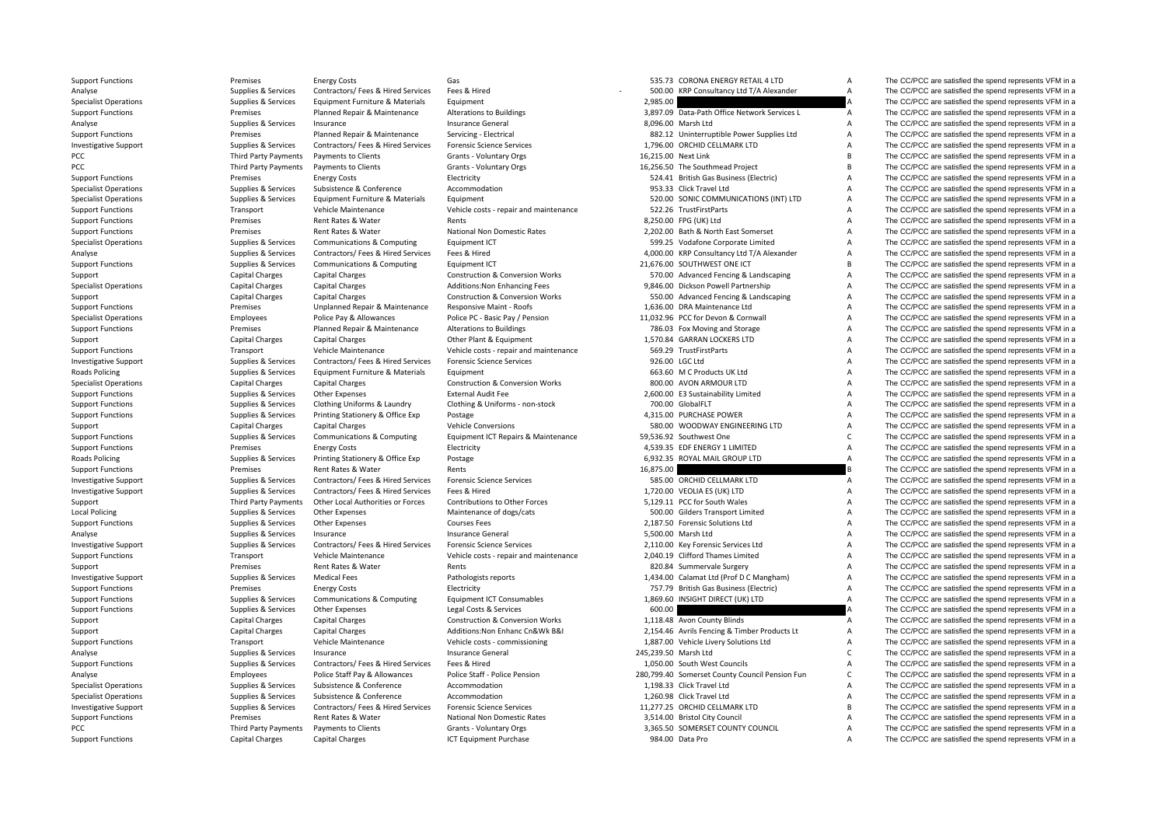PCC Third Party Payments PCC Third Party Payments **Roads Policing Roads Policing Local Policing** PCC **Third** 

Support Functions Premises Functions Premises Functions Energy Costs Gas Gas S35.73 CORONA ENERGY RETAIL 4 LTD A The CC/PCC are satisfied the spend represents VFM in a

Analyse Supplies A Supplies Services Contractors/ Fees & Hired Services Fees & Hired Services Fees & Hired Services Fees & Hired Services Fees & Hired Services Fees & Hired Services Fees & Hired Services Fees & Hired Servi Supplies & Services Equipment Furniture & Materials Equipment 2,985.00 2,985.00 A The CC/PCC are satisfied the spend represents VFM in a Support Functions **Premises** Planned Repair & Maintenance Alterations to Buildings 3,897.09 Data‐Path Office Network Services L A The CC/PCC are satisfied the spend represents VFM in a Analyse Supplies & Services Insurance Supplies A Services Insurance General Insurance General 8,096.00 Marsh Ltd A The CC/PCC are satisfied the spend represents VFM in a Support Functions Premises Premises Planned Repair & Maintenance Servicing - Flectrical 882.12 Uninterruptible Power Supplies Ltd A The CC/PCC are satisfied the spend represents VFM in a Investigative Support Support Supplies & Services Contractors/ Fees & Hired Services Forensic Science Services 1,796.00 ORCHID CELLMARK LTD A The CC/PCC are satisfied the spend represents VFM in a Payments to Clients Grants - Voluntary Orgs 16,215.00 Next Link B The CC/PCC are satisfied the spend represents VFM in a Payments to Clients Crants - Voluntary Orgs 16,256.50 The Southmead Project B The CC/PCC are satisfied the spend represents VFM in a Support Functions Support Functions Premises Energy Costs Electricity Electricity Electricity 524.41 British Gas Business (Electric) A The CC/PCC are satisfied the spend represents VFM in a Supplies & Services Subsistence Specialist Operations Supplies & Services Subsistence & Conference Accommodation Accommodation 953.33 Click Travel Ltd A The CC/PCC are satisfied the spend represents VFM in a Specialist Operations Supplies & Services Equipment Furniture & Materials Equipment Furniture & Materials Equipment Furniture & Materials Equipment S20.00 SONIC COMMUNICATIONS (INT) LTD A The CC/PCC are satisfied the spend Support Functions Transport Vehicle Maintenance Vehicle costs - repair and maintenance 522.26 TrustFirstParts A The CC/PCC are satisfied the spend represents VFM in a Support Functions **Examples** Premises Rent Rates & Water Rents Rents Rents Rents 8,250.00 FPG (UK) Ltd A The CC/PCC are satisfied the spend represents VFM in a Support Functions Premises Rent Rates & Water National Non Domestic Rates 2,202.00 Bath & North Fast Somerset A The CC/PCC are satisfied the spend represents VFM in a Specialist Operations Supplies & Services Communications & Computing Founder ICT 599.25 Vodafone Corporate Limited A The CC/PCC are satisfied the spend represents VFM in a Analyse Supplies & Services Contractors/ Fees & Hired Services Fees & Hired 4 200.00 KRP Consultancy Ltd T/A Alexander A The CC/PCC are satisfied the spend represents VFM in a Support Functions Supplies & Services Communications & Computing Equipment ICT 21,676.00 SOUTHWEST ONE ICT B The CC/PCC are satisfied the spend represents VFM in a Support Capital Charges Capital Charges Construction & Conversion Works 570.00 Advanced Fencing & Landscaping A The CC/PCC are satisfied the spend represents VFM in a Specialist Operations Capital Charges Capital Charges Additions:Non Enhancing Fees 9,846.00 Dickson Powell Partnership A The CC/PCC are satisfied the spend represents VFM in a Support Capital Charges Capital Charges Capital Charges Construction & Conversion Works 550.00 Advanced Fencing & Landscaping A The CC/PCC are satisfied the spend represents VFM in a Support Functions Premises Premises Unplanned Repair & Maintenance Responsive Maint - Roofs 1,636.00 DRA Maintenance Ltd A The CC/PCC are satisfied the spend represents VFM in a Specialist Operations Specialist Operations Employees Police Pay & Allowances Police PC - Basic Pay / Pension 11,032.96 PCC for Devon & Cornwall A The CC/PCC are satisfied the spend represents VFM in a Support Functions Support Functions Premises Planned Repair & Maintenance Alterations to Buildings 786.03 Fox Moving and Storage A The CC/PCC are satisfied the spend represents VFM in a Support Functions of the CR/PCC are Support Capital Charges Capital Charges Capital Charges Capital Charges Other Plant & Equipment 1,570.84 GARRAN LOCKERS LTD A The CC/PCC are satisfied the spend represents VFM in a Support Functions Transport Vehicle Maint Support Functions Transport Vehicle Maintenance Vehicle costs - repair and maintenance 569.29 TrustFirstParts A The CC/PCC are satisfied the spend represents VFM in a Investigative Support Supplies Services Contractors/ Fees & Hired Services Forensic Science Services Forensic Science Services Services Supported and the CC/PCC are satisfied the spend represents VFM in a The CC/PCC are sa Policing Supplies & Services Equipment Furniture & Materials Equipment 663.60 M C Products UK Ltd A The CC/PCC are satisfied the spend represents VFM in a Specialist Operations Special Charges Capital Charges Capital Charges Construction & Conversion Works 800.00 AVON ARMOUR LTD A The CC/PCC are satisfied the spend represents VFM in a Support Functions Supplies A Services Other Expenses External Audit Fee 2,600.00 E3 Sustainability Limited A The CC/PCC are satisfied the spend represents VFM in a Support Functions Supplies & Services Clothing Uniforms & Laundry Clothing & Uniforms - non-stock 700.00 GlobalFLT A The CC/PCC are satisfied the spend represents VFM in a Support Functions Supplies & Services Printing Stationery & Office Exp Postage exp Printing Stationery & Office Exp Postage 4,315.00 PURCHASE POWER A The CC/PCC are satisfied the spend represents VFM in a Support Capital Charges Capital Charges Capital Charges Vehicle Conversions Vehicle Conversions 580.00 WOODWAY ENGINEERING LTD A The CC/PCC are satisfied the spend represents VFM in a Support Functions Supplies Supplies & Services Communications & Computing Equipment ICT Repairs & Maintenance 59,536.92 Southwest One C The CC/PCC are satisfied the spend represents VFM in a Support Functions energy Costs Energy Costs Electricity Electricity and the Support Electricity and the Support Functions and the CC/PCC are satisfied the spend represents VFM in a Supplies & Services Printing Stationery & Office Exp Postage experiences and the supplies and the Supplies CO/PCC are satisfied the spend represents VFM in a Support Functions Premises Rent Rates & Water Rents 16,875.00 B The CC/PCC are satisfied the spend represents VFM in a Investigative Support Supplies & Services Contractors/ Fees & Hired Services Forensic Science Services 585.00 ORCHID CELLMARK LTD A The CC/PCC are satisfied the spend represents VFM in a Investigative Support Support Supplies & Services Contractors/ Fees & Hired Services Fees & Hired 1,720.00 VEOLIA ES (UK) LTD A The CC/PCC are satisfied the spend represents VFM in a Support Third Party Payments Other Local Authorities or Forces Contributions to Other Forces 5,129.11 PCC for South Wales A The CC/PCC are satisfied the spend represents VFM in a Policing Supplies & Services Other Expenses Maintenance of dogs/cats 500.00 Gilders Transport Limited A The CC/PCC are satisfied the spend represents VFM in a Support Functions Supplies & Services Other Expenses Courses Fees Courses Fees 2,187.50 Forensic Solutions Ltd A The CC/PCC are satisfied the spend represents VFM in a Analyse Supplies A Services Insurance Supplies Insurance General Services Insurance General 5,500.00 Marsh Ltd A The CC/PCC are satisfied the spend represents VFM in a Investigative Support Support Supplies & Services Contractors/ Fees & Hired Services Forensic Science Services Manual Developments 2,110.00 Key Forensic Services Ltd A The CC/PCC are satisfied the spend represents VFM in a Support Functions Transport Vehicle Maintenance Vehicle costs - repair and maintenance 2,040.19 Clifford Thames Limited A The CC/PCC are satisfied the spend represents VFM in a Support Premises Rent Rates & Water Rents 820.84 Summervale Surgery A The CC/PCC are satisfied the spend represents VFM in a Investigative Support Support Support Support Support Support Support Support Support Support Support Support Support Support Support Support Support Support Support Support Support Support Support Support Support Support Support Functions **Electricity** Energy Costs Electricity Electricity 757.79 British Gas Business (Electric) A The CC/PCC are satisfied the spend represents VFM in a Support Functions Supplies A Services Communications & Computing Equipment ICT Consumables 1,869.60 INSIGHT DIRECT (UK) LTD A The CC/PCC are satisfied the spend represents VFM in a Support Functions Supplies A Services Other Expenses Legal Costs & Services 600.00 600.00 A The CC/PCC are satisfied the spend represents VFM in a Support Capital Charges Capital Charges Capital Charges Construction & Conversion Works 1,118.48 Avon County Blinds A The CC/PCC are satisfied the spend represents VFM in a Support Capital Charges Capital Charges Additions:Non Enhanc Cn&Wk B&I 2,154.46 Avrils Fencing & Timber Products Lt A The CC/PCC are satisfied the spend represents VFM in a Support Functions Transport Vehicle Maintenance Vehicle costs ‐ commissioning 1,887.00 Vehicle Livery Solutions Ltd A The CC/PCC are satisfied the spend represents VFM in a Analyse Supplies & Services Insurance Supplies Asservices Insurance General Insurance General 245,239.50 Marsh Ltd C The CC/PCC are satisfied the spend represents VFM in a Support Functions Supplies & Services Contractors/ Fees & Hired Services Fees & Hired 1,050.00 South West Councils A The CC/PCC are satisfied the spend represents VFM in a Analyse Employees Police Staff Pay & Allowances Police Staff - Police Pension 280,799.40 Somerset County Council Pension Fun C The CC/PCC are satisfied the spend represents VFM in a Specialist Operations Supplies & Services Subsistence & Conference Accommodation Accommodation 1,198.33 Click Travel Ltd A The CC/PCC are satisfied the spend represents VFM in a Specialist Operations Supplies & Services Subsistence & Conference Accommodation Accommodation 1,260.98 Click Travel Ltd A The CC/PCC are satisfied the spend represents VFM in a Supplies & Services Contractors/ Fees & Hire Investigative Support Support Support Supportes Services Contractors/ Fees & Hired Services Forensic Science Services and the Services 11,277.25 ORCHID CELLMARK LTD B The CC/PCC are satisfied the spend represents VFM in a Support Functions Premises Rent Rates & Water National Non Domestic Rates 3,514.00 Bristol City Council A The CC/PCC are satisfied the spend represents VFM in a Third Party Payments Payments to Clients Crants - Voluntary Orgs Crants Comments and the School of Crants Crants and School of the School and S.365.50 SOMERSET COUNTY COUNCIL A The CC/PCC are satisfied the spend represents Support Functions Capital Charges Capital Charges Capital Charges ICT Equipment Purchase 984.00 Data Pro A The CC/PCC are satisfied the spend represents VFM in a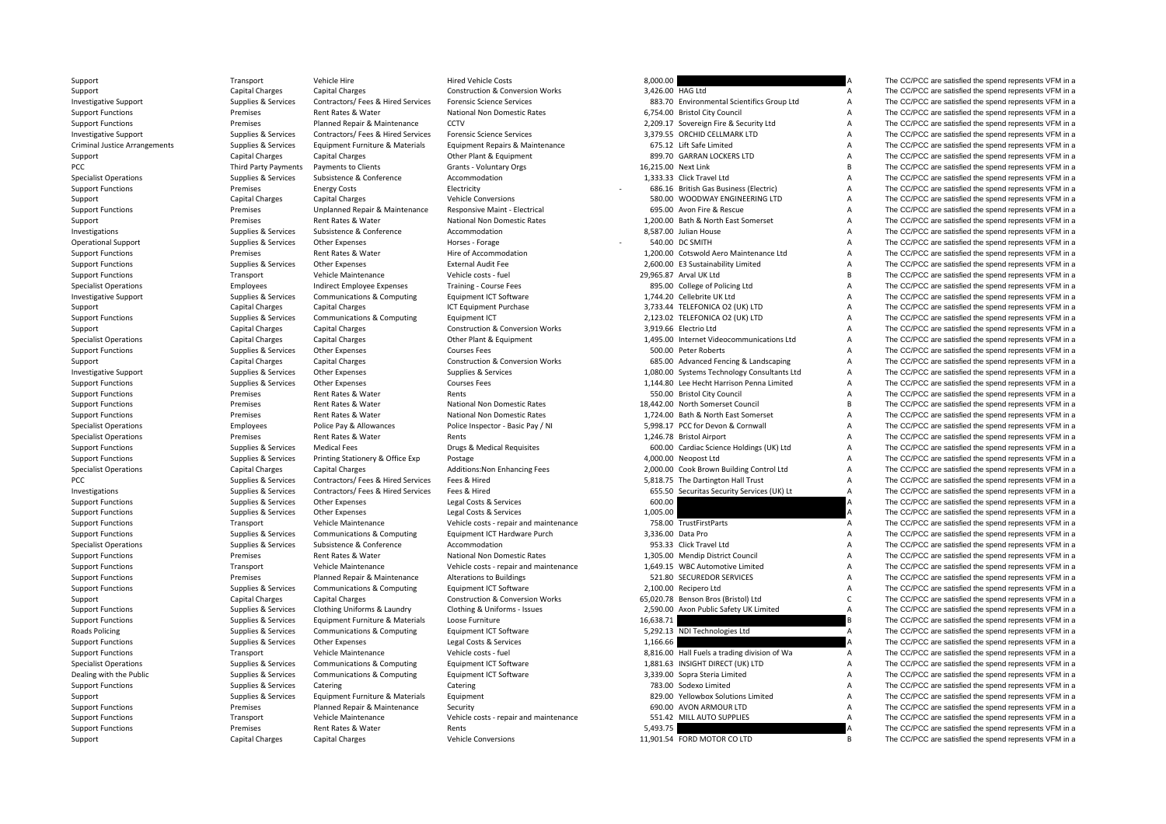| Support                              | Transport              | Vehicle Hire                       | <b>Hired Vehicle Costs</b>                 | 8,000.00                                                     |                | The CC/PCC are satisfied the spend represents VFM in a |
|--------------------------------------|------------------------|------------------------------------|--------------------------------------------|--------------------------------------------------------------|----------------|--------------------------------------------------------|
| Support                              | Capital Charges        | <b>Capital Charges</b>             | Construction & Conversion Works            | 3,426.00 HAG Ltd                                             | A              | The CC/PCC are satisfied the spend represents VFM in a |
| <b>Investigative Support</b>         | Supplies & Services    | Contractors/ Fees & Hired Services | <b>Forensic Science Services</b>           | 883.70 Environmental Scientifics Group Ltd                   | $\overline{A}$ | The CC/PCC are satisfied the spend represents VFM in a |
| <b>Support Functions</b>             | Premises               | Rent Rates & Water                 | National Non Domestic Rates                | 6,754.00 Bristol City Council                                | Α              | The CC/PCC are satisfied the spend represents VFM in a |
| <b>Support Functions</b>             | Premises               | Planned Repair & Maintenance       | CCTV                                       | 2,209.17 Sovereign Fire & Security Ltd                       | A              | The CC/PCC are satisfied the spend represents VFM in a |
| <b>Investigative Support</b>         | Supplies & Services    | Contractors/ Fees & Hired Services | <b>Forensic Science Services</b>           | 3,379.55 ORCHID CELLMARK LTD                                 | A              | The CC/PCC are satisfied the spend represents VFM in a |
| <b>Criminal Justice Arrangements</b> | Supplies & Services    | Equipment Furniture & Materials    | Equipment Repairs & Maintenance            | 675.12 Lift Safe Limited                                     | A              | The CC/PCC are satisfied the spend represents VFM in a |
| Support                              | <b>Capital Charges</b> | Capital Charges                    | Other Plant & Equipment                    | 899.70 GARRAN LOCKERS LTD                                    | $\overline{A}$ | The CC/PCC are satisfied the spend represents VFM in a |
| PCC                                  | Third Party Payments   | Payments to Clients                | Grants - Voluntary Orgs                    | 16,215.00 Next Link                                          | $\overline{B}$ | The CC/PCC are satisfied the spend represents VFM in a |
| <b>Specialist Operations</b>         | Supplies & Services    | Subsistence & Conference           | Accommodation                              | 1,333.33 Click Travel Ltd                                    | $\overline{A}$ | The CC/PCC are satisfied the spend represents VFM in a |
| <b>Support Functions</b>             | Premises               | <b>Energy Costs</b>                | Electricity                                | 686.16 British Gas Business (Electric)                       | A              | The CC/PCC are satisfied the spend represents VFM in a |
| Support                              | <b>Capital Charges</b> | <b>Capital Charges</b>             | <b>Vehicle Conversions</b>                 | 580.00 WOODWAY ENGINEERING LTD                               | A              | The CC/PCC are satisfied the spend represents VFM in a |
| <b>Support Functions</b>             | Premises               | Unplanned Repair & Maintenance     | Responsive Maint - Electrical              | 695.00 Avon Fire & Rescue                                    | A              | The CC/PCC are satisfied the spend represents VFM in a |
| Support                              | Premises               | Rent Rates & Water                 | National Non Domestic Rates                | 1,200.00 Bath & North East Somerset                          | A              | The CC/PCC are satisfied the spend represents VFM in a |
| Investigations                       | Supplies & Services    | Subsistence & Conference           | Accommodation                              | 8,587.00 Julian House                                        | A              | The CC/PCC are satisfied the spend represents VFM in a |
| <b>Operational Support</b>           | Supplies & Services    | <b>Other Expenses</b>              | Horses - Forage                            | 540.00 DC SMITH                                              | A              | The CC/PCC are satisfied the spend represents VFM in a |
| <b>Support Functions</b>             | Premises               | Rent Rates & Water                 | Hire of Accommodation                      | 1,200.00 Cotswold Aero Maintenance Ltd                       | A              | The CC/PCC are satisfied the spend represents VFM in a |
|                                      |                        |                                    | <b>External Audit Fee</b>                  | 2,600.00 E3 Sustainability Limited                           | A              | The CC/PCC are satisfied the spend represents VFM in a |
| <b>Support Functions</b>             | Supplies & Services    | Other Expenses                     |                                            |                                                              | <b>B</b>       |                                                        |
| <b>Support Functions</b>             | Transport              | Vehicle Maintenance                | Vehicle costs - fuel                       | 29,965.87 Arval UK Ltd                                       |                | The CC/PCC are satisfied the spend represents VFM in a |
| <b>Specialist Operations</b>         | Employees              | Indirect Employee Expenses         | <b>Training - Course Fees</b>              | 895.00 College of Policing Ltd                               | $\overline{A}$ | The CC/PCC are satisfied the spend represents VFM in a |
| <b>Investigative Support</b>         | Supplies & Services    | Communications & Computing         | Equipment ICT Software                     | 1,744.20 Cellebrite UK Ltd                                   | $\overline{A}$ | The CC/PCC are satisfied the spend represents VFM in a |
| Support                              | Capital Charges        | Capital Charges                    | ICT Equipment Purchase                     | 3,733.44 TELEFONICA O2 (UK) LTD                              | A              | The CC/PCC are satisfied the spend represents VFM in a |
| <b>Support Functions</b>             | Supplies & Services    | Communications & Computing         | Equipment ICT                              | 2,123.02 TELEFONICA O2 (UK) LTD                              | A              | The CC/PCC are satisfied the spend represents VFM in a |
| Support                              | <b>Capital Charges</b> | <b>Capital Charges</b>             | <b>Construction &amp; Conversion Works</b> | 3,919.66 Electrio Ltd                                        | $\overline{A}$ | The CC/PCC are satisfied the spend represents VFM in a |
| <b>Specialist Operations</b>         | <b>Capital Charges</b> | <b>Capital Charges</b>             | Other Plant & Equipment                    | 1,495.00 Internet Videocommunications Ltd                    | А              | The CC/PCC are satisfied the spend represents VFM in a |
| <b>Support Functions</b>             | Supplies & Services    | Other Expenses                     | <b>Courses Fees</b>                        | 500.00 Peter Roberts                                         | $\overline{A}$ | The CC/PCC are satisfied the spend represents VFM in a |
| Support                              | <b>Capital Charges</b> | <b>Capital Charges</b>             | <b>Construction &amp; Conversion Works</b> | 685.00 Advanced Fencing & Landscaping                        | A              | The CC/PCC are satisfied the spend represents VFM in a |
| Investigative Support                | Supplies & Services    | Other Expenses                     | Supplies & Services                        | 1,080.00 Systems Technology Consultants Ltd                  | A              | The CC/PCC are satisfied the spend represents VFM in a |
| <b>Support Functions</b>             | Supplies & Services    | <b>Other Expenses</b>              | <b>Courses Fees</b>                        | 1,144.80 Lee Hecht Harrison Penna Limited                    | $\overline{A}$ | The CC/PCC are satisfied the spend represents VFM in a |
| <b>Support Functions</b>             | Premises               | Rent Rates & Water                 | Rents                                      | 550.00 Bristol City Council                                  | $\overline{A}$ | The CC/PCC are satisfied the spend represents VFM in a |
| <b>Support Functions</b>             | Premises               | Rent Rates & Water                 | National Non Domestic Rates                | 18,442.00 North Somerset Council                             | B              | The CC/PCC are satisfied the spend represents VFM in a |
| <b>Support Functions</b>             | Premises               | Rent Rates & Water                 | National Non Domestic Rates                | 1,724.00 Bath & North East Somerset                          | A              | The CC/PCC are satisfied the spend represents VFM in a |
| <b>Specialist Operations</b>         | Employees              | Police Pay & Allowances            | Police Inspector - Basic Pay / NI          | 5,998.17 PCC for Devon & Cornwall                            | $\overline{A}$ | The CC/PCC are satisfied the spend represents VFM in a |
| <b>Specialist Operations</b>         | Premises               | Rent Rates & Water                 | Rents                                      | 1,246.78 Bristol Airport                                     | A              | The CC/PCC are satisfied the spend represents VFM in a |
| <b>Support Functions</b>             | Supplies & Services    | <b>Medical Fees</b>                | Drugs & Medical Requisites                 | 600.00 Cardiac Science Holdings (UK) Ltd                     | $\overline{A}$ | The CC/PCC are satisfied the spend represents VFM in a |
| <b>Support Functions</b>             | Supplies & Services    | Printing Stationery & Office Exp   | Postage                                    | 4,000.00 Neopost Ltd                                         | A              | The CC/PCC are satisfied the spend represents VFM in a |
| <b>Specialist Operations</b>         | Capital Charges        | Capital Charges                    | Additions: Non Enhancing Fees              | 2,000.00 Cook Brown Building Control Ltd                     | $\overline{A}$ | The CC/PCC are satisfied the spend represents VFM in a |
| PCC                                  | Supplies & Services    | Contractors/ Fees & Hired Services | Fees & Hired                               | 5,818.75 The Dartington Hall Trust                           | A              | The CC/PCC are satisfied the spend represents VFM in a |
| Investigations                       | Supplies & Services    | Contractors/ Fees & Hired Services | Fees & Hired                               | 655.50 Securitas Security Services (UK) Lt                   | $\overline{A}$ | The CC/PCC are satisfied the spend represents VFM in a |
| <b>Support Functions</b>             | Supplies & Services    | Other Expenses                     | Legal Costs & Services                     | 600.00                                                       | А              | The CC/PCC are satisfied the spend represents VFM in a |
| <b>Support Functions</b>             | Supplies & Services    | Other Expenses                     | Legal Costs & Services                     | 1,005.00                                                     |                | The CC/PCC are satisfied the spend represents VFM in a |
| <b>Support Functions</b>             | Transport              | Vehicle Maintenance                | Vehicle costs - repair and maintenance     | 758.00 TrustFirstParts                                       | A              | The CC/PCC are satisfied the spend represents VFM in a |
| <b>Support Functions</b>             | Supplies & Services    | Communications & Computing         | Equipment ICT Hardware Purch               | 3.336.00 Data Pro                                            | $\overline{A}$ | The CC/PCC are satisfied the spend represents VFM in a |
| <b>Specialist Operations</b>         | Supplies & Services    | Subsistence & Conference           | Accommodation                              | 953.33 Click Travel Ltd                                      | $\overline{A}$ | The CC/PCC are satisfied the spend represents VFM in a |
| <b>Support Functions</b>             | Premises               | Rent Rates & Water                 | National Non Domestic Rates                | 1,305.00 Mendip District Council                             | $\overline{A}$ | The CC/PCC are satisfied the spend represents VFM in a |
|                                      |                        |                                    |                                            |                                                              | A              |                                                        |
| <b>Support Functions</b>             | Transport<br>Premises  | Vehicle Maintenance                | Vehicle costs - repair and maintenance     | 1,649.15 WBC Automotive Limited<br>521.80 SECUREDOR SERVICES | A              | The CC/PCC are satisfied the spend represents VFM in a |
| <b>Support Functions</b>             |                        | Planned Repair & Maintenance       | Alterations to Buildings                   |                                                              |                | The CC/PCC are satisfied the spend represents VFM in a |
| <b>Support Functions</b>             | Supplies & Services    | Communications & Computing         | Equipment ICT Software                     | 2,100.00 Recipero Ltd                                        | A              | The CC/PCC are satisfied the spend represents VFM in a |
| Support                              | <b>Capital Charges</b> | Capital Charges                    | Construction & Conversion Works            | 65,020.78 Benson Bros (Bristol) Ltd                          | $\mathsf{C}$   | The CC/PCC are satisfied the spend represents VFM in a |
| <b>Support Functions</b>             | Supplies & Services    | Clothing Uniforms & Laundry        | Clothing & Uniforms - Issues               | 2,590.00 Axon Public Safety UK Limited                       | $\overline{A}$ | The CC/PCC are satisfied the spend represents VFM in a |
| <b>Support Functions</b>             | Supplies & Services    | Equipment Furniture & Materials    | Loose Furniture                            | 16,638.71                                                    |                | The CC/PCC are satisfied the spend represents VFM in a |
| Roads Policing                       | Supplies & Services    | Communications & Computing         | Equipment ICT Software                     | 5,292.13 NDI Technologies Ltd                                | Α              | The CC/PCC are satisfied the spend represents VFM in a |
| <b>Support Functions</b>             | Supplies & Services    | <b>Other Expenses</b>              | Legal Costs & Services                     | 1,166.66                                                     |                | The CC/PCC are satisfied the spend represents VFM in a |
| <b>Support Functions</b>             | Transport              | Vehicle Maintenance                | Vehicle costs - fuel                       | 8,816.00 Hall Fuels a trading division of Wa                 |                | The CC/PCC are satisfied the spend represents VFM in a |
| <b>Specialist Operations</b>         | Supplies & Services    | Communications & Computing         | Equipment ICT Software                     | 1,881.63 INSIGHT DIRECT (UK) LTD                             | A              | The CC/PCC are satisfied the spend represents VFM in a |
| Dealing with the Public              | Supplies & Services    | Communications & Computing         | Equipment ICT Software                     | 3,339.00 Sopra Steria Limited                                | $\overline{A}$ | The CC/PCC are satisfied the spend represents VFM in a |
| <b>Support Functions</b>             | Supplies & Services    | Catering                           | Catering                                   | 783.00 Sodexo Limited                                        | A              | The CC/PCC are satisfied the spend represents VFM in a |
| Support                              | Supplies & Services    | Equipment Furniture & Materials    | Equipment                                  | 829.00 Yellowbox Solutions Limited                           | $\overline{A}$ | The CC/PCC are satisfied the spend represents VFM in a |
| <b>Support Functions</b>             | Premises               | Planned Repair & Maintenance       | Security                                   | 690.00 AVON ARMOUR LTD                                       | $\overline{A}$ | The CC/PCC are satisfied the spend represents VFM in a |
| <b>Support Functions</b>             | Transport              | Vehicle Maintenance                | Vehicle costs - repair and maintenance     | 551.42 MILL AUTO SUPPLIES                                    | $\overline{A}$ | The CC/PCC are satisfied the spend represents VFM in a |
| <b>Support Functions</b>             | Premises               | Rent Rates & Water                 | Rents                                      | 5,493.75                                                     |                | The CC/PCC are satisfied the spend represents VFM in a |
| $C$ unnort                           | Conital Ch             | Capital Charges                    | Vohicle Conversions                        | 11.001 EALEORD MOTOR COLLED                                  |                | The CC/BCC are setigfied the spand represents VEM in a |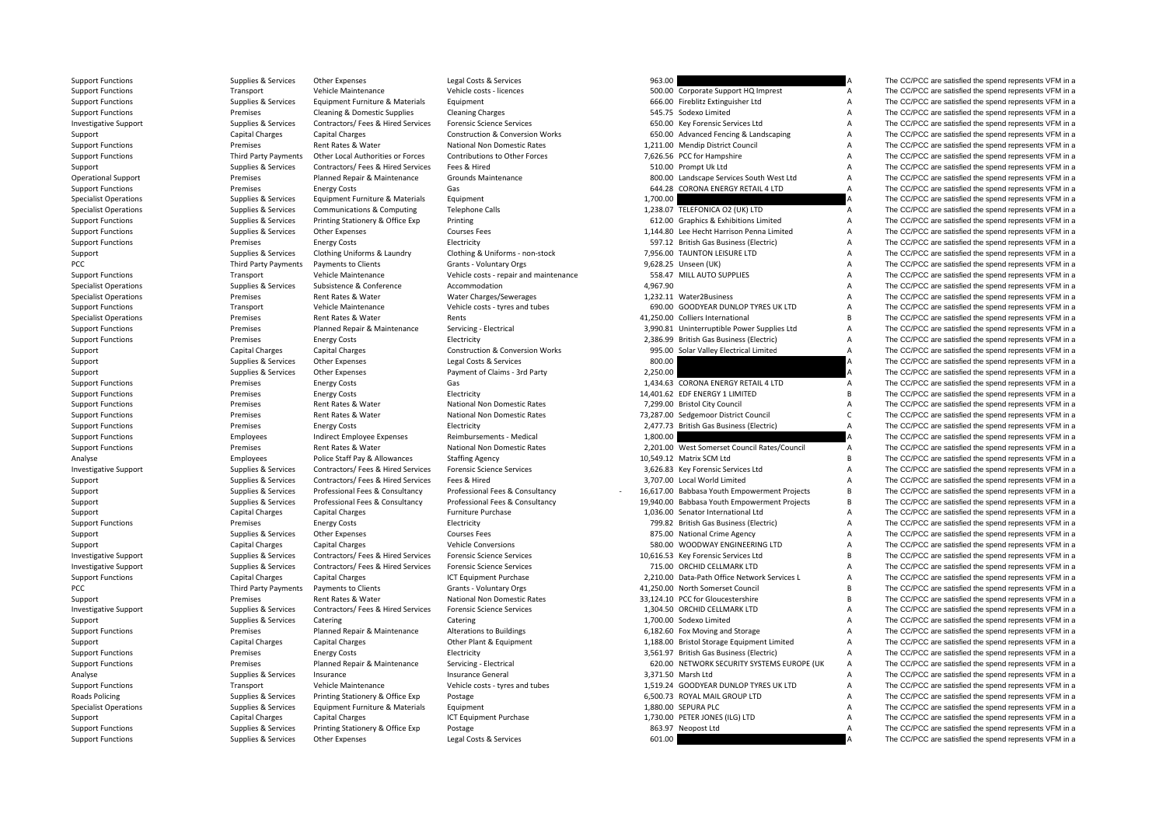| <b>Support Functions</b>     | Supplies & Services         | Other Expenses                        | Legal Costs & Services                     | 963.00   |                                              |                | The CC/PCC are satisfied the spend represents VFM in a |
|------------------------------|-----------------------------|---------------------------------------|--------------------------------------------|----------|----------------------------------------------|----------------|--------------------------------------------------------|
| <b>Support Functions</b>     | Transport                   | Vehicle Maintenance                   | Vehicle costs - licences                   |          | 500.00 Corporate Support HQ Imprest          | $\overline{A}$ | The CC/PCC are satisfied the spend represents VFM in a |
| <b>Support Functions</b>     | Supplies & Services         | Equipment Furniture & Materials       | Equipment                                  |          | 666.00 Fireblitz Extinguisher Ltd            | $\overline{A}$ | The CC/PCC are satisfied the spend represents VFM in a |
| <b>Support Functions</b>     | Premises                    | Cleaning & Domestic Supplies          | <b>Cleaning Charges</b>                    |          | 545.75 Sodexo Limited                        | A              | The CC/PCC are satisfied the spend represents VFM in a |
| <b>Investigative Support</b> | Supplies & Services         | Contractors/ Fees & Hired Services    | <b>Forensic Science Services</b>           |          | 650.00 Key Forensic Services Ltd             | A              | The CC/PCC are satisfied the spend represents VFM in a |
| Support                      | <b>Capital Charges</b>      | <b>Capital Charges</b>                | <b>Construction &amp; Conversion Works</b> |          | 650.00 Advanced Fencing & Landscaping        | $\overline{A}$ | The CC/PCC are satisfied the spend represents VFM in a |
| <b>Support Functions</b>     | Premises                    | Rent Rates & Water                    | National Non Domestic Rates                |          | 1,211.00 Mendip District Council             | $\overline{A}$ | The CC/PCC are satisfied the spend represents VFM in a |
| <b>Support Functions</b>     | Third Party Payments        | Other Local Authorities or Forces     | Contributions to Other Forces              |          | 7,626.56 PCC for Hampshire                   | A              | The CC/PCC are satisfied the spend represents VFM in a |
| Support                      | Supplies & Services         | Contractors/ Fees & Hired Services    | Fees & Hired                               |          | 510.00 Prompt Uk Ltd                         | $\overline{A}$ | The CC/PCC are satisfied the spend represents VFM in a |
| <b>Operational Support</b>   | Premises                    | Planned Repair & Maintenance          | Grounds Maintenance                        |          | 800.00 Landscape Services South West Ltd     | A              | The CC/PCC are satisfied the spend represents VFM in a |
| <b>Support Functions</b>     | Premises                    | <b>Energy Costs</b>                   | Gas                                        |          | 644.28 CORONA ENERGY RETAIL 4 LTD            | A              | The CC/PCC are satisfied the spend represents VFM in a |
| <b>Specialist Operations</b> | Supplies & Services         | Equipment Furniture & Materials       | Equipment                                  | 1,700.00 |                                              |                | The CC/PCC are satisfied the spend represents VFM in a |
| <b>Specialist Operations</b> | Supplies & Services         | <b>Communications &amp; Computing</b> | <b>Telephone Calls</b>                     |          | 1,238.07 TELEFONICA O2 (UK) LTD              | $\overline{A}$ | The CC/PCC are satisfied the spend represents VFM in a |
| <b>Support Functions</b>     | Supplies & Services         | Printing Stationery & Office Exp      | Printing                                   |          | 612.00 Graphics & Exhibitions Limited        | $\overline{A}$ | The CC/PCC are satisfied the spend represents VFM in a |
| <b>Support Functions</b>     | Supplies & Services         | Other Expenses                        | <b>Courses Fees</b>                        |          | 1,144.80 Lee Hecht Harrison Penna Limited    | A              | The CC/PCC are satisfied the spend represents VFM in a |
| <b>Support Functions</b>     | Premises                    | <b>Energy Costs</b>                   | Electricity                                |          | 597.12 British Gas Business (Electric)       | $\overline{A}$ | The CC/PCC are satisfied the spend represents VFM in a |
|                              | Supplies & Services         | Clothing Uniforms & Laundry           | Clothing & Uniforms - non-stock            |          | 7,956.00 TAUNTON LEISURE LTD                 | A              | The CC/PCC are satisfied the spend represents VFM in a |
| Support                      |                             | Payments to Clients                   |                                            |          | 9,628.25 Unseen (UK)                         | $\overline{A}$ | The CC/PCC are satisfied the spend represents VFM in a |
| PCC                          | <b>Third Party Payments</b> |                                       | Grants - Voluntary Orgs                    |          |                                              |                |                                                        |
| <b>Support Functions</b>     | Transport                   | Vehicle Maintenance                   | Vehicle costs - repair and maintenance     |          | 558.47 MILL AUTO SUPPLIES                    | A              | The CC/PCC are satisfied the spend represents VFM in a |
| <b>Specialist Operations</b> | Supplies & Services         | Subsistence & Conference              | Accommodation                              | 4,967.90 |                                              | A              | The CC/PCC are satisfied the spend represents VFM in a |
| <b>Specialist Operations</b> | Premises                    | Rent Rates & Water                    | Water Charges/Sewerages                    |          | 1,232.11 Water2Business                      | A              | The CC/PCC are satisfied the spend represents VFM in a |
| <b>Support Functions</b>     | Transport                   | Vehicle Maintenance                   | Vehicle costs - tyres and tubes            |          | 690.00 GOODYEAR DUNLOP TYRES UK LTD          | A              | The CC/PCC are satisfied the spend represents VFM in a |
| <b>Specialist Operations</b> | Premises                    | Rent Rates & Water                    | Rents                                      |          | 41.250.00 Colliers International             | B              | The CC/PCC are satisfied the spend represents VFM in a |
| <b>Support Functions</b>     | Premises                    | Planned Repair & Maintenance          | Servicing - Electrical                     |          | 3,990.81 Uninterruptible Power Supplies Ltd  | A              | The CC/PCC are satisfied the spend represents VFM in a |
| <b>Support Functions</b>     | Premises                    | <b>Energy Costs</b>                   | Electricity                                |          | 2,386.99 British Gas Business (Electric)     | A              | The CC/PCC are satisfied the spend represents VFM in a |
| Support                      | <b>Capital Charges</b>      | Capital Charges                       | Construction & Conversion Works            |          | 995.00 Solar Valley Electrical Limited       | $\overline{A}$ | The CC/PCC are satisfied the spend represents VFM in a |
| Support                      | Supplies & Services         | Other Expenses                        | Legal Costs & Services                     | 800.00   |                                              | А              | The CC/PCC are satisfied the spend represents VFM in a |
| Support                      | Supplies & Services         | Other Expenses                        | Payment of Claims - 3rd Party              | 2,250.00 |                                              |                | The CC/PCC are satisfied the spend represents VFM in a |
| <b>Support Functions</b>     | Premises                    | <b>Energy Costs</b>                   | Gas                                        |          | 1,434.63 CORONA ENERGY RETAIL 4 LTD          | A              | The CC/PCC are satisfied the spend represents VFM in a |
| <b>Support Functions</b>     | Premises                    | <b>Energy Costs</b>                   | Electricity                                |          | 14,401.62 EDF ENERGY 1 LIMITED               | B.             | The CC/PCC are satisfied the spend represents VFM in a |
| <b>Support Functions</b>     | Premises                    | Rent Rates & Water                    | National Non Domestic Rates                |          | 7,299.00 Bristol City Council                | А              | The CC/PCC are satisfied the spend represents VFM in a |
| <b>Support Functions</b>     | Premises                    | Rent Rates & Water                    | National Non Domestic Rates                |          | 73,287.00 Sedgemoor District Council         | $\mathsf{C}$   | The CC/PCC are satisfied the spend represents VFM in a |
| <b>Support Functions</b>     | Premises                    | <b>Energy Costs</b>                   | Electricity                                |          | 2,477.73 British Gas Business (Electric)     | A              | The CC/PCC are satisfied the spend represents VFM in a |
| <b>Support Functions</b>     | Employees                   | Indirect Employee Expenses            | Reimbursements - Medical                   | 1,800.00 |                                              |                | The CC/PCC are satisfied the spend represents VFM in a |
| <b>Support Functions</b>     | Premises                    | Rent Rates & Water                    | National Non Domestic Rates                |          | 2,201.00 West Somerset Council Rates/Council | A              | The CC/PCC are satisfied the spend represents VFM in a |
| Analyse                      | Employees                   | Police Staff Pay & Allowances         | <b>Staffing Agency</b>                     |          | 10,549.12 Matrix SCM Ltd                     | B              | The CC/PCC are satisfied the spend represents VFM in a |
| <b>Investigative Support</b> | Supplies & Services         | Contractors/ Fees & Hired Services    | <b>Forensic Science Services</b>           |          | 3,626.83 Key Forensic Services Ltd           | $\overline{A}$ | The CC/PCC are satisfied the spend represents VFM in a |
| Support                      | Supplies & Services         | Contractors/ Fees & Hired Services    | Fees & Hired                               |          | 3,707.00 Local World Limited                 | A              | The CC/PCC are satisfied the spend represents VFM in a |
| Support                      | Supplies & Services         | Professional Fees & Consultancy       | Professional Fees & Consultancy            |          | 16,617.00 Babbasa Youth Empowerment Projects | $\overline{B}$ | The CC/PCC are satisfied the spend represents VFM in a |
| Support                      | Supplies & Services         | Professional Fees & Consultancy       | Professional Fees & Consultancy            |          | 19,940.00 Babbasa Youth Empowerment Projects | $\overline{B}$ | The CC/PCC are satisfied the spend represents VFM in a |
| Support                      | Capital Charges             | <b>Capital Charges</b>                | Furniture Purchase                         |          | 1,036.00 Senator International Ltd           | $\overline{A}$ | The CC/PCC are satisfied the spend represents VFM in a |
| <b>Support Functions</b>     | Premises                    | <b>Energy Costs</b>                   | Electricity                                |          | 799.82 British Gas Business (Electric)       | $\overline{A}$ | The CC/PCC are satisfied the spend represents VFM in a |
| Support                      | Supplies & Services         | Other Expenses                        | <b>Courses Fees</b>                        |          | 875.00 National Crime Agency                 | A              | The CC/PCC are satisfied the spend represents VFM in a |
| Support                      | Capital Charges             | Capital Charges                       | <b>Vehicle Conversions</b>                 |          | 580.00 WOODWAY ENGINEERING LTD               | A              | The CC/PCC are satisfied the spend represents VFM in a |
| <b>Investigative Support</b> | Supplies & Services         | Contractors/ Fees & Hired Services    | <b>Forensic Science Services</b>           |          | 10,616.53 Key Forensic Services Ltd          | B              | The CC/PCC are satisfied the spend represents VFM in a |
| <b>Investigative Support</b> | Supplies & Services         | Contractors/ Fees & Hired Services    | <b>Forensic Science Services</b>           |          | 715.00 ORCHID CELLMARK LTD                   | $\overline{A}$ | The CC/PCC are satisfied the spend represents VFM in a |
| <b>Support Functions</b>     | <b>Capital Charges</b>      | <b>Capital Charges</b>                | ICT Equipment Purchase                     |          | 2,210.00 Data-Path Office Network Services L | A              | The CC/PCC are satisfied the spend represents VFM in a |
| PCC                          | Third Party Payments        | Payments to Clients                   | Grants - Voluntary Orgs                    |          | 41,250.00 North Somerset Council             | B              | The CC/PCC are satisfied the spend represents VFM in a |
| Support                      | Premises                    | Rent Rates & Water                    | National Non Domestic Rates                |          | 33,124.10 PCC for Gloucestershire            | B.             | The CC/PCC are satisfied the spend represents VFM in a |
| <b>Investigative Support</b> | Supplies & Services         | Contractors/ Fees & Hired Services    | <b>Forensic Science Services</b>           |          | 1,304.50 ORCHID CELLMARK LTD                 | $\overline{A}$ | The CC/PCC are satisfied the spend represents VFM in a |
|                              | Supplies & Services         | Catering                              | Catering                                   |          | 1,700.00 Sodexo Limited                      | A              | The CC/PCC are satisfied the spend represents VFM in a |
| Support                      | Premises                    | Planned Repair & Maintenance          | <b>Alterations to Buildings</b>            |          | 6,182.60 Fox Moving and Storage              | A              | The CC/PCC are satisfied the spend represents VFM in a |
| <b>Support Functions</b>     | <b>Capital Charges</b>      | <b>Capital Charges</b>                | Other Plant & Equipment                    |          | 1,188.00 Bristol Storage Equipment Limited   | A              | The CC/PCC are satisfied the spend represents VFM in a |
| Support                      |                             |                                       |                                            |          |                                              | $\overline{A}$ |                                                        |
| <b>Support Functions</b>     | Premises                    | <b>Energy Costs</b>                   | Electricity                                |          | 3,561.97 British Gas Business (Electric)     |                | The CC/PCC are satisfied the spend represents VFM in a |
| <b>Support Functions</b>     | Premises                    | Planned Repair & Maintenance          | Servicing - Electrical                     |          | 620.00 NETWORK SECURITY SYSTEMS EUROPE (UK   | A              | The CC/PCC are satisfied the spend represents VFM in a |
| Analyse                      | Supplies & Services         | Insurance                             | Insurance General                          |          | 3,371.50 Marsh Ltd                           | $\overline{A}$ | The CC/PCC are satisfied the spend represents VFM in a |
| <b>Support Functions</b>     | Transport                   | Vehicle Maintenance                   | Vehicle costs - tyres and tubes            |          | 1,519.24 GOODYEAR DUNLOP TYRES UK LTD        | $\overline{A}$ | The CC/PCC are satisfied the spend represents VFM in a |
| <b>Roads Policing</b>        | Supplies & Services         | Printing Stationery & Office Exp      | Postage                                    |          | 6,500.73 ROYAL MAIL GROUP LTD                | $\overline{A}$ | The CC/PCC are satisfied the spend represents VFM in a |
| <b>Specialist Operations</b> | Supplies & Services         | Equipment Furniture & Materials       | Equipment                                  |          | 1,880.00 SEPURA PLC                          | $\overline{A}$ | The CC/PCC are satisfied the spend represents VFM in a |
| Support                      | Capital Charges             | Capital Charges                       | ICT Equipment Purchase                     |          | 1,730.00 PETER JONES (ILG) LTD               | $\overline{A}$ | The CC/PCC are satisfied the spend represents VFM in a |
| <b>Support Functions</b>     | Supplies & Services         | Printing Stationery & Office Exp      | Postage                                    |          | 863.97 Neopost Ltd                           | A              | The CC/PCC are satisfied the spend represents VFM in a |
| <b>Support Functions</b>     | Supplies & Services         | Other Expenses                        | Legal Costs & Services                     | 601.00   |                                              |                | The CC/PCC are satisfied the spend represents VFM in a |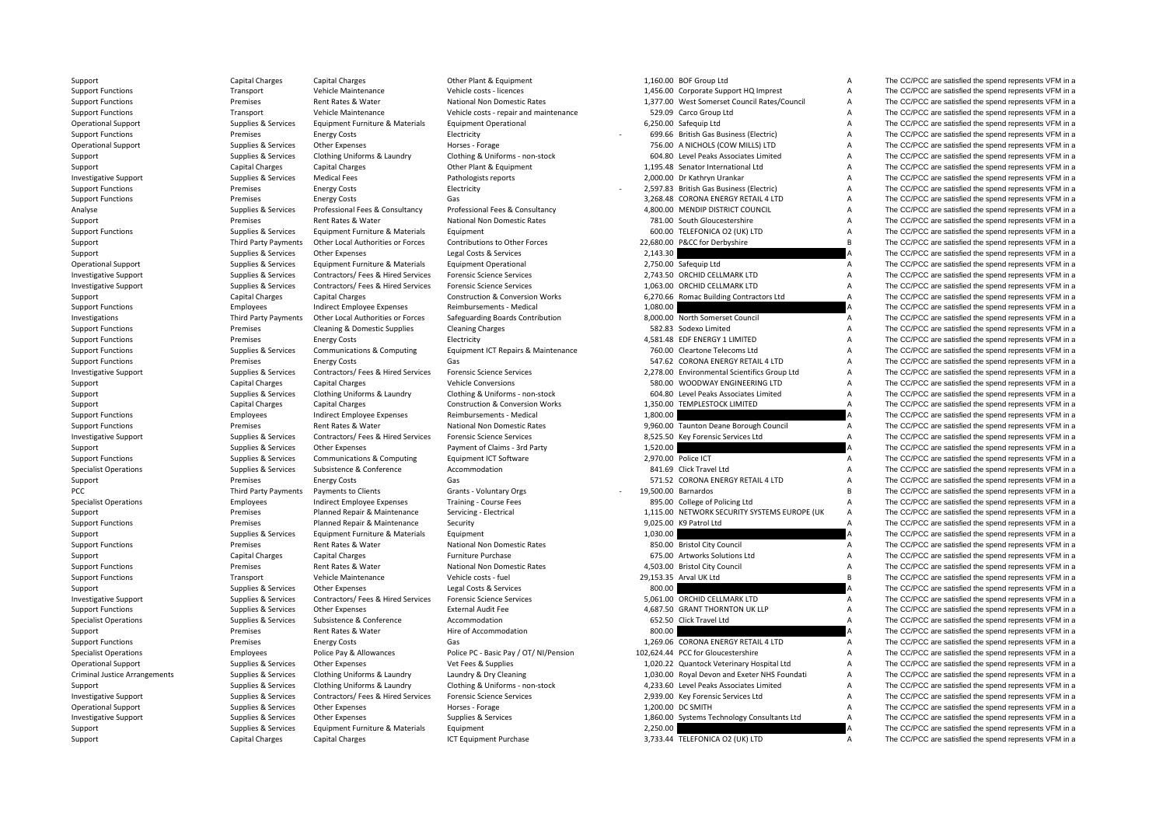| Support                              | Capital Charges             | Capital Charges                       | Other Plant & Equipment                    |          | 1,160.00 BOF Group Ltd                       | A                                | The CC/PCC are satisfied the spend represents VFM in a                                                                                |
|--------------------------------------|-----------------------------|---------------------------------------|--------------------------------------------|----------|----------------------------------------------|----------------------------------|---------------------------------------------------------------------------------------------------------------------------------------|
| <b>Support Functions</b>             | Transport                   | Vehicle Maintenance                   | Vehicle costs - licences                   |          | 1,456.00 Corporate Support HQ Imprest        | A                                | The CC/PCC are satisfied the spend represents VFM in a                                                                                |
| <b>Support Functions</b>             | Premises                    | Rent Rates & Water                    | National Non Domestic Rates                |          | 1,377.00 West Somerset Council Rates/Council | А                                | The CC/PCC are satisfied the spend represents VFM in a                                                                                |
| <b>Support Functions</b>             | Transport                   | Vehicle Maintenance                   | Vehicle costs - repair and maintenance     |          | 529.09 Carco Group Ltd                       | $\overline{A}$                   | The CC/PCC are satisfied the spend represents VFM in a                                                                                |
| <b>Operational Support</b>           | Supplies & Services         | Equipment Furniture & Materials       | <b>Equipment Operational</b>               |          | 6,250.00 Safequip Ltd                        | $\overline{A}$                   | The CC/PCC are satisfied the spend represents VFM in a                                                                                |
| <b>Support Functions</b>             | Premises                    | <b>Energy Costs</b>                   | Electricity                                |          | 699.66 British Gas Business (Electric)       | A                                | The CC/PCC are satisfied the spend represents VFM in a                                                                                |
| <b>Operational Support</b>           | Supplies & Services         | Other Expenses                        | Horses - Forage                            |          | 756.00 A NICHOLS (COW MILLS) LTD             | $\overline{A}$                   | The CC/PCC are satisfied the spend represents VFM in a                                                                                |
| Support                              | Supplies & Services         | Clothing Uniforms & Laundry           | Clothing & Uniforms - non-stock            |          | 604.80 Level Peaks Associates Limited        | A                                | The CC/PCC are satisfied the spend represents VFM in a                                                                                |
| Support                              | Capital Charges             | <b>Capital Charges</b>                | Other Plant & Equipment                    |          | 1,195.48 Senator International Ltd           | $\overline{A}$                   | The CC/PCC are satisfied the spend represents VFM in a                                                                                |
| <b>Investigative Support</b>         | Supplies & Services         | <b>Medical Fees</b>                   | Pathologists reports                       |          | 2,000.00 Dr Kathryn Urankar                  | A                                | The CC/PCC are satisfied the spend represents VFM in a                                                                                |
| <b>Support Functions</b>             | Premises                    | <b>Energy Costs</b>                   | Electricity                                |          | 2,597.83 British Gas Business (Electric)     | $\overline{A}$                   | The CC/PCC are satisfied the spend represents VFM in a                                                                                |
| <b>Support Functions</b>             | Premises                    | <b>Energy Costs</b>                   | Gas                                        |          | 3,268.48 CORONA ENERGY RETAIL 4 LTD          | A                                | The CC/PCC are satisfied the spend represents VFM in a                                                                                |
| Analyse                              | Supplies & Services         | Professional Fees & Consultancy       | Professional Fees & Consultancy            |          | 4,800.00 MENDIP DISTRICT COUNCIL             | $\overline{A}$                   | The CC/PCC are satisfied the spend represents VFM in a                                                                                |
|                                      |                             | Rent Rates & Water                    | <b>National Non Domestic Rates</b>         |          | 781.00 South Gloucestershire                 |                                  |                                                                                                                                       |
| Support                              | Premises                    |                                       |                                            |          |                                              | A                                | The CC/PCC are satisfied the spend represents VFM in a                                                                                |
| <b>Support Functions</b>             | Supplies & Services         | Equipment Furniture & Materials       | Equipment                                  |          | 600.00 TELEFONICA O2 (UK) LTD                | $\overline{A}$<br>$\overline{B}$ | The CC/PCC are satisfied the spend represents VFM in a                                                                                |
| Support                              | <b>Third Party Payments</b> | Other Local Authorities or Forces     | Contributions to Other Forces              |          | 22,680.00 P&CC for Derbyshire                |                                  | The CC/PCC are satisfied the spend represents VFM in a                                                                                |
| Support                              | Supplies & Services         | <b>Other Expenses</b>                 | Legal Costs & Services                     | 2,143.30 |                                              |                                  | The CC/PCC are satisfied the spend represents VFM in a                                                                                |
| <b>Operational Support</b>           | Supplies & Services         | Equipment Furniture & Materials       | <b>Equipment Operational</b>               |          | 2,750.00 Safequip Ltd                        | $\overline{A}$                   | The CC/PCC are satisfied the spend represents VFM in a                                                                                |
| <b>Investigative Support</b>         | Supplies & Services         | Contractors/ Fees & Hired Services    | <b>Forensic Science Services</b>           |          | 2,743.50 ORCHID CELLMARK LTD                 | $\overline{A}$                   | The CC/PCC are satisfied the spend represents VFM in a                                                                                |
| <b>Investigative Support</b>         | Supplies & Services         | Contractors/ Fees & Hired Services    | <b>Forensic Science Services</b>           |          | 1,063.00 ORCHID CELLMARK LTD                 | $\overline{A}$                   | The CC/PCC are satisfied the spend represents VFM in a                                                                                |
| Support                              | Capital Charges             | <b>Capital Charges</b>                | Construction & Conversion Works            |          | 6,270.66 Romac Building Contractors Ltd      | $\overline{A}$                   | The CC/PCC are satisfied the spend represents VFM in a                                                                                |
| <b>Support Functions</b>             | Employees                   | <b>Indirect Employee Expenses</b>     | Reimbursements - Medical                   | 1,080.00 |                                              |                                  | The CC/PCC are satisfied the spend represents VFM in a                                                                                |
| Investigations                       | Third Party Payments        | Other Local Authorities or Forces     | Safeguarding Boards Contribution           |          | 8,000.00 North Somerset Council              | $\overline{A}$                   | The CC/PCC are satisfied the spend represents VFM in a                                                                                |
| <b>Support Functions</b>             | Premises                    | Cleaning & Domestic Supplies          | <b>Cleaning Charges</b>                    |          | 582.83 Sodexo Limited                        | $\overline{A}$                   | The CC/PCC are satisfied the spend represents VFM in a                                                                                |
| <b>Support Functions</b>             | Premises                    | <b>Energy Costs</b>                   | Electricity                                |          | 4.581.48 EDF ENERGY 1 LIMITED                | A                                | The CC/PCC are satisfied the spend represents VFM in a                                                                                |
| <b>Support Functions</b>             | Supplies & Services         | Communications & Computing            | Equipment ICT Repairs & Maintenance        |          | 760.00 Cleartone Telecoms Ltd                | A                                | The CC/PCC are satisfied the spend represents VFM in a                                                                                |
| <b>Support Functions</b>             | Premises                    | <b>Energy Costs</b>                   | Gas                                        |          | 547.62 CORONA ENERGY RETAIL 4 LTD            | A                                | The CC/PCC are satisfied the spend represents VFM in a                                                                                |
| <b>Investigative Support</b>         | Supplies & Services         | Contractors/ Fees & Hired Services    | <b>Forensic Science Services</b>           |          | 2,278.00 Environmental Scientifics Group Ltd | $\overline{A}$                   | The CC/PCC are satisfied the spend represents VFM in a                                                                                |
| Support                              | Capital Charges             | Capital Charges                       | <b>Vehicle Conversions</b>                 |          | 580.00 WOODWAY ENGINEERING LTD               | $\overline{A}$                   | The CC/PCC are satisfied the spend represents VFM in a                                                                                |
| Support                              | Supplies & Services         | Clothing Uniforms & Laundry           | Clothing & Uniforms - non-stock            |          | 604.80 Level Peaks Associates Limited        | $\overline{A}$                   | The CC/PCC are satisfied the spend represents VFM in a                                                                                |
| Support                              | <b>Capital Charges</b>      | Capital Charges                       | <b>Construction &amp; Conversion Works</b> |          | 1,350.00 TEMPLESTOCK LIMITED                 | $\overline{A}$                   | The CC/PCC are satisfied the spend represents VFM in a                                                                                |
| <b>Support Functions</b>             | Employees                   | <b>Indirect Employee Expenses</b>     | Reimbursements - Medical                   | 1,800.00 |                                              |                                  | The CC/PCC are satisfied the spend represents VFM in a                                                                                |
| <b>Support Functions</b>             | Premises                    | Rent Rates & Water                    | National Non Domestic Rates                |          | 9,960.00 Taunton Deane Borough Council       | A                                | The CC/PCC are satisfied the spend represents VFM in a                                                                                |
| <b>Investigative Support</b>         | Supplies & Services         | Contractors/ Fees & Hired Services    | <b>Forensic Science Services</b>           |          | 8,525.50 Key Forensic Services Ltd           | $\overline{A}$                   | The CC/PCC are satisfied the spend represents VFM in a                                                                                |
| Support                              | Supplies & Services         | Other Expenses                        | Payment of Claims - 3rd Party              | 1,520.00 |                                              |                                  | The CC/PCC are satisfied the spend represents VFM in a                                                                                |
| <b>Support Functions</b>             | Supplies & Services         | <b>Communications &amp; Computing</b> | <b>Equipment ICT Software</b>              |          | 2,970.00 Police ICT                          | $\overline{A}$                   | The CC/PCC are satisfied the spend represents VFM in a                                                                                |
| <b>Specialist Operations</b>         | Supplies & Services         | Subsistence & Conference              | Accommodation                              |          | 841.69 Click Travel Ltd                      | A                                | The CC/PCC are satisfied the spend represents VFM in a                                                                                |
| Support                              | Premises                    | <b>Energy Costs</b>                   | Gas                                        |          | 571.52 CORONA ENERGY RETAIL 4 LTD            | $\overline{A}$                   | The CC/PCC are satisfied the spend represents VFM in a                                                                                |
| PCC                                  | Third Party Payments        | Payments to Clients                   | Grants - Voluntary Orgs                    |          | 19,500.00 Barnardos                          | B                                | The CC/PCC are satisfied the spend represents VFM in a                                                                                |
|                                      | Employees                   | Indirect Employee Expenses            | Training - Course Fees                     |          | 895.00 College of Policing Ltd               | $\overline{A}$                   | The CC/PCC are satisfied the spend represents VFM in a                                                                                |
| <b>Specialist Operations</b>         | Premises                    |                                       |                                            |          | 1,115.00 NETWORK SECURITY SYSTEMS EUROPE (UK | A                                | The CC/PCC are satisfied the spend represents VFM in a                                                                                |
| Support                              | Premises                    | Planned Repair & Maintenance          | Servicing - Electrical                     |          | 9,025.00 K9 Patrol Ltd                       | $\overline{A}$                   | The CC/PCC are satisfied the spend represents VFM in a                                                                                |
| <b>Support Functions</b>             |                             | Planned Repair & Maintenance          | Security                                   |          |                                              |                                  |                                                                                                                                       |
| Support                              | Supplies & Services         | Equipment Furniture & Materials       | Equipment                                  | 1,030.00 |                                              |                                  | The CC/PCC are satisfied the spend represents VFM in a                                                                                |
| <b>Support Functions</b>             | Premises                    | Rent Rates & Water                    | National Non Domestic Rates                |          | 850.00 Bristol City Council                  | A                                | The CC/PCC are satisfied the spend represents VFM in a                                                                                |
| Support                              | Capital Charges             | <b>Capital Charges</b>                | Furniture Purchase                         |          | 675.00 Artworks Solutions Ltd                | A                                | The CC/PCC are satisfied the spend represents VFM in a                                                                                |
| <b>Support Functions</b>             | Premises                    | Rent Rates & Water                    | National Non Domestic Rates                |          | 4,503.00 Bristol City Council                | A                                | The CC/PCC are satisfied the spend represents VFM in a                                                                                |
| <b>Support Functions</b>             | Transport                   | Vehicle Maintenance                   | Vehicle costs - fuel                       |          | 29,153.35 Arval UK Ltd                       | $\overline{B}$                   | The CC/PCC are satisfied the spend represents VFM in a                                                                                |
| Support                              | Supplies & Services         | Other Expenses                        | Legal Costs & Services                     | 800.00   |                                              |                                  | The CC/PCC are satisfied the spend represents VFM in a                                                                                |
| <b>Investigative Support</b>         | Supplies & Services         | Contractors/ Fees & Hired Services    | <b>Forensic Science Services</b>           |          | 5,061.00 ORCHID CELLMARK LTD                 | $\overline{A}$                   | The CC/PCC are satisfied the spend represents VFM in a                                                                                |
| <b>Support Functions</b>             | Supplies & Services         | Other Expenses                        | <b>External Audit Fee</b>                  |          | 4,687.50 GRANT THORNTON UK LLP               | A                                | The CC/PCC are satisfied the spend represents VFM in a                                                                                |
| <b>Specialist Operations</b>         | Supplies & Services         | Subsistence & Conference              | Accommodation                              |          | 652.50 Click Travel Ltd                      | $\overline{A}$                   | The CC/PCC are satisfied the spend represents VFM in a                                                                                |
| Support                              | Premises                    | Rent Rates & Water                    | Hire of Accommodation                      | 800.00   |                                              |                                  | The CC/PCC are satisfied the spend represents VFM in a                                                                                |
| <b>Support Functions</b>             | Premises                    | <b>Energy Costs</b>                   | Gas                                        |          | 1,269.06 CORONA ENERGY RETAIL 4 LTD          | $\overline{A}$                   | The CC/PCC are satisfied the spend represents VFM in a                                                                                |
| <b>Specialist Operations</b>         | Employees                   | Police Pay & Allowances               | Police PC - Basic Pay / OT/ NI/Pension     |          | 102,624.44 PCC for Gloucestershire           | $\overline{A}$                   | The CC/PCC are satisfied the spend represents VFM in a                                                                                |
| <b>Operational Support</b>           | Supplies & Services         | <b>Other Expenses</b>                 | Vet Fees & Supplies                        |          | 1,020.22 Quantock Veterinary Hospital Ltd    | A                                | The CC/PCC are satisfied the spend represents VFM in a                                                                                |
| <b>Criminal Justice Arrangements</b> | Supplies & Services         | Clothing Uniforms & Laundry           | Laundry & Dry Cleaning                     |          | 1,030.00 Royal Devon and Exeter NHS Foundati | $\overline{A}$                   | The CC/PCC are satisfied the spend represents VFM in a                                                                                |
| Support                              | Supplies & Services         | Clothing Uniforms & Laundry           | Clothing & Uniforms - non-stock            |          | 4,233.60 Level Peaks Associates Limited      | $\overline{A}$                   | The CC/PCC are satisfied the spend represents VFM in a                                                                                |
| Investigative Support                | Supplies & Services         | Contractors/ Fees & Hired Services    | <b>Forensic Science Services</b>           |          | 2,939.00 Key Forensic Services Ltd           | $\overline{A}$                   | The CC/PCC are satisfied the spend represents VFM in a                                                                                |
| <b>Operational Support</b>           | Supplies & Services         | Other Expenses                        | Horses - Forage                            |          | 1,200.00 DC SMITH                            | A                                | The CC/PCC are satisfied the spend represents VFM in a                                                                                |
| <b>Investigative Support</b>         | Supplies & Services         | Other Expenses                        | Supplies & Services                        |          | 1,860.00 Systems Technology Consultants Ltd  | $\overline{A}$                   | The CC/PCC are satisfied the spend represents VFM in a                                                                                |
| Support                              | Supplies & Services         | Equipment Furniture & Materials       | Equipment                                  | 2,250.00 |                                              |                                  | The CC/PCC are satisfied the spend represents VFM in a                                                                                |
|                                      |                             |                                       |                                            |          |                                              |                                  | $T_{\text{tot}}$ $\wedge$ $\wedge$ $\wedge$ $\wedge$ $\wedge$ $\wedge$ $\wedge$ $\wedge$ $\wedge$ $\wedge$ $\wedge$ $\wedge$ $\wedge$ |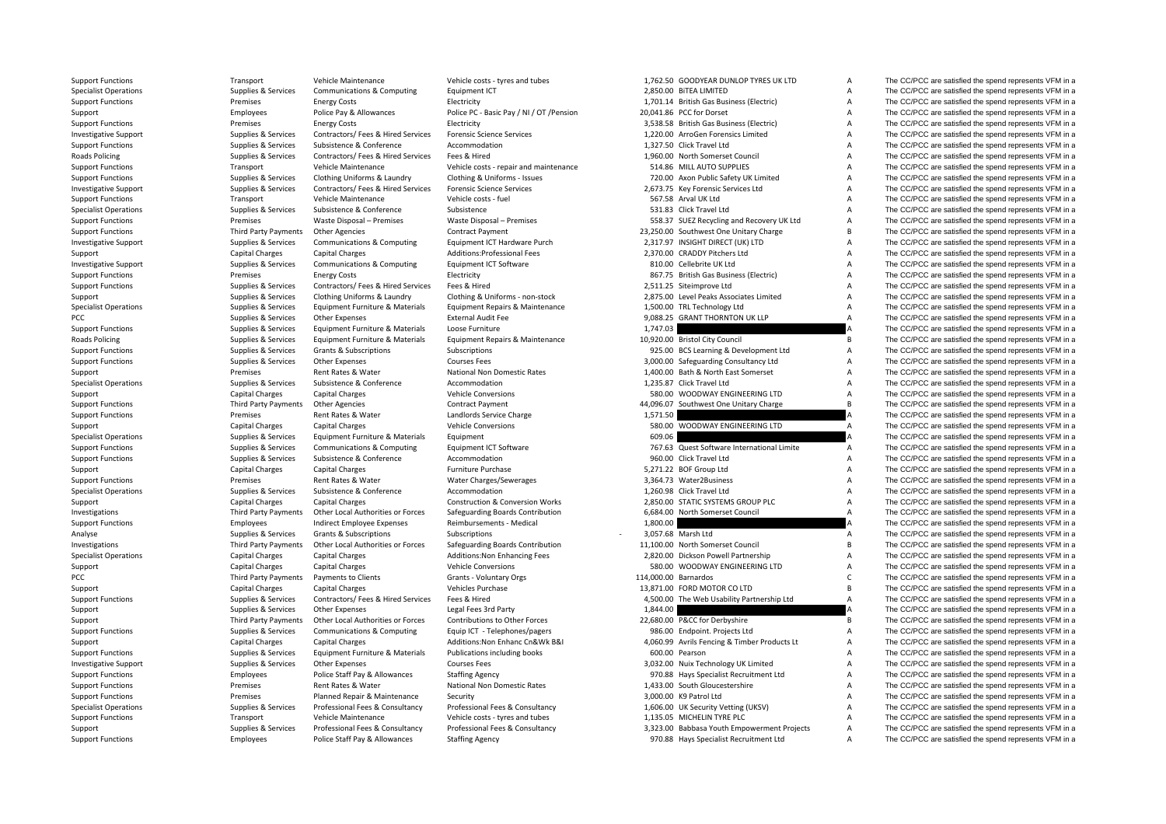**Roads Policing Roads Policing** PCC Third Party Payments

Support Functions Transport Vehicle Maintenance Vehicle costs - tyres and tubes 1,762.50 GOODYFAR DUNLOP TYRES UK LTD A The CC/PCC are satisfied the spend represents VFM in a

Specialist Operations Supplies & Services Communications & Computing Equipment ICT 2,850.00 BiTEA LIMITED A The CC/PCC are satisfied the spend represents VFM in a Support Functions Premises Energy Costs Electricity 1,701.14 British Gas Business (Electric) A The CC/PCC are satisfied the spend represents VFM in a Support Employees Police Pay & Allowances Police PC - Basic Pay / NI / OT /Pension 20,041.86 PCC for Dorset A The CC/PCC are satisfied the spend represents VFM in a Support Functions Support Energy Costs Energy Costs Electricity Electricity 3,538.58 British Gas Business (Electric) A The CC/PCC are satisfied the spend represents VFM in a Investigative Support Support Support Supporter Services Contractors/ Fees & Hired Services Forensic Science Services A 1,220.00 ArroGen Forensics Limited A The CC/PCC are satisfied the spend represents VFM in a Support Functions Supplies & Services Subsistence & Conference Accommodation Accommodation 1,327.50 Click Travel Ltd A The CC/PCC are satisfied the spend represents VFM in a Policing Supplies & Services Contractors/ Fees & Hired Services Fees & Hired 1,960.00 North Somerset Council A The CC/PCC are satisfied the spend represents VFM in a Support Functions Transport Vehicle Maintenance Vehicle costs - repair and maintenance 514.86 MILL AUTO SUPPLIES A The CC/PCC are satisfied the spend represents VFM in a Support Functions Supplies & Services Clothing Uniforms & Laundry Clothing & Uniforms - Issues 720.00 Axon Public Safety UK Limited A The CC/PCC are satisfied the spend represents VFM in a Investigative Support and Supplies & Services Contractors/ Fees & Hired Services Forensic Science Services 2,673.75 Key Forensic Services Ltd A The CC/PCC are satisfied the spend represents VFM in a Support Functions Support Transport Vehicle Maintenance Vehicle costs – fuel Substance Substance Vehicle costs Fuel Support Substance Substance Substance Substance Substance Substance Substance Substance Substance Substanc Specialist Operations Supplies & Services Subsistence Subsistence Subsistence Subsistence Subsistence Subsistence Subsistence Subsistence Subsistence Subsistence Subsistence Subsistence Subsistence Subsistence Subsistence Support Functions Premises Premises Waste Disposal – Premises Waste Disposal – Premises Waste Disposal – Premises Waste Disposal – Premises Waste Disposal – Premises Waste Disposal – Premises Waste Disposal – Premises SS.3 Support Functions Third Party Payments Other Agencies Contract Payment 23,250.00 Southwest One Unitary Charge B The CC/PCC are satisfied the spend represents VFM in a Investigative Support Support Support Support Support Support Support Support Support Support Support Support Support Support Support Support Support Support Support Support Support Support Support Support Support Support Support Capital Charges Capital Charges Capital Charges Additions:Professional Fees 2,370.00 CRADDY Pitchers Ltd A The CC/PCC are satisfied the spend represents VFM in a Investigative Support Support Supplies & Services Communications & Computing Equipment ICT Software 810.00 Cellebrite UK Ltd A The CC/PCC are satisfied the spend represents VFM in a Support Functions **Electricity** Energy Costs Electricity Electricity and a Business (Electric) British Gas Business (Electricity A The CC/PCC are satisfied the spend represents VFM in a Support Functions Supplies & Services Contractors/ Fees & Hired Services Fees & Hired 2,511.25 Siteimprove Ltd A The CC/PCC are satisfied the spend represents VFM in a Support Supplies & Services Clothing Uniforms & Laundry Clothing & Uniforms - non‐stock 2,875.00 Level Peaks Associates Limited A The CC/PCC are satisfied the spend represents VFM in a Specialist Operations Supplies & Services Equipment Furniture & Materials Equipment Repairs & Maintenance 1,500.00 TRL Technology Ltd A The CC/PCC are satisfied the spend represents VFM in a PCC PEC Supplies & Services Other Expenses External Audit Fee 9,088.25 GRANT THORNTON UK LLP A The CC/PCC are satisfied the spend represents VFM in a Support Functions Supplies & Services Equipment Furniture & Materials Loose Furniture 1,747.03 A The CC/PCC are satisfied the spend represents VFM in a Poplics & Services Equipment Furniture & Materials Equipment Repairs & Maintenance 10,920.00 Bristol City Council The CC/PCC are satisfied the spend represents VFM in a Support Functions Supplies & Services Grants & Subscriptions Subscriptions Subscriptions Subscriptions Subscriptions Subscriptions 925.00 BCS Learning & Development Ltd A The CC/PCC are satisfied the spend represents VFM i Support Functions Supplies Supplies & Services Other Expenses Courses Fees Courses Fees Support Support Functions and Courses Courses Fees 3,000.00 Safeguarding Consultancy Ltd A The CC/PCC are satisfied the spend represen Support Premises Rent Rates & Water National Non Domestic Rates 1,400.00 Bath & North East Somerset A The CC/PCC are satisfied the spend represents VFM in a Specialist Operations Supplies & Services Subsistence & Conference Accommodation Accommodation 1,235.87 Click Travel Ltd A The CC/PCC are satisfied the spend represents VFM in a Support Capital Charges Capital Charges Vehicle Conversions 580.00 WOODWAY ENGINEERING LTD A The CC/PCC are satisfied the spend represents VFM in a Support Functions Third Party Payments Other Agencies Contract Payment Contract Payment 44,096.07 Southwest One Unitary Charge B The CC/PCC are satisfied the spend represents VFM in a Support Functions Premises Rent Rates & Water Landlords Service Charge 1,571.50 A The CC/PCC are satisfied the spend represents VFM in a Support Capital Charges Capital Charges Capital Charges Vehicle Conversions Vehicle Conversions 580.00 WOODWAY ENGINEERING LTD A The CC/PCC are satisfied the spend represents VFM in a Specialist Operations Supplies & Services Equipment Furniture & Materials Equipment Furniture and Supplies A Services Equipment Furniture & Materials Equipment 609.06 609.06 A The CC/PCC are satisfied the spend represents Support Functions Supplies & Services Communications & Computing Equipment ICT Software 767.63 Quest Software International Limite A The CC/PCC are satisfied the spend represents VFM in a Support Functions Supplies & Services Subsistence & Conference Accommodation Accommodation 960.00 Click Travel Ltd A The CC/PCC are satisfied the spend represents VFM in a Support Capital Charges Capital Charges Furniture Purchase Furniture Purchase 5,271.22 BOF Group Ltd A The CC/PCC are satisfied the spend represents VFM in a Support Functions **Premises** Premises Rent Rates & Water Water Charges/Sewerages 3,364.73 Water2Business A The CC/PCC are satisfied the spend represents VFM in a Specialist Operations Supplies & Services Subsistence & Conference Accommodation Accommodation 1,260.98 Click Travel Ltd A The CC/PCC are satisfied the spend represents VFM in a Support Capital Charges Capital Charges Capital Charges Construction & Conversion Works 2,850.00 STATIC SYSTEMS GROUP PLC A The CC/PCC are satisfied the spend represents VFM in a Investigations Third Party Payments Other Local Authorities or Forces Safeguarding Boards Contribution 6,684.00 North Somerset Council A The CC/PCC are satisfied the spend represents VFM in a Sunnort Functions and the spen Support Functions employees Functions Employees Indirect Employee Expenses Reimbursements - Medical 1,800.00 A The CC/PCC are satisfied the spend represents VFM in a Analyse Supplies & Services Grants & Subscriptions Subscriptions Subscriptions Subscriptions Subscriptions Subscriptions and a Subscriptions of the CC/PCC are satisfied the spend represents VFM in a Investigations Third Party Payments Other Local Authorities or Forces Safeguarding Boards Contribution 11,100.00 North Somerset Council B The CC/PCC are satisfied the spend represents VFM in a Specialist Operations Capital Charges Capital Charges Additions:Non Enhancing Fees 2,820.00 Dickson Powell Partnership A The CC/PCC are satisfied the spend represents VFM in a Support Capital Charges Capital Charges Capital Charges Vehicle Conversions Vehicle Conversions 580.00 WOODWAY ENGINEERING LTD A The CC/PCC are satisfied the spend represents VFM in a Payments to Clients Crants · Voluntary Orgs Crants Crants Crants Communication C The CC/PCC are satisfied the spend represents VFM in a Support Capital Charges Capital Charges Capital Charges Vehicles Purchase Vehicles Purchase 13,871.00 FORD MOTOR CO LTD B The CC/PCC are satisfied the spend represents VFM in a Support Functions Supplies & Services Contractors/ Fees & Hired Services Fees & Hired 4,500.00 The Web Usability Partnership Ltd A The CC/PCC are satisfied the spend represents VFM in a Support Supplies & Services Other Expenses Legal Fees 3rd Party 1,844.00 A The CC/PCC are satisfied the spend represents VFM in a Support Third Party Payments Other Local Authorities or Forces Contributions to Other Forces 22,680.00 P&CC for Derbyshire B The CC/PCC are satisfied the spend represents VFM in a Support Functions Supplies & Services Communications & Computing Equip ICT - Telephones/pagers 986.00 Endpoint. Projects Ltd A The CC/PCC are satisfied the spend represents VFM in a Support Capital Charges Capital Charges Additions:Non Enhanc Cn&Wk B&I 4,060.99 Avrils Fencing & Timber Products Lt A The CC/PCC are satisfied the spend represents VFM in a Support Functions Supplies & Services Equipment Furniture & Materials Publications including books 600.00 Pearson 600.00 Pearson A The CC/PCC are satisfied the spend represents VFM in a Investigative Support Support Supplies & Services Other Expenses Courses Fees Courses Fees 3,032.00 Nuix Technology UK Limited A The CC/PCC are satisfied the spend represents VFM in a Support Functions Employees Police Staff Pay & Allowances Staffing Agency 970.88 Hays Specialist Recruitment Ltd A The CC/PCC are satisfied the spend represents VFM in a Support Functions **Premises** Premises Rent Rates & Water National Non Domestic Rates 1,433.00 South Gloucestershire A The CC/PCC are satisfied the spend represents VFM in a Support Functions Support Functions Premises Promises Planned Repair & Maintenance Security Security Support and Maintenance Security 3,000.00 K9 Patrol Ltd A The CC/PCC are satisfied the spend represents VFM in a Support Specialist Operations Supplies & Services Professional Fees & Consultancy Professional Fees & Consultancy Professional Fees & Consultancy Professional Fees & Consultancy Professional Fees & Consultancy Professional Fees & Support Functions Transport Vehicle Maintenance Vehicle costs - tyres and tubes 1,135.05 MICHELIN TYRE PLC A The CC/PCC are satisfied the spend represents VFM in a Support Supplies & Services Professional Fees & Consultancy Professional Fees & Consultancy 3,323.00 Babbasa Youth Empowerment Projects A The CC/PCC are satisfied the spend represents VFM in a Support Functions Employees Police Staff Pay & Allowances Staffing Agency Staff Agency 970.88 Hays Specialist Recruitment Ltd A The CC/PCC are satisfied the spend represents VFM in a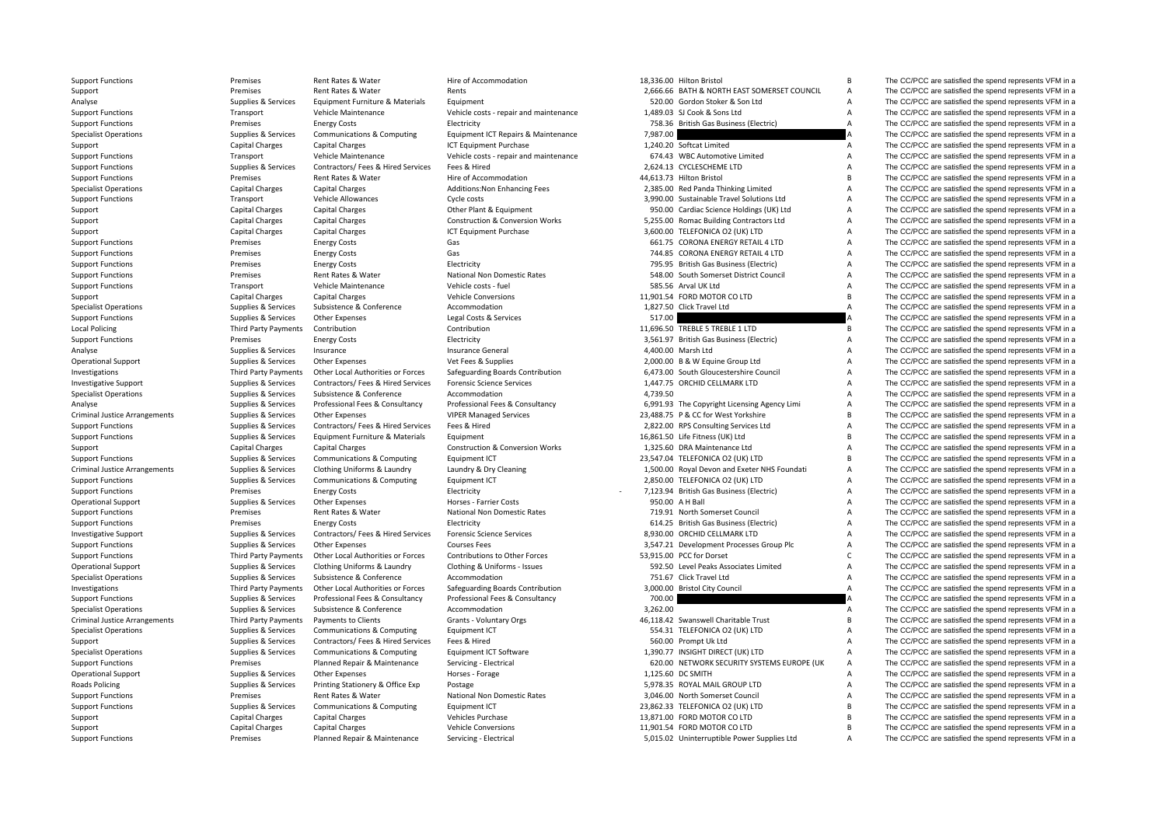| <b>Support Functions</b>             | Premises                    | Rent Rates & Water                 | Hire of Accommodation                      |          | 18,336.00 Hilton Bristol                     | В              | The CC/PCC are satisfied the spend represents VFM in a |
|--------------------------------------|-----------------------------|------------------------------------|--------------------------------------------|----------|----------------------------------------------|----------------|--------------------------------------------------------|
| Support                              | Premises                    | Rent Rates & Water                 | Rents                                      |          | 2,666.66 BATH & NORTH EAST SOMERSET COUNCIL  | A              | The CC/PCC are satisfied the spend represents VFM in a |
| Analyse                              | Supplies & Services         | Equipment Furniture & Materials    | Equipment                                  |          | 520.00 Gordon Stoker & Son Ltd               | $\overline{A}$ | The CC/PCC are satisfied the spend represents VFM in a |
| <b>Support Functions</b>             | Transport                   | Vehicle Maintenance                | Vehicle costs - repair and maintenance     |          | 1.489.03 SJ Cook & Sons Ltd                  | A              | The CC/PCC are satisfied the spend represents VFM in a |
| <b>Support Functions</b>             | Premises                    | <b>Energy Costs</b>                | Electricity                                |          | 758.36 British Gas Business (Electric)       | $\overline{A}$ | The CC/PCC are satisfied the spend represents VFM in a |
| <b>Specialist Operations</b>         | Supplies & Services         | Communications & Computing         | Equipment ICT Repairs & Maintenance        | 7,987.00 |                                              |                | The CC/PCC are satisfied the spend represents VFM in a |
| Support                              | Capital Charges             | <b>Capital Charges</b>             | <b>ICT Equipment Purchase</b>              |          | 1,240.20 Softcat Limited                     | $\overline{A}$ | The CC/PCC are satisfied the spend represents VFM in a |
| <b>Support Functions</b>             | Transport                   | Vehicle Maintenance                | Vehicle costs - repair and maintenance     |          | 674.43 WBC Automotive Limited                | $\overline{A}$ | The CC/PCC are satisfied the spend represents VFM in a |
| <b>Support Functions</b>             | Supplies & Services         | Contractors/ Fees & Hired Services | Fees & Hired                               |          | 2,624.13 CYCLESCHEME LTD                     | $\overline{A}$ | The CC/PCC are satisfied the spend represents VFM in a |
| <b>Support Functions</b>             | Premises                    | Rent Rates & Water                 | Hire of Accommodation                      |          | 44,613.73 Hilton Bristol                     | $\overline{B}$ | The CC/PCC are satisfied the spend represents VFM in a |
| <b>Specialist Operations</b>         | Capital Charges             | <b>Capital Charges</b>             | Additions: Non Enhancing Fees              |          | 2,385.00 Red Panda Thinking Limited          | A              | The CC/PCC are satisfied the spend represents VFM in a |
| <b>Support Functions</b>             | Transport                   | <b>Vehicle Allowances</b>          | Cycle costs                                |          | 3,990.00 Sustainable Travel Solutions Ltd    | $\overline{A}$ | The CC/PCC are satisfied the spend represents VFM in a |
|                                      | <b>Capital Charges</b>      | Capital Charges                    | Other Plant & Equipment                    |          | 950.00 Cardiac Science Holdings (UK) Ltd     | А              | The CC/PCC are satisfied the spend represents VFM in a |
| Support                              | Capital Charges             | Capital Charges                    | <b>Construction &amp; Conversion Works</b> |          | 5,255.00 Romac Building Contractors Ltd      | $\overline{A}$ | The CC/PCC are satisfied the spend represents VFM in a |
| Support                              |                             |                                    |                                            |          | 3,600.00 TELEFONICA O2 (UK) LTD              | A              | The CC/PCC are satisfied the spend represents VFM in a |
| Support                              | Capital Charges             | <b>Capital Charges</b>             | <b>ICT Equipment Purchase</b>              |          |                                              | A              |                                                        |
| <b>Support Functions</b>             | Premises                    | <b>Energy Costs</b>                | Gas                                        |          | 661.75 CORONA ENERGY RETAIL 4 LTD            |                | The CC/PCC are satisfied the spend represents VFM in a |
| <b>Support Functions</b>             | Premises                    | <b>Energy Costs</b>                | Gas                                        |          | 744.85 CORONA ENERGY RETAIL 4 LTD            | $\overline{A}$ | The CC/PCC are satisfied the spend represents VFM in a |
| <b>Support Functions</b>             | Premises                    | <b>Energy Costs</b>                | Electricity                                |          | 795.95 British Gas Business (Electric)       | $\overline{A}$ | The CC/PCC are satisfied the spend represents VFM in a |
| <b>Support Functions</b>             | Premises                    | Rent Rates & Water                 | National Non Domestic Rates                |          | 548.00 South Somerset District Council       | A              | The CC/PCC are satisfied the spend represents VFM in a |
| <b>Support Functions</b>             | Transport                   | Vehicle Maintenance                | Vehicle costs - fuel                       |          | 585.56 Arval UK Ltd                          | $\overline{A}$ | The CC/PCC are satisfied the spend represents VFM in a |
| Support                              | Capital Charges             | <b>Capital Charges</b>             | <b>Vehicle Conversions</b>                 |          | 11,901.54 FORD MOTOR CO LTD                  | <b>B</b>       | The CC/PCC are satisfied the spend represents VFM in a |
| <b>Specialist Operations</b>         | Supplies & Services         | Subsistence & Conference           | Accommodation                              |          | 1,827.50 Click Travel Ltd                    | $\overline{A}$ | The CC/PCC are satisfied the spend represents VFM in a |
| <b>Support Functions</b>             | Supplies & Services         | <b>Other Expenses</b>              | Legal Costs & Services                     | 517.00   |                                              |                | The CC/PCC are satisfied the spend represents VFM in a |
| <b>Local Policing</b>                | Third Party Payments        | Contribution                       | Contribution                               |          | 11.696.50 TREBLE 5 TREBLE 1 LTD              | B              | The CC/PCC are satisfied the spend represents VFM in a |
| <b>Support Functions</b>             | Premises                    | <b>Energy Costs</b>                | Electricity                                |          | 3,561.97 British Gas Business (Electric)     | $\overline{A}$ | The CC/PCC are satisfied the spend represents VFM in a |
| Analyse                              | Supplies & Services         | Insurance                          | Insurance General                          |          | 4,400.00 Marsh Ltd                           | A              | The CC/PCC are satisfied the spend represents VFM in a |
| <b>Operational Support</b>           | Supplies & Services         | Other Expenses                     | Vet Fees & Supplies                        |          | 2,000.00 B & W Equine Group Ltd              | A              | The CC/PCC are satisfied the spend represents VFM in a |
| Investigations                       | Third Party Payments        | Other Local Authorities or Forces  | Safeguarding Boards Contribution           |          | 6,473.00 South Gloucestershire Council       | $\overline{A}$ | The CC/PCC are satisfied the spend represents VFM in a |
| <b>Investigative Support</b>         | Supplies & Services         | Contractors/ Fees & Hired Services | <b>Forensic Science Services</b>           |          | 1,447.75 ORCHID CELLMARK LTD                 | $\overline{A}$ | The CC/PCC are satisfied the spend represents VFM in a |
| <b>Specialist Operations</b>         | Supplies & Services         | Subsistence & Conference           | Accommodation                              | 4,739.50 |                                              | $\overline{A}$ | The CC/PCC are satisfied the spend represents VFM in a |
| Analyse                              | Supplies & Services         | Professional Fees & Consultancy    | Professional Fees & Consultancy            |          | 6,991.93 The Copyright Licensing Agency Limi | $\overline{A}$ | The CC/PCC are satisfied the spend represents VFM in a |
| Criminal Justice Arrangements        | Supplies & Services         | <b>Other Expenses</b>              | <b>VIPER Managed Services</b>              |          | 23,488.75 P & CC for West Yorkshire          | B              | The CC/PCC are satisfied the spend represents VFM in a |
| <b>Support Functions</b>             | Supplies & Services         | Contractors/ Fees & Hired Services | Fees & Hired                               |          | 2,822.00 RPS Consulting Services Ltd         | $\overline{A}$ | The CC/PCC are satisfied the spend represents VFM in a |
| <b>Support Functions</b>             | Supplies & Services         | Equipment Furniture & Materials    | Equipment                                  |          | 16,861.50 Life Fitness (UK) Ltd              | B              | The CC/PCC are satisfied the spend represents VFM in a |
| Support                              | <b>Capital Charges</b>      | <b>Capital Charges</b>             | <b>Construction &amp; Conversion Works</b> |          | 1,325.60 DRA Maintenance Ltd                 | $\overline{A}$ | The CC/PCC are satisfied the spend represents VFM in a |
| <b>Support Functions</b>             | Supplies & Services         | Communications & Computing         | Equipment ICT                              |          | 23,547.04 TELEFONICA O2 (UK) LTD             | $\overline{B}$ | The CC/PCC are satisfied the spend represents VFM in a |
| <b>Criminal Justice Arrangements</b> | Supplies & Services         | Clothing Uniforms & Laundry        | Laundry & Dry Cleaning                     |          | 1,500.00 Royal Devon and Exeter NHS Foundati | $\overline{A}$ | The CC/PCC are satisfied the spend represents VFM in a |
| <b>Support Functions</b>             | Supplies & Services         | Communications & Computing         | Equipment ICT                              |          | 2,850.00 TELEFONICA O2 (UK) LTD              | A              | The CC/PCC are satisfied the spend represents VFM in a |
| <b>Support Functions</b>             | Premises                    | <b>Energy Costs</b>                | Electricity                                |          | 7,123.94 British Gas Business (Electric)     | A              | The CC/PCC are satisfied the spend represents VFM in a |
|                                      |                             |                                    |                                            |          | 950.00 A H Ball                              | A              |                                                        |
| Operational Support                  | Supplies & Services         | Other Expenses                     | Horses - Farrier Costs                     |          |                                              |                | The CC/PCC are satisfied the spend represents VFM in a |
| <b>Support Functions</b>             | Premises                    | Rent Rates & Water                 | National Non Domestic Rates                |          | 719.91 North Somerset Council                | $\overline{A}$ | The CC/PCC are satisfied the spend represents VFM in a |
| <b>Support Functions</b>             | Premises                    | <b>Energy Costs</b>                | Electricity                                |          | 614.25 British Gas Business (Electric)       | $\overline{A}$ | The CC/PCC are satisfied the spend represents VFM in a |
| <b>Investigative Support</b>         | Supplies & Services         | Contractors/Fees & Hired Services  | <b>Forensic Science Services</b>           |          | 8,930.00 ORCHID CELLMARK LTD                 | A              | The CC/PCC are satisfied the spend represents VFM in a |
| <b>Support Functions</b>             | Supplies & Services         | <b>Other Expenses</b>              | <b>Courses Fees</b>                        |          | 3,547.21 Development Processes Group Plc     | Α              | The CC/PCC are satisfied the spend represents VFM in a |
| <b>Support Functions</b>             | Third Party Payments        | Other Local Authorities or Forces  | Contributions to Other Forces              |          | 53,915.00 PCC for Dorset                     | $\mathsf{C}$   | The CC/PCC are satisfied the spend represents VFM in a |
| <b>Operational Support</b>           | Supplies & Services         | Clothing Uniforms & Laundry        | Clothing & Uniforms - Issues               |          | 592.50 Level Peaks Associates Limited        | $\overline{A}$ | The CC/PCC are satisfied the spend represents VFM in a |
| <b>Specialist Operations</b>         | Supplies & Services         | Subsistence & Conference           | Accommodation                              |          | 751.67 Click Travel Ltd                      | A              | The CC/PCC are satisfied the spend represents VFM in a |
| Investigations                       | Third Party Payments        | Other Local Authorities or Forces  | Safeguarding Boards Contribution           |          | 3,000.00 Bristol City Council                | $\overline{A}$ | The CC/PCC are satisfied the spend represents VFM in a |
| <b>Support Functions</b>             | Supplies & Services         | Professional Fees & Consultancy    | Professional Fees & Consultancy            | 700.00   |                                              |                | The CC/PCC are satisfied the spend represents VFM in a |
| <b>Specialist Operations</b>         | Supplies & Services         | Subsistence & Conference           | Accommodation                              | 3,262.00 |                                              | $\overline{A}$ | The CC/PCC are satisfied the spend represents VFM in a |
| <b>Criminal Justice Arrangements</b> | <b>Third Party Payments</b> | Payments to Clients                | Grants - Voluntary Orgs                    |          | 46,118.42 Swanswell Charitable Trust         | B              | The CC/PCC are satisfied the spend represents VFM in a |
| <b>Specialist Operations</b>         | Supplies & Services         | Communications & Computing         | Equipment ICT                              |          | 554.31 TELEFONICA O2 (UK) LTD                | $\overline{A}$ | The CC/PCC are satisfied the spend represents VFM in a |
| Support                              | Supplies & Services         | Contractors/ Fees & Hired Services | Fees & Hired                               |          | 560.00 Prompt Uk Ltd                         | $\overline{A}$ | The CC/PCC are satisfied the spend represents VFM in a |
| <b>Specialist Operations</b>         | Supplies & Services         | Communications & Computing         | Equipment ICT Software                     |          | 1,390.77 INSIGHT DIRECT (UK) LTD             | A              | The CC/PCC are satisfied the spend represents VFM in a |
| <b>Support Functions</b>             | Premises                    | Planned Repair & Maintenance       | Servicing - Electrical                     |          | 620.00 NETWORK SECURITY SYSTEMS EUROPE (UK   | A              | The CC/PCC are satisfied the spend represents VFM in a |
| <b>Operational Support</b>           | Supplies & Services         | Other Expenses                     | Horses - Forage                            |          | 1.125.60 DC SMITH                            | $\overline{A}$ | The CC/PCC are satisfied the spend represents VFM in a |
| Roads Policing                       | Supplies & Services         | Printing Stationery & Office Exp   | Postage                                    |          | 5,978.35 ROYAL MAIL GROUP LTD                | A              | The CC/PCC are satisfied the spend represents VFM in a |
| <b>Support Functions</b>             | Premises                    | Rent Rates & Water                 | National Non Domestic Rates                |          | 3,046.00 North Somerset Council              | A              | The CC/PCC are satisfied the spend represents VFM in a |
| <b>Support Functions</b>             | Supplies & Services         | Communications & Computing         | Equipment ICT                              |          | 23,862.33 TELEFONICA O2 (UK) LTD             | $\overline{B}$ | The CC/PCC are satisfied the spend represents VFM in a |
| Support                              | Capital Charges             | Capital Charges                    | Vehicles Purchase                          |          | 13,871.00 FORD MOTOR CO LTD                  | $\overline{B}$ | The CC/PCC are satisfied the spend represents VFM in a |
| Support                              | Capital Charges             | <b>Capital Charges</b>             | <b>Vehicle Conversions</b>                 |          | 11,901.54 FORD MOTOR CO LTD                  | B              | The CC/PCC are satisfied the spend represents VFM in a |
|                                      |                             |                                    |                                            |          |                                              |                |                                                        |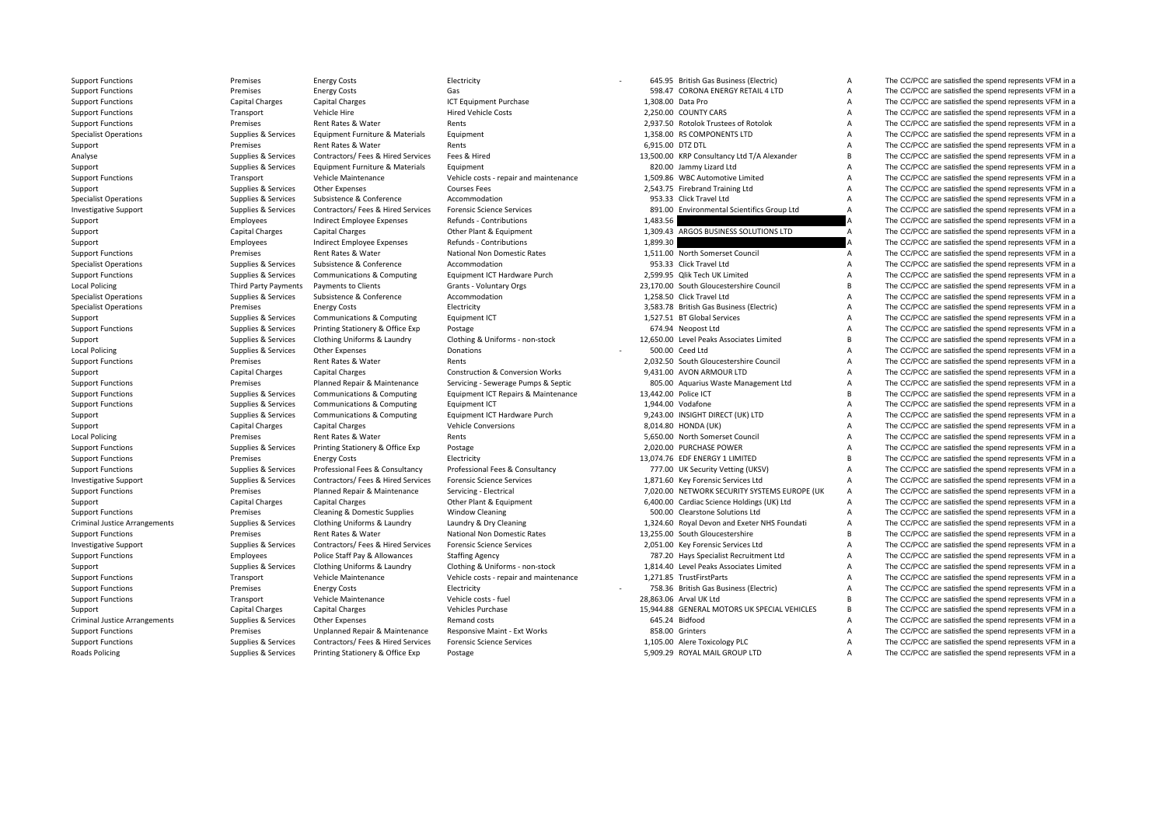**Local Policing** Local Policing **Local Policing** Criminal JusticeCriminal Justice**Roads Policing** 

Support Functions **Examples** Premises Functions Electricity **Electricity Functions Electricity Costs Electricity Costs Electricity Electricity COSTS Examples and represents VFM in a** 

|                   | 598.47 CORONA ENERGY RETAIL 4 LTD            |
|-------------------|----------------------------------------------|
| 1,308.00 Data Pro |                                              |
|                   | 2,250.00 COUNTY CARS                         |
|                   | 2,937.50 Rotolok Trustees of Rotolok         |
|                   | 1,358.00 RS COMPONENTS LTD                   |
| 6,915.00 DTZ DTL  |                                              |
|                   | 13,500.00 KRP Consultancy Ltd T/A Alexander  |
|                   | 820.00 Jammy Lizard Ltd                      |
|                   | 1,509.86 WBC Automotive Limited              |
|                   | 2,543.75 Firebrand Training Ltd              |
|                   | 953.33 Click Travel Ltd                      |
|                   | 891.00 Environmental Scientifics Group Ltd   |
| 1,483.56          |                                              |
|                   | 1,309.43 ARGOS BUSINESS SOLUTIONS LTD        |
| 1,899.30          |                                              |
|                   | 1,511.00 North Somerset Council              |
|                   | 953.33 Click Travel Ltd                      |
|                   | 2,599.95 Qlik Tech UK Limited                |
|                   | 23,170.00 South Gloucestershire Council      |
|                   | 1,258.50 Click Travel Ltd                    |
|                   | 3,583.78 British Gas Business (Electric)     |
|                   | 1,527.51 BT Global Services                  |
|                   | 674.94 Neopost Ltd                           |
|                   | 12,650.00 Level Peaks Associates Limited     |
|                   | 500.00 Ceed Ltd                              |
|                   | 2,032.50 South Gloucestershire Council       |
|                   | 9,431.00 AVON ARMOUR LTD                     |
|                   | 805.00 Aquarius Waste Management Ltd         |
|                   | 13,442.00 Police ICT                         |
|                   | 1,944.00 Vodafone                            |
|                   | 9,243.00 INSIGHT DIRECT (UK) LTD             |
|                   | 8,014.80 HONDA (UK)                          |
|                   | 5,650.00 North Somerset Council              |
|                   | 2,020.00 PURCHASE POWER                      |
|                   | 13,074.76 EDF ENERGY 1 LIMITED               |
|                   | 777.00 UK Security Vetting (UKSV)            |
|                   | 1,871.60 Key Forensic Services Ltd           |
|                   | 7,020.00 NETWORK SECURITY SYSTEMS EUROPE (UK |
|                   | 6,400.00 Cardiac Science Holdings (UK) Ltd   |
|                   | 500.00 Clearstone Solutions Ltd              |
|                   | 1,324.60 Royal Devon and Exeter NHS Foundati |
|                   | 13,255.00 South Gloucestershire              |
|                   | 2,051.00 Key Forensic Services Ltd           |
|                   | 787.20 Hays Specialist Recruitment Ltd       |
|                   | 1,814.40 Level Peaks Associates Limited      |
|                   | 1,271.85 TrustFirstParts                     |
|                   | 758.36 British Gas Business (Electric)       |
|                   | 28,863.06 Arval UK Ltd                       |
|                   | 15,944.88 GENERAL MOTORS UK SPECIAL VEHICLES |
|                   | 645.24 Bidfood                               |
|                   | 858.00 Grinters                              |
|                   | 1,105.00 Alere Toxicology PLC                |
|                   |                                              |

Support Functions Premises Energy Costs Gas Gas Gas S98.47 CORONA ENERGY RETAIL 4 LTD A The CC/PCC are satisfied the spend represents VFM in a Support Functions Capital Charges Capital Charges Capital Charges ICT Equipment Purchase 1,308.00 Data Pro A The CC/PCC are satisfied the spend represents VFM in a Support Functions and Transport Vehicle Hire Hire Hired Vehicle Costs 2,250.00 COUNTY CARS A The CC/PCC are satisfied the spend represents VFM in a Support Functions **Exercises Rent Rates Advantage Rent Rents** Rents Rents Rents 2,937.50 Rotolok Trustees of Rotolok A The CC/PCC are satisfied the spend represents VFM in a Specialist Operations Supplies & Services Equipment Furniture & Materials Equipment 1,358.00 RS COMPONENTS LTD A The CC/PCC are satisfied the spend represents VFM in a Support Premises Rent Rates & Water Rents Rents Rents Rents 6,915.00 DTZ DTL A The CC/PCC are satisfied the spend represents VFM in a Analyse Supplies & Services Contractors/ Fees & Hired Services Fees & Hired 13,500.00 KRP Consultancy Ltd T/A Alexander B The CC/PCC are satisfied the spend represents VFM in a Support Supplies & Services Equipment Furniture & Materials Equipment and Support Support and Support and the Screents VFM in a Support of the Screents VFM in a Support of the Spend represents VFM in a spend represents VFM Support Functions Transport Vehicle Maintenance Vehicle costs - repair and maintenance 1,509.86 WBC Automotive Limited A The CC/PCC are satisfied the spend represents VFM in a Support Supplies & Services Other Expenses 2,543.75 Firebrand Training Ltd A The CC/PCC are satisfied the spend represents VFM in a Specialist Operations Supplies & Services Subsistence & Conference Accommodation Accommodation 953.33 Click Travel Ltd A The CC/PCC are satisfied the spend represents VFM in a Investigative Support Supplies Services Contractors/ Fees & Hired Services Forensic Science Services Forensic Science Services 891.00 Environmental Scientifics Group Ltd A The CC/PCC are satisfied the spend represents VFM Support Burport Employees Support Employee Expenses Refunds - Contributions and the mass of the Support and the CC/PCC are satisfied the spend represents VFM in a Support of the CC/PCC are satisfied the spend represents VF Support Capital Charges Capital Charges Capital Charges Other Plant & Foulpment 1,309.43 ARGOS BUSINESS SOLUTIONS LTD A The CC/PCC are satisfied the spend represents VFM in a Support Employees Support Employees Indirect Employee Expenses Refunds - Contributions 1,899.30 A The CC/PCC are satisfied the spend represents VFM in a Support Functions Premises Rent Rates & Water National Non Domestic Rates 1,511.00 North Somerset Council A The CC/PCC are satisfied the spend represents VFM in a Specialist Operations Supplies & Services Subsistence & Conference Accommodation Accommodation 953.33 Click Travel Ltd A The CC/PCC are satisfied the spend represents VFM in a Support Functions Supplies A Services Communications & Computing Equipment ICT Hardware Purch 2,599.95 Qlik Tech UK Limited A The CC/PCC are satisfied the spend represents VFM in a Policing Third Party Payments Payments to Clients Grants ‐ Voluntary Orgs 23,170.00 South Gloucestershire Council B The CC/PCC are satisfied the spend represents VFM in a Specialist Operations Supplies & Services Subsistence & Conference Accommodation Accommodation 1,258.50 Click Travel Ltd A The CC/PCC are satisfied the spend represents VFM in a Specialist Operations Specialist Operations Premises Energy Costs Electricity Electricity and a subsiness (Electricity 3,583.78 British Gas Business (Electric) A The CC/PCC are satisfied the spend represents VFM in a Support Supplies & Services Communications & Computing Equipment ICT 1,527.51 BT Global Services A The CC/PCC are satisfied the spend represents VFM in a Support Functions Supplies Supplies & Services Printing Stationery & Office Exp Postage Printing Stationery & Coreans of The CO/PCC are satisfied the spend represents VFM in a Supplies & Services Clothing Uniforms & Laundr Support Supplies & Services Clothing Uniforms & Laundry Clothing & Uniforms - non-stock 12,650.00 Level Peaks Associates Limited B The CC/PCC are satisfied the spend represents VFM in a Policing Supplies & Services Other Expenses Donations 500.00 ‐ Ceed Ltd A The CC/PCC are satisfied the spend represents VFM in a Support Functions Support Functions Premises Rent Rates & Water Rents Rents Rents Rents Rent Rates Rent Rates & Water Rents Rents Rents Rents Rents Rents Rents Rents Rents Rents Rents Rents Rents Rents Rents Rents Rents Re Support Capital Charges Capital Charges Capital Charges Construction & Conversion Works 9,431.00 AVON ARMOUR LTD A The CC/PCC are satisfied the spend represents VFM in a Support Functions **Premises** Planned Repair & Maintenance Servicing - Sewerage Pumps & Septic 805.00 Aquarius Waste Management Ltd A The CC/PCC are satisfied the spend represents VFM in a Support Functions Supplies Services Communications & Computing Faultoment ICT Repairs & Maintenance 13,442.00 Police ICT B The CC/PCC are satisfied the spend represents VFM in a Support Functions Supplies & Services Communications & Computing Equipment ICT 1,944.00 Vodafone A The CC/PCC are satisfied the spend represents VFM in a Support Supplies & Services Communications & Computing Equipment ICT Hardware Purch 9,243.00 INSIGHT DIRECT (UK) LTD A The CC/PCC are satisfied the spend represents VFM in a Support Capital Charges Capital Charges Vehicle Conversions Vehicle Conversions 8,014.80 HONDA (UK) A The CC/PCC are satisfied the spend represents VFM in a Premises Rent Rates & Water **Rents Rents Rents Rents Rents Rents A The CC/PCC** are satisfied the spend represents VFM in a Support Functions Supplies & Services Printing Stationery & Office Exp Postage 2,020.00 PURCHASE POWER A The CC/PCC are satisfied the spend represents VFM in a Support Functions energy Costs Energy Costs Energy Costs Electricity Electricity and the Support Functions and the CC/PCC are satisfied the spend represents VFM in a Support Functions Supplies & Services Professional Fees & Consultancy Professional Fees & Consultancy Professional Fees & Consultancy 777.00 UK Security Vetting (UKSV) A The CC/PCC are satisfied the spend represents VFM in Investigative Support Support Supplies & Services Contractors/ Fees & Hired Services Forensic Science Services Material Services 1,871.60 Key Forensic Services Ltd A The CC/PCC are satisfied the spend represents VFM in a Support Functions Premises Planned Repair & Maintenance Servicing - Electrical 7,020.00 NETWORK SECURITY SYSTEMS EUROPE (UK A The CC/PCC are satisfied the spend represents VFM in a Support Capital Charges Capital Charges Capital Charges Other Plant & Equipment 6,400.00 Cardiac Science Holdings (UK) Ltd A The CC/PCC are satisfied the spend represents VFM in a Support Functions Support Functions Cleaning Premises Cleaning Cleaning Cleaning Cleaning Cleaning Cleaning Cleaning Cleaning Cleaning Cleaning Cleaning Cleaning Cleaning Cleaning Cleaning Cleaning Cleaning Cleaning Suppor Supplies & Services Clothing Uniforms & Laundry Laundry & Dry Cleaning 1,324.60 Royal Devon and Exeter NHS Foundati A The CC/PCC are satisfied the spend represents VFM in a Support Functions Premises Rent Rates & Water National Non Domestic Rates 13,255.00 South Gloucestershire B The CC/PCC are satisfied the spend represents VFM in a Investigative Support and Supplies & Services Contractors/ Fees & Hired Services Forensic Science Services 200 Manual 2,051.00 Key Forensic Services Ltd A The CC/PCC are satisfied the spend represents VFM in a Support Functions Employees Police Staff Pay & Allowances Staffing Agency 787.20 Hays Specialist Recruitment Ltd A The CC/PCC are satisfied the spend represents VFM in a Support Supplies & Services Clothing Uniforms & Laundry Clothing & Uniforms - non‐stock 1,814.40 Level Peaks Associates Limited A The CC/PCC are satisfied the spend represents VFM in a Support Functions Transport Vehicle Maintenance Vehicle costs ‐ repair and maintenance 1,271.85 TrustFirstParts A The CC/PCC are satisfied the spend represents VFM in a Support Functions energy Costs Energy Costs Electricity Electricity **Functions** and the Support Functions and the CC/PCC are satisfied the spend represents VFM in a Support Functions Transport Vehicle Maintenance Vehicle costs ‐ fuel 28,863.06 Arval UK Ltd B The CC/PCC are satisfied the spend represents VFM in a Support Capital Charges Capital Charges Vehicles Purchase 15,944.88 GENERAL MOTORS UK SPECIAL VEHICLES B The CC/PCC are satisfied the spend represents VFM in a Supplies & Services Other Expenses Supplies Arrangements VFM in a The CC/PCC are satisfied the spend represents VFM in a Support Functions **Premises** Premises Unplanned Repair & Maintenance Responsive Maint - Ext Works 858.00 Grinters A The CC/PCC are satisfied the spend represents VFM in a Support Functions Supplies & Services Contractors/ Fees & Hired Services Forensic Science Services 1,105.00 Alere Toxicology PLC A The CC/PCC are satisfied the spend represents VFM in a Supplies & Services Printing Stationery & Office Exp Postage exp Postage 5,909.29 ROYAL MAIL GROUP LTD A The CC/PCC are satisfied the spend represents VFM in a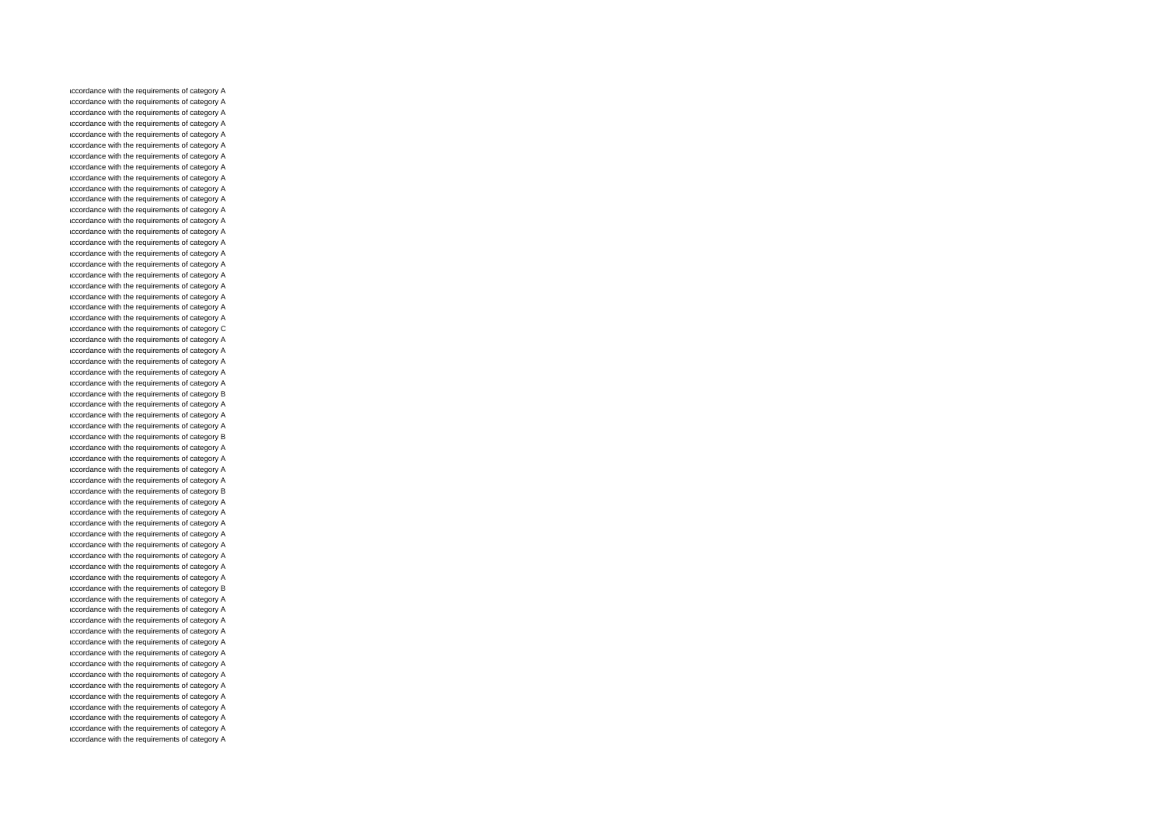accordance with the requirements of category A accordance with the requirements of category A accordance with the requirements of category A accordance with the requirements of category A accordance with the requirements of category A accordance with the requirements of category A accordance with the requirements of category A accordance with the requirements of category A accordance with the requirements of category A accordance with the requirements of category A accordance with the requirements of category A accordance with the requirements of category A accordance with the requirements of category A accordance with the requirements of category A accordance with the requirements of category A accordance with the requirements of category A accordance with the requirements of category A accordance with the requirements of category A accordance with the requirements of category A accordance with the requirements of category A accordance with the requirements of category A accordance with the requirements of category A accordance with the requirements of category C accordance with the requirements of category A accordance with the requirements of category A accordance with the requirements of category A accordance with the requirements of category A accordance with the requirements of category A accordance with the requirements of category B accordance with the requirements of category A accordance with the requirements of category A accordance with the requirements of category A accordance with the requirements of category B accordance with the requirements of category A accordance with the requirements of category A accordance with the requirements of category A accordance with the requirements of category A accordance with the requirements of category B accordance with the requirements of category A accordance with the requirements of category A accordance with the requirements of category A accordance with the requirements of category A accordance with the requirements of category A accordance with the requirements of category A accordance with the requirements of category A accordance with the requirements of category A accordance with the requirements of category B accordance with the requirements of category A accordance with the requirements of category A accordance with the requirements of category A accordance with the requirements of category A accordance with the requirements of category A accordance with the requirements of category A accordance with the requirements of category A accordance with the requirements of category A accordance with the requirements of category A accordance with the requirements of category A accordance with the requirements of category A accordance with the requirements of category A accordance with the requirements of category A accordance with the requirements of category A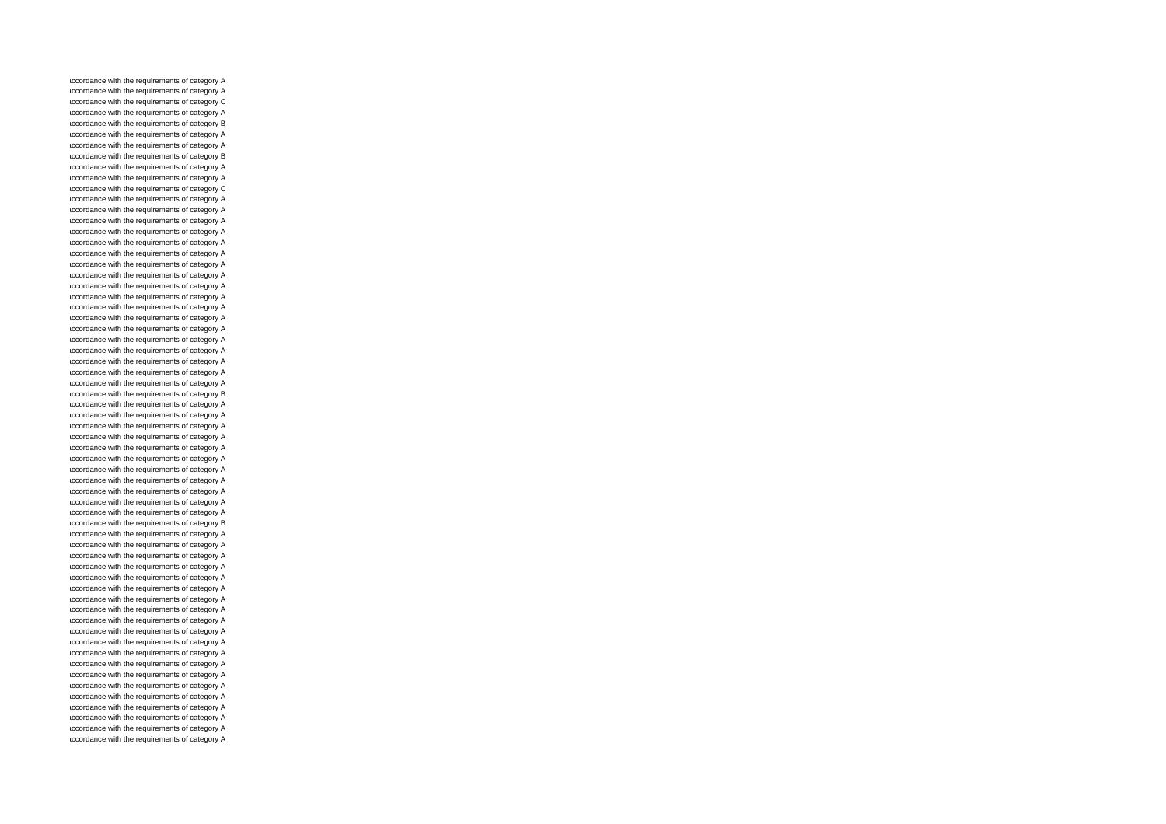accordance with the requirements of category A accordance with the requirements of category A accordance with the requirements of category C accordance with the requirements of category A accordance with the requirements of category B accordance with the requirements of category A accordance with the requirements of category A accordance with the requirements of category B accordance with the requirements of category A accordance with the requirements of category A accordance with the requirements of category C accordance with the requirements of category A accordance with the requirements of category A accordance with the requirements of category A accordance with the requirements of category A accordance with the requirements of category A accordance with the requirements of category A accordance with the requirements of category A accordance with the requirements of category A accordance with the requirements of category A accordance with the requirements of category A accordance with the requirements of category A accordance with the requirements of category A accordance with the requirements of category A accordance with the requirements of category A accordance with the requirements of category A accordance with the requirements of category A accordance with the requirements of category A accordance with the requirements of category A accordance with the requirements of category B accordance with the requirements of category A accordance with the requirements of category A accordance with the requirements of category A accordance with the requirements of category A accordance with the requirements of category A accordance with the requirements of category A accordance with the requirements of category A accordance with the requirements of category A accordance with the requirements of category A accordance with the requirements of category A accordance with the requirements of category A accordance with the requirements of category B accordance with the requirements of category A accordance with the requirements of category A accordance with the requirements of category A accordance with the requirements of category A accordance with the requirements of category A accordance with the requirements of category A accordance with the requirements of category A accordance with the requirements of category A accordance with the requirements of category A accordance with the requirements of category A accordance with the requirements of category A accordance with the requirements of category A accordance with the requirements of category A accordance with the requirements of category A accordance with the requirements of category A accordance with the requirements of category A accordance with the requirements of category A accordance with the requirements of category A accordance with the requirements of category A accordance with the requirements of category A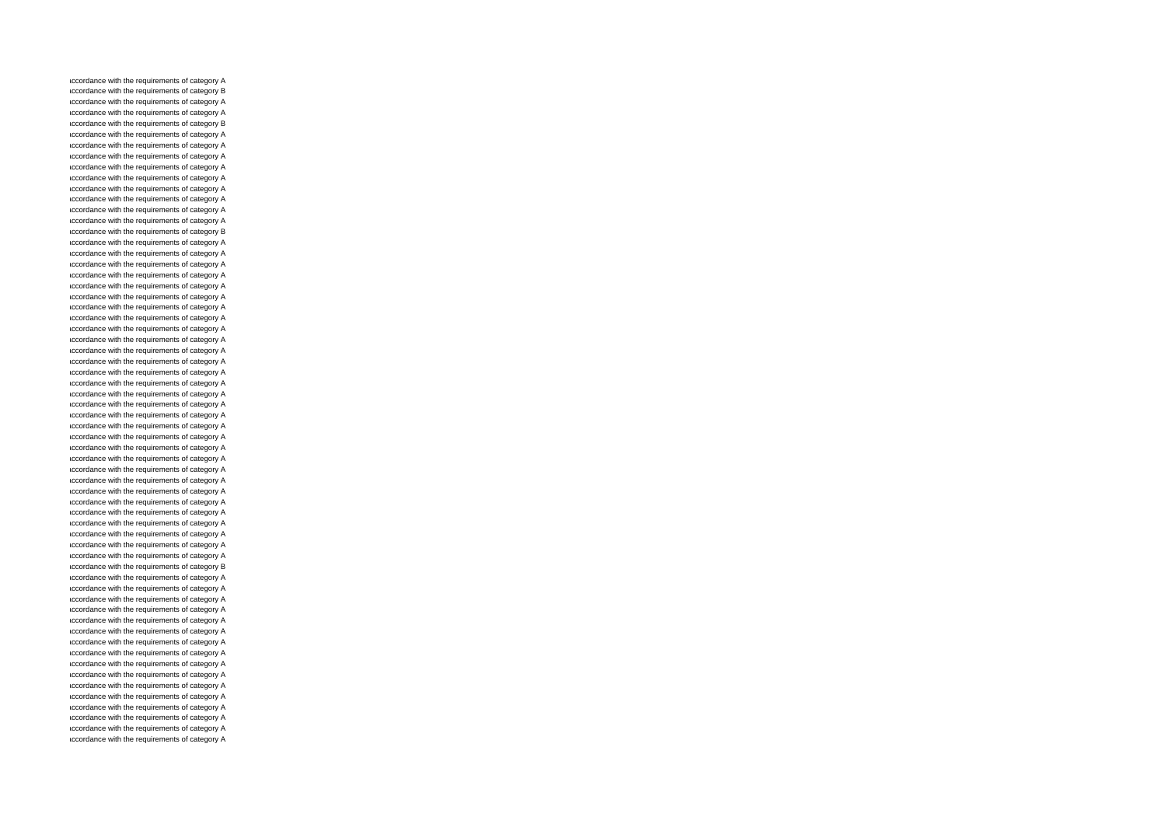accordance with the requirements of category A accordance with the requirements of category B accordance with the requirements of category A accordance with the requirements of category A accordance with the requirements of category B accordance with the requirements of category A accordance with the requirements of category A accordance with the requirements of category A accordance with the requirements of category A accordance with the requirements of category A accordance with the requirements of category A accordance with the requirements of category A accordance with the requirements of category A accordance with the requirements of category A accordance with the requirements of category B accordance with the requirements of category A accordance with the requirements of category A accordance with the requirements of category A accordance with the requirements of category A accordance with the requirements of category A accordance with the requirements of category A accordance with the requirements of category A accordance with the requirements of category A accordance with the requirements of category A accordance with the requirements of category A accordance with the requirements of category A accordance with the requirements of category A accordance with the requirements of category A accordance with the requirements of category A accordance with the requirements of category A accordance with the requirements of category A accordance with the requirements of category A accordance with the requirements of category A accordance with the requirements of category A accordance with the requirements of category A accordance with the requirements of category A accordance with the requirements of category A accordance with the requirements of category A accordance with the requirements of category A accordance with the requirements of category A accordance with the requirements of category A accordance with the requirements of category A accordance with the requirements of category A accordance with the requirements of category A accordance with the requirements of category A accordance with the requirements of category B accordance with the requirements of category A accordance with the requirements of category A accordance with the requirements of category A accordance with the requirements of category A accordance with the requirements of category A accordance with the requirements of category A accordance with the requirements of category A accordance with the requirements of category A accordance with the requirements of category A accordance with the requirements of category A accordance with the requirements of category A accordance with the requirements of category A accordance with the requirements of category A accordance with the requirements of category A accordance with the requirements of category A accordance with the requirements of category A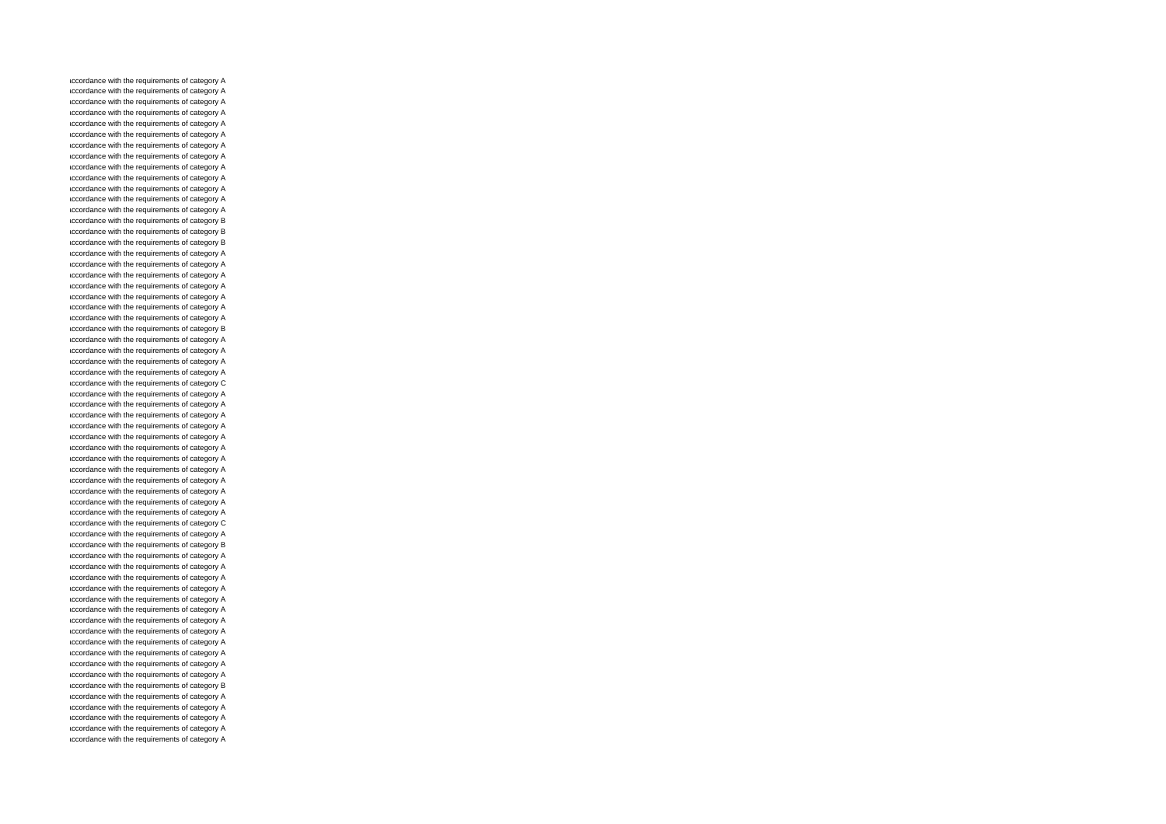accordance with the requirements of category A accordance with the requirements of category A accordance with the requirements of category A accordance with the requirements of category A accordance with the requirements of category A accordance with the requirements of category A accordance with the requirements of category A accordance with the requirements of category A accordance with the requirements of category A accordance with the requirements of category A accordance with the requirements of category A accordance with the requirements of category A accordance with the requirements of category A accordance with the requirements of category B accordance with the requirements of category B accordance with the requirements of category B accordance with the requirements of category A accordance with the requirements of category A accordance with the requirements of category A accordance with the requirements of category A accordance with the requirements of category A accordance with the requirements of category A accordance with the requirements of category A accordance with the requirements of category B accordance with the requirements of category A accordance with the requirements of category A accordance with the requirements of category A accordance with the requirements of category A accordance with the requirements of category C accordance with the requirements of category A accordance with the requirements of category A accordance with the requirements of category A accordance with the requirements of category A accordance with the requirements of category A accordance with the requirements of category A accordance with the requirements of category A accordance with the requirements of category A accordance with the requirements of category A accordance with the requirements of category A accordance with the requirements of category A accordance with the requirements of category A accordance with the requirements of category C accordance with the requirements of category A accordance with the requirements of category B accordance with the requirements of category A accordance with the requirements of category A accordance with the requirements of category A accordance with the requirements of category A accordance with the requirements of category A accordance with the requirements of category A accordance with the requirements of category A accordance with the requirements of category A accordance with the requirements of category A accordance with the requirements of category A accordance with the requirements of category A accordance with the requirements of category A accordance with the requirements of category B accordance with the requirements of category A accordance with the requirements of category A accordance with the requirements of category A accordance with the requirements of category A accordance with the requirements of category A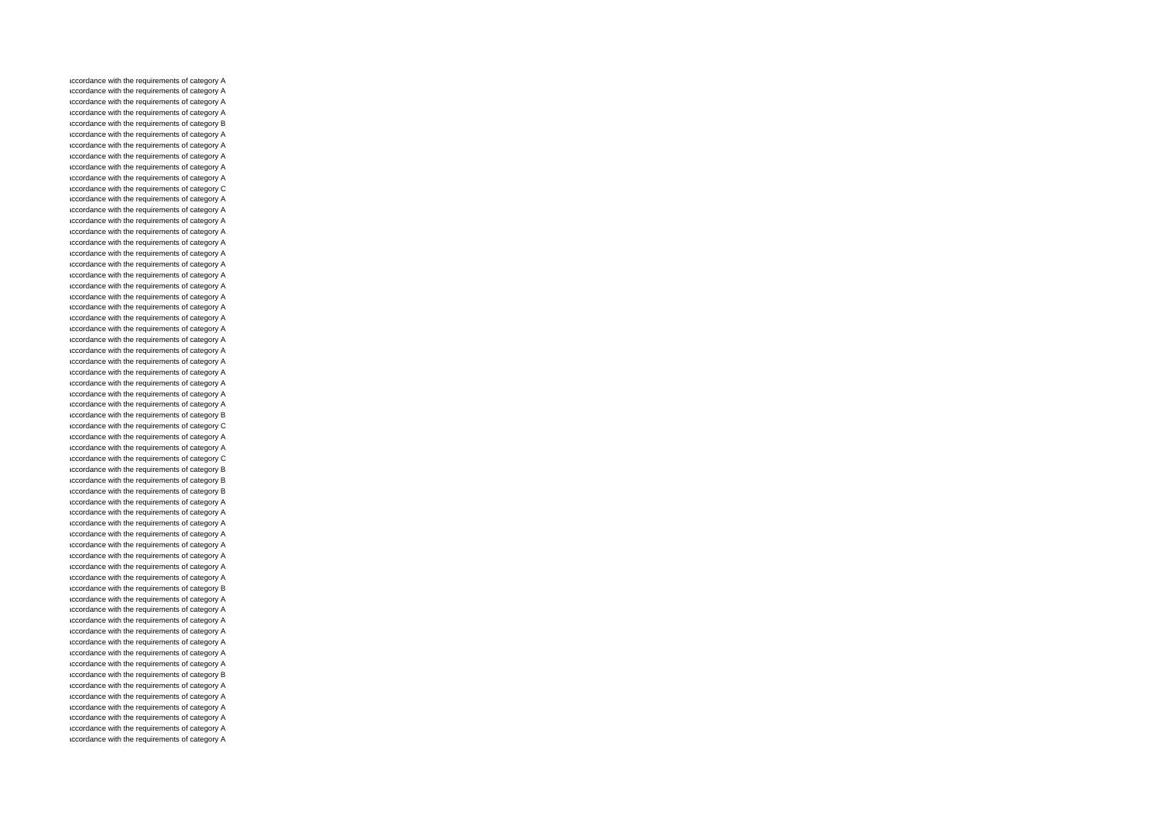accordance with the requirements of category A accordance with the requirements of category A accordance with the requirements of category A accordance with the requirements of category A accordance with the requirements of category B accordance with the requirements of category A accordance with the requirements of category A accordance with the requirements of category A accordance with the requirements of category A accordance with the requirements of category A accordance with the requirements of category C accordance with the requirements of category A accordance with the requirements of category A accordance with the requirements of category A accordance with the requirements of category A accordance with the requirements of category A accordance with the requirements of category A accordance with the requirements of category A accordance with the requirements of category A accordance with the requirements of category A accordance with the requirements of category A accordance with the requirements of category A accordance with the requirements of category A accordance with the requirements of category A accordance with the requirements of category A accordance with the requirements of category A accordance with the requirements of category A accordance with the requirements of category A accordance with the requirements of category A accordance with the requirements of category A accordance with the requirements of category A accordance with the requirements of category B accordance with the requirements of category C accordance with the requirements of category A accordance with the requirements of category A accordance with the requirements of category C accordance with the requirements of category B accordance with the requirements of category B accordance with the requirements of category B accordance with the requirements of category A accordance with the requirements of category A accordance with the requirements of category A accordance with the requirements of category A accordance with the requirements of category A accordance with the requirements of category A accordance with the requirements of category A accordance with the requirements of category A accordance with the requirements of category B accordance with the requirements of category A accordance with the requirements of category A accordance with the requirements of category A accordance with the requirements of category A accordance with the requirements of category A accordance with the requirements of category A accordance with the requirements of category A accordance with the requirements of category B accordance with the requirements of category A accordance with the requirements of category A accordance with the requirements of category A accordance with the requirements of category A accordance with the requirements of category A accordance with the requirements of category A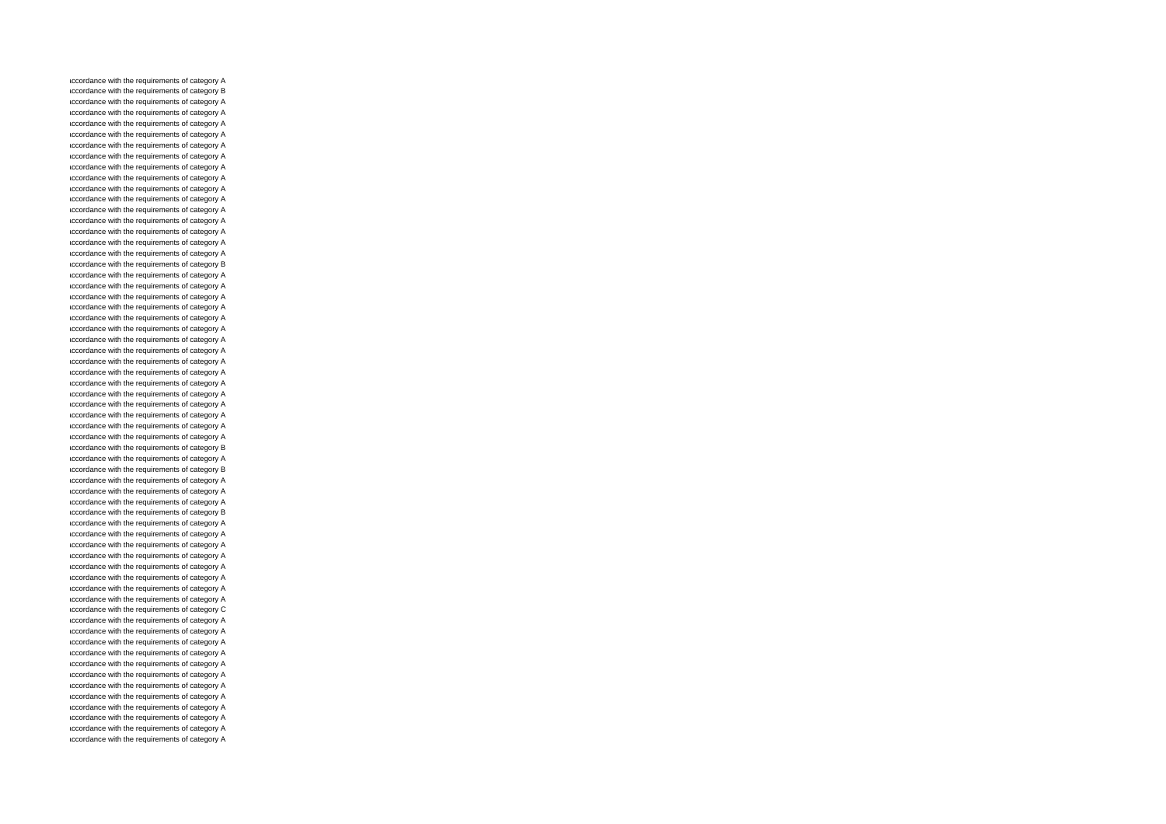accordance with the requirements of category A accordance with the requirements of category B accordance with the requirements of category A accordance with the requirements of category A accordance with the requirements of category A accordance with the requirements of category A accordance with the requirements of category A accordance with the requirements of category A accordance with the requirements of category A accordance with the requirements of category A accordance with the requirements of category A accordance with the requirements of category A accordance with the requirements of category A accordance with the requirements of category A accordance with the requirements of category A accordance with the requirements of category A accordance with the requirements of category A accordance with the requirements of category B accordance with the requirements of category A accordance with the requirements of category A accordance with the requirements of category A accordance with the requirements of category A accordance with the requirements of category A accordance with the requirements of category A accordance with the requirements of category A accordance with the requirements of category A accordance with the requirements of category A accordance with the requirements of category A accordance with the requirements of category A accordance with the requirements of category A accordance with the requirements of category A accordance with the requirements of category A accordance with the requirements of category A accordance with the requirements of category A accordance with the requirements of category B accordance with the requirements of category A accordance with the requirements of category B accordance with the requirements of category A accordance with the requirements of category A accordance with the requirements of category A accordance with the requirements of category B accordance with the requirements of category A accordance with the requirements of category A accordance with the requirements of category A accordance with the requirements of category A accordance with the requirements of category A accordance with the requirements of category A accordance with the requirements of category A accordance with the requirements of category A accordance with the requirements of category C accordance with the requirements of category A accordance with the requirements of category A accordance with the requirements of category A accordance with the requirements of category A accordance with the requirements of category A accordance with the requirements of category A accordance with the requirements of category A accordance with the requirements of category A accordance with the requirements of category A accordance with the requirements of category A accordance with the requirements of category A accordance with the requirements of category A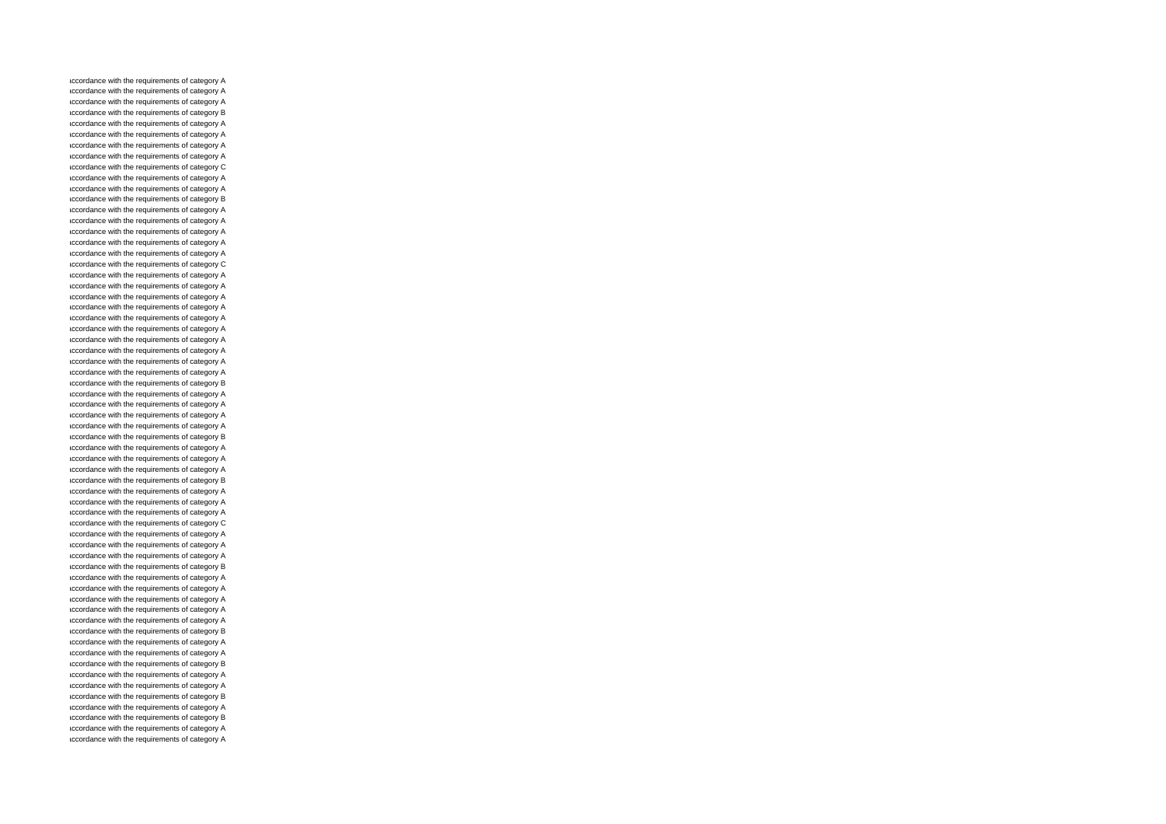accordance with the requirements of category A accordance with the requirements of category A accordance with the requirements of category A accordance with the requirements of category B accordance with the requirements of category A accordance with the requirements of category A accordance with the requirements of category A accordance with the requirements of category A accordance with the requirements of category C accordance with the requirements of category A accordance with the requirements of category A accordance with the requirements of category B accordance with the requirements of category A accordance with the requirements of category A accordance with the requirements of category A accordance with the requirements of category A accordance with the requirements of category A accordance with the requirements of category C accordance with the requirements of category A accordance with the requirements of category A accordance with the requirements of category A accordance with the requirements of category A accordance with the requirements of category A accordance with the requirements of category A accordance with the requirements of category A accordance with the requirements of category A accordance with the requirements of category A accordance with the requirements of category A accordance with the requirements of category B accordance with the requirements of category A accordance with the requirements of category A accordance with the requirements of category A accordance with the requirements of category A accordance with the requirements of category B accordance with the requirements of category A accordance with the requirements of category A accordance with the requirements of category A accordance with the requirements of category B accordance with the requirements of category A accordance with the requirements of category A accordance with the requirements of category A accordance with the requirements of category C accordance with the requirements of category A accordance with the requirements of category A accordance with the requirements of category A accordance with the requirements of category B accordance with the requirements of category A accordance with the requirements of category A accordance with the requirements of category A accordance with the requirements of category A accordance with the requirements of category A accordance with the requirements of category B accordance with the requirements of category A accordance with the requirements of category A accordance with the requirements of category B accordance with the requirements of category A accordance with the requirements of category A accordance with the requirements of category B accordance with the requirements of category A accordance with the requirements of category B accordance with the requirements of category A accordance with the requirements of category A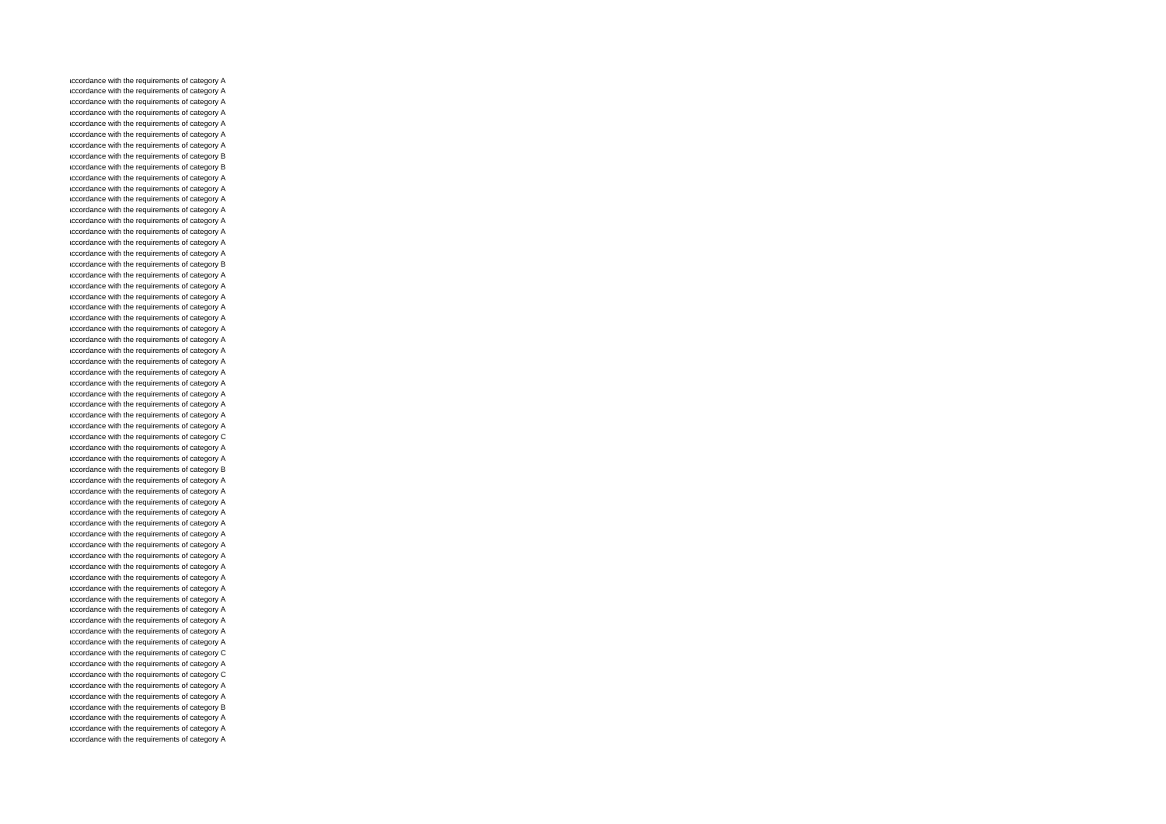accordance with the requirements of category A accordance with the requirements of category A accordance with the requirements of category A accordance with the requirements of category A accordance with the requirements of category A accordance with the requirements of category A accordance with the requirements of category A accordance with the requirements of category B accordance with the requirements of category B accordance with the requirements of category A accordance with the requirements of category A accordance with the requirements of category A accordance with the requirements of category A accordance with the requirements of category A accordance with the requirements of category A accordance with the requirements of category A accordance with the requirements of category A accordance with the requirements of category B accordance with the requirements of category A accordance with the requirements of category A accordance with the requirements of category A accordance with the requirements of category A accordance with the requirements of category A accordance with the requirements of category A accordance with the requirements of category A accordance with the requirements of category A accordance with the requirements of category A accordance with the requirements of category A accordance with the requirements of category A accordance with the requirements of category A accordance with the requirements of category A accordance with the requirements of category A accordance with the requirements of category A accordance with the requirements of category C accordance with the requirements of category A accordance with the requirements of category A accordance with the requirements of category B accordance with the requirements of category A accordance with the requirements of category A accordance with the requirements of category A accordance with the requirements of category A accordance with the requirements of category A accordance with the requirements of category A accordance with the requirements of category A accordance with the requirements of category A accordance with the requirements of category A accordance with the requirements of category A accordance with the requirements of category A accordance with the requirements of category A accordance with the requirements of category A accordance with the requirements of category A accordance with the requirements of category A accordance with the requirements of category A accordance with the requirements of category C accordance with the requirements of category A accordance with the requirements of category C accordance with the requirements of category A accordance with the requirements of category A accordance with the requirements of category B accordance with the requirements of category A accordance with the requirements of category A accordance with the requirements of category A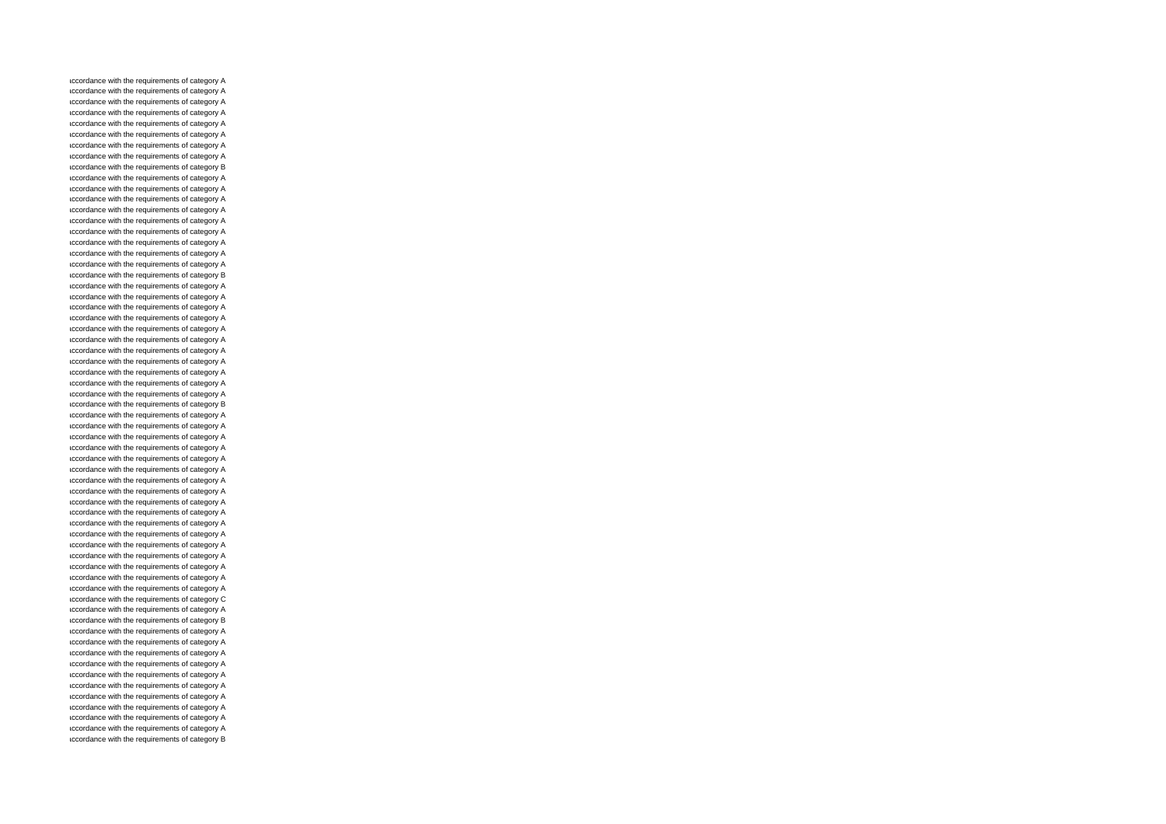accordance with the requirements of category A accordance with the requirements of category A accordance with the requirements of category A accordance with the requirements of category A accordance with the requirements of category A accordance with the requirements of category A accordance with the requirements of category A accordance with the requirements of category A accordance with the requirements of category B accordance with the requirements of category A accordance with the requirements of category A accordance with the requirements of category A accordance with the requirements of category A accordance with the requirements of category A accordance with the requirements of category A accordance with the requirements of category A accordance with the requirements of category A accordance with the requirements of category A accordance with the requirements of category B accordance with the requirements of category A accordance with the requirements of category A accordance with the requirements of category A accordance with the requirements of category A accordance with the requirements of category A accordance with the requirements of category A accordance with the requirements of category A accordance with the requirements of category A accordance with the requirements of category A accordance with the requirements of category A accordance with the requirements of category A accordance with the requirements of category B accordance with the requirements of category A accordance with the requirements of category A accordance with the requirements of category A accordance with the requirements of category A accordance with the requirements of category A accordance with the requirements of category A accordance with the requirements of category A accordance with the requirements of category A accordance with the requirements of category A accordance with the requirements of category A accordance with the requirements of category A accordance with the requirements of category A accordance with the requirements of category A accordance with the requirements of category A accordance with the requirements of category A accordance with the requirements of category A accordance with the requirements of category A accordance with the requirements of category C accordance with the requirements of category A accordance with the requirements of category B accordance with the requirements of category A accordance with the requirements of category A accordance with the requirements of category A accordance with the requirements of category A accordance with the requirements of category A accordance with the requirements of category A accordance with the requirements of category A accordance with the requirements of category A accordance with the requirements of category A accordance with the requirements of category A accordance with the requirements of category B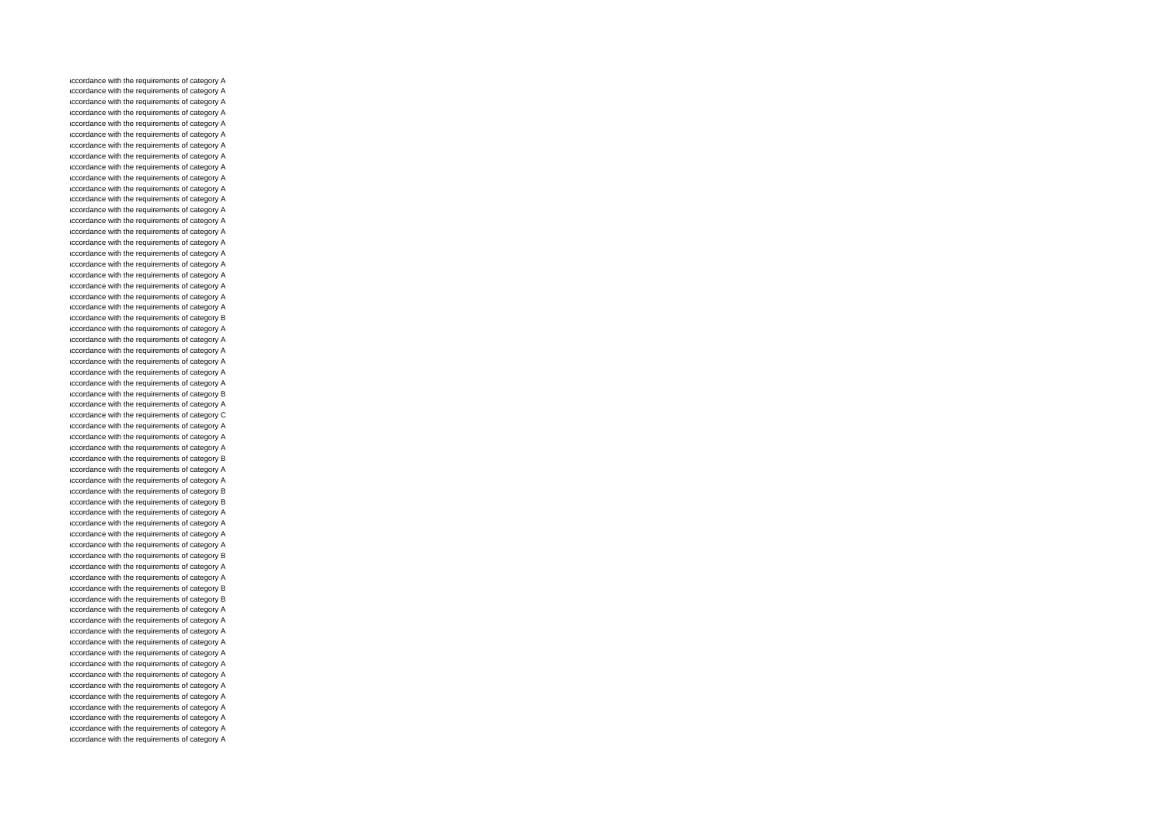accordance with the requirements of category A accordance with the requirements of category A accordance with the requirements of category A accordance with the requirements of category A accordance with the requirements of category A accordance with the requirements of category A accordance with the requirements of category A accordance with the requirements of category A accordance with the requirements of category A accordance with the requirements of category A accordance with the requirements of category A accordance with the requirements of category A accordance with the requirements of category A accordance with the requirements of category A accordance with the requirements of category A accordance with the requirements of category A accordance with the requirements of category A accordance with the requirements of category A accordance with the requirements of category A accordance with the requirements of category A accordance with the requirements of category A accordance with the requirements of category A accordance with the requirements of category B accordance with the requirements of category A accordance with the requirements of category A accordance with the requirements of category A accordance with the requirements of category A accordance with the requirements of category A accordance with the requirements of category A accordance with the requirements of category B accordance with the requirements of category A accordance with the requirements of category C accordance with the requirements of category A accordance with the requirements of category A accordance with the requirements of category A accordance with the requirements of category B accordance with the requirements of category A accordance with the requirements of category A accordance with the requirements of category B accordance with the requirements of category B accordance with the requirements of category A accordance with the requirements of category A accordance with the requirements of category A accordance with the requirements of category A accordance with the requirements of category B accordance with the requirements of category A accordance with the requirements of category A accordance with the requirements of category B accordance with the requirements of category B accordance with the requirements of category A accordance with the requirements of category A accordance with the requirements of category A accordance with the requirements of category A accordance with the requirements of category A accordance with the requirements of category A accordance with the requirements of category A accordance with the requirements of category A accordance with the requirements of category A accordance with the requirements of category A accordance with the requirements of category A accordance with the requirements of category A accordance with the requirements of category A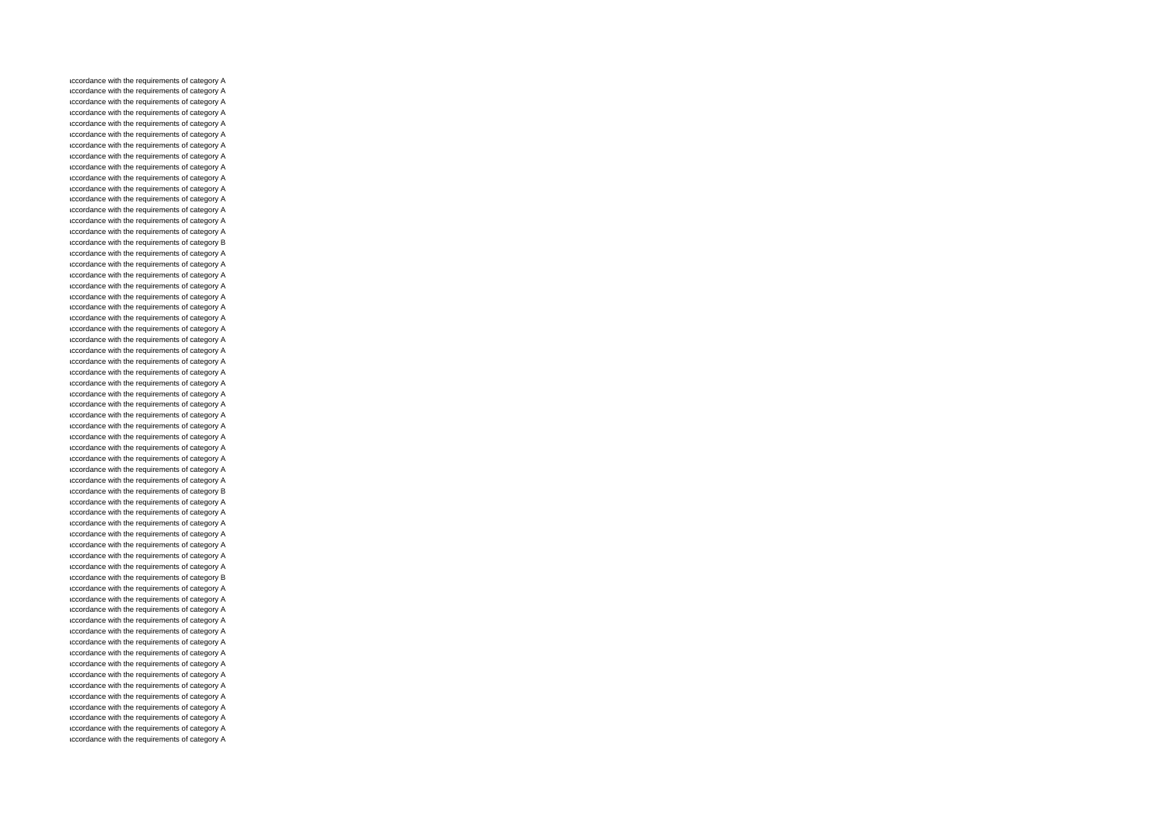accordance with the requirements of category A accordance with the requirements of category A accordance with the requirements of category A accordance with the requirements of category A accordance with the requirements of category A accordance with the requirements of category A accordance with the requirements of category A accordance with the requirements of category A accordance with the requirements of category A accordance with the requirements of category A accordance with the requirements of category A accordance with the requirements of category A accordance with the requirements of category A accordance with the requirements of category A accordance with the requirements of category A accordance with the requirements of category B accordance with the requirements of category A accordance with the requirements of category A accordance with the requirements of category A accordance with the requirements of category A accordance with the requirements of category A accordance with the requirements of category A accordance with the requirements of category A accordance with the requirements of category A accordance with the requirements of category A accordance with the requirements of category A accordance with the requirements of category A accordance with the requirements of category A accordance with the requirements of category A accordance with the requirements of category A accordance with the requirements of category A accordance with the requirements of category A accordance with the requirements of category A accordance with the requirements of category A accordance with the requirements of category A accordance with the requirements of category A accordance with the requirements of category A accordance with the requirements of category A accordance with the requirements of category B accordance with the requirements of category A accordance with the requirements of category A accordance with the requirements of category A accordance with the requirements of category A accordance with the requirements of category A accordance with the requirements of category A accordance with the requirements of category A accordance with the requirements of category B accordance with the requirements of category A accordance with the requirements of category A accordance with the requirements of category A accordance with the requirements of category A accordance with the requirements of category A accordance with the requirements of category A accordance with the requirements of category A accordance with the requirements of category A accordance with the requirements of category A accordance with the requirements of category A accordance with the requirements of category A accordance with the requirements of category A accordance with the requirements of category A accordance with the requirements of category A accordance with the requirements of category A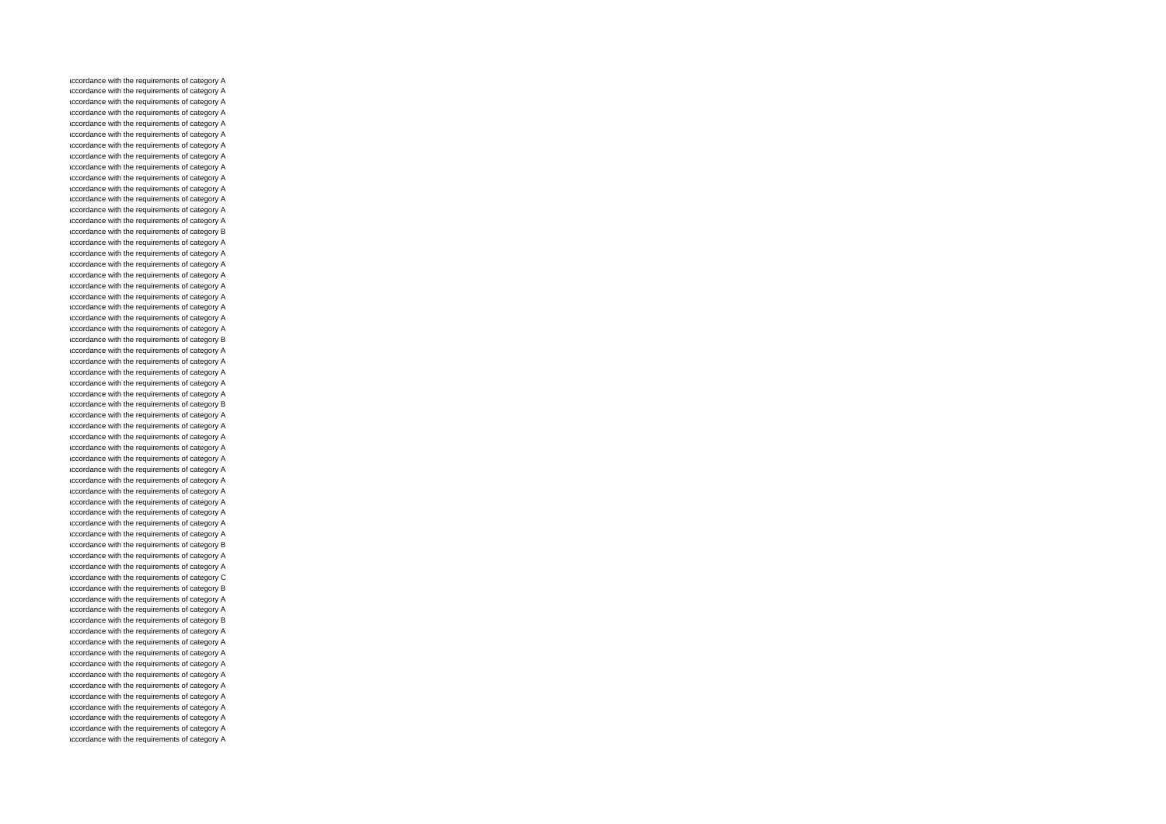accordance with the requirements of category A accordance with the requirements of category A accordance with the requirements of category A accordance with the requirements of category A accordance with the requirements of category A accordance with the requirements of category A accordance with the requirements of category A accordance with the requirements of category A accordance with the requirements of category A accordance with the requirements of category A accordance with the requirements of category A accordance with the requirements of category A accordance with the requirements of category A accordance with the requirements of category A accordance with the requirements of category B accordance with the requirements of category A accordance with the requirements of category A accordance with the requirements of category A accordance with the requirements of category A accordance with the requirements of category A accordance with the requirements of category A accordance with the requirements of category A accordance with the requirements of category A accordance with the requirements of category A accordance with the requirements of category B accordance with the requirements of category A accordance with the requirements of category A accordance with the requirements of category A accordance with the requirements of category A accordance with the requirements of category A accordance with the requirements of category B accordance with the requirements of category A accordance with the requirements of category A accordance with the requirements of category A accordance with the requirements of category A accordance with the requirements of category A accordance with the requirements of category A accordance with the requirements of category A accordance with the requirements of category A accordance with the requirements of category A accordance with the requirements of category A accordance with the requirements of category A accordance with the requirements of category A accordance with the requirements of category B accordance with the requirements of category A accordance with the requirements of category A accordance with the requirements of category C accordance with the requirements of category B accordance with the requirements of category A accordance with the requirements of category A accordance with the requirements of category B accordance with the requirements of category A accordance with the requirements of category A accordance with the requirements of category A accordance with the requirements of category A accordance with the requirements of category A accordance with the requirements of category A accordance with the requirements of category A accordance with the requirements of category A accordance with the requirements of category A accordance with the requirements of category A accordance with the requirements of category A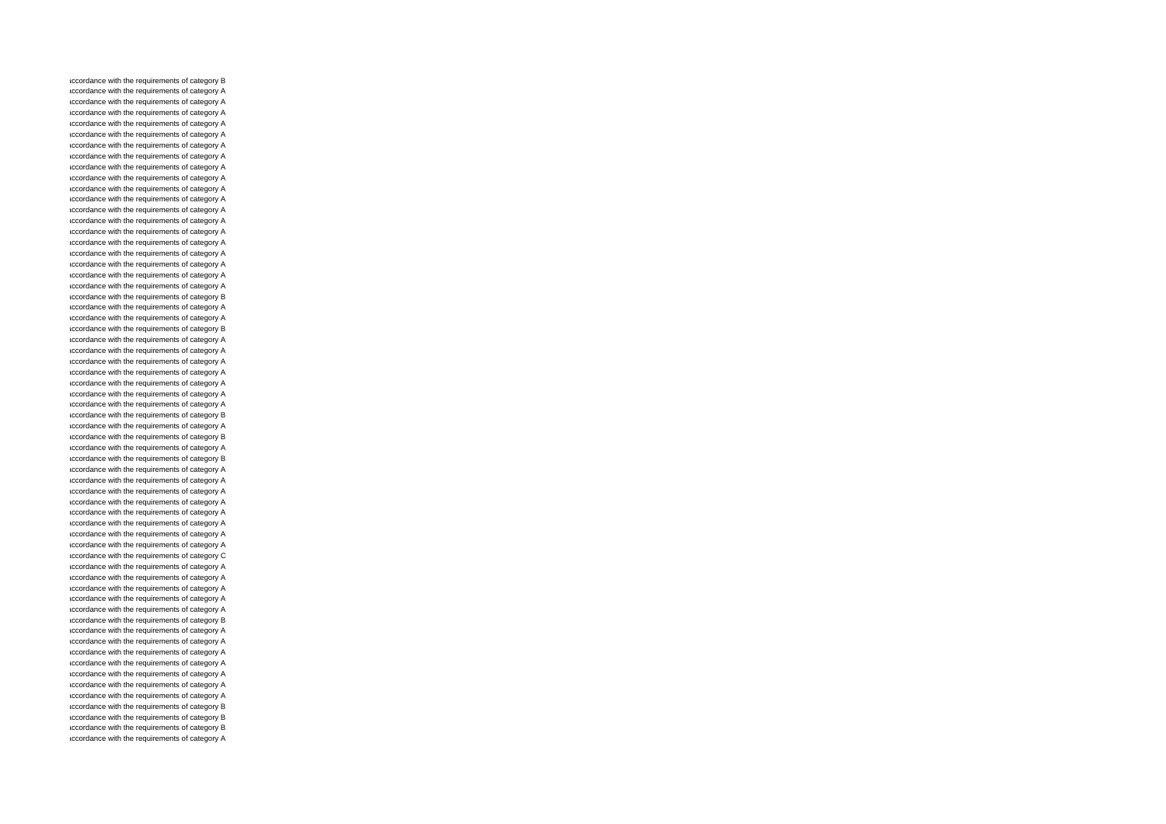accordance with the requirements of category B accordance with the requirements of category A accordance with the requirements of category A accordance with the requirements of category A accordance with the requirements of category A accordance with the requirements of category A accordance with the requirements of category A accordance with the requirements of category A accordance with the requirements of category A accordance with the requirements of category A accordance with the requirements of category A accordance with the requirements of category A accordance with the requirements of category A accordance with the requirements of category A accordance with the requirements of category A accordance with the requirements of category A accordance with the requirements of category A accordance with the requirements of category A accordance with the requirements of category A accordance with the requirements of category A accordance with the requirements of category B accordance with the requirements of category A accordance with the requirements of category A accordance with the requirements of category B accordance with the requirements of category A accordance with the requirements of category A accordance with the requirements of category A accordance with the requirements of category A accordance with the requirements of category A accordance with the requirements of category A accordance with the requirements of category A accordance with the requirements of category B accordance with the requirements of category A accordance with the requirements of category B accordance with the requirements of category A accordance with the requirements of category B accordance with the requirements of category A accordance with the requirements of category A accordance with the requirements of category A accordance with the requirements of category A accordance with the requirements of category A accordance with the requirements of category A accordance with the requirements of category A accordance with the requirements of category A accordance with the requirements of category C accordance with the requirements of category A accordance with the requirements of category A accordance with the requirements of category A accordance with the requirements of category A accordance with the requirements of category A accordance with the requirements of category B accordance with the requirements of category A accordance with the requirements of category A accordance with the requirements of category A accordance with the requirements of category A accordance with the requirements of category A accordance with the requirements of category A accordance with the requirements of category A accordance with the requirements of category B accordance with the requirements of category B accordance with the requirements of category B accordance with the requirements of category A